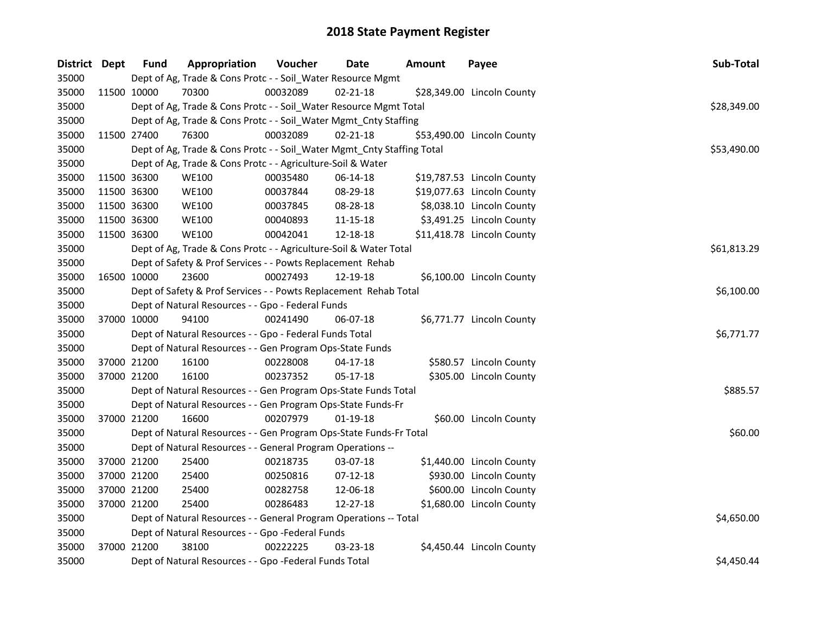| District Dept |             | <b>Fund</b> | Appropriation                                                          | Voucher  | Date           | <b>Amount</b> | Payee                      | Sub-Total   |
|---------------|-------------|-------------|------------------------------------------------------------------------|----------|----------------|---------------|----------------------------|-------------|
| 35000         |             |             | Dept of Ag, Trade & Cons Protc - - Soil_Water Resource Mgmt            |          |                |               |                            |             |
| 35000         | 11500 10000 |             | 70300                                                                  | 00032089 | $02 - 21 - 18$ |               | \$28,349.00 Lincoln County |             |
| 35000         |             |             | Dept of Ag, Trade & Cons Protc - - Soil_Water Resource Mgmt Total      |          |                |               |                            | \$28,349.00 |
| 35000         |             |             | Dept of Ag, Trade & Cons Protc - - Soil_Water Mgmt_Cnty Staffing       |          |                |               |                            |             |
| 35000         | 11500 27400 |             | 76300                                                                  | 00032089 | $02 - 21 - 18$ |               | \$53,490.00 Lincoln County |             |
| 35000         |             |             | Dept of Ag, Trade & Cons Protc - - Soil_Water Mgmt_Cnty Staffing Total |          |                |               |                            | \$53,490.00 |
| 35000         |             |             | Dept of Ag, Trade & Cons Protc - - Agriculture-Soil & Water            |          |                |               |                            |             |
| 35000         |             | 11500 36300 | <b>WE100</b>                                                           | 00035480 | 06-14-18       |               | \$19,787.53 Lincoln County |             |
| 35000         |             | 11500 36300 | <b>WE100</b>                                                           | 00037844 | 08-29-18       |               | \$19,077.63 Lincoln County |             |
| 35000         |             | 11500 36300 | <b>WE100</b>                                                           | 00037845 | 08-28-18       |               | \$8,038.10 Lincoln County  |             |
| 35000         |             | 11500 36300 | <b>WE100</b>                                                           | 00040893 | 11-15-18       |               | \$3,491.25 Lincoln County  |             |
| 35000         | 11500 36300 |             | <b>WE100</b>                                                           | 00042041 | 12-18-18       |               | \$11,418.78 Lincoln County |             |
| 35000         |             |             | Dept of Ag, Trade & Cons Protc - - Agriculture-Soil & Water Total      |          |                |               |                            | \$61,813.29 |
| 35000         |             |             | Dept of Safety & Prof Services - - Powts Replacement Rehab             |          |                |               |                            |             |
| 35000         | 16500 10000 |             | 23600                                                                  | 00027493 | 12-19-18       |               | \$6,100.00 Lincoln County  |             |
| 35000         |             |             | Dept of Safety & Prof Services - - Powts Replacement Rehab Total       |          | \$6,100.00     |               |                            |             |
| 35000         |             |             | Dept of Natural Resources - - Gpo - Federal Funds                      |          |                |               |                            |             |
| 35000         | 37000 10000 |             | 94100                                                                  | 00241490 | 06-07-18       |               | \$6,771.77 Lincoln County  |             |
| 35000         |             |             | Dept of Natural Resources - - Gpo - Federal Funds Total                |          |                |               |                            | \$6,771.77  |
| 35000         |             |             | Dept of Natural Resources - - Gen Program Ops-State Funds              |          |                |               |                            |             |
| 35000         | 37000 21200 |             | 16100                                                                  | 00228008 | 04-17-18       |               | \$580.57 Lincoln County    |             |
| 35000         | 37000 21200 |             | 16100                                                                  | 00237352 | 05-17-18       |               | \$305.00 Lincoln County    |             |
| 35000         |             |             | Dept of Natural Resources - - Gen Program Ops-State Funds Total        |          |                |               |                            | \$885.57    |
| 35000         |             |             | Dept of Natural Resources - - Gen Program Ops-State Funds-Fr           |          |                |               |                            |             |
| 35000         | 37000 21200 |             | 16600                                                                  | 00207979 | $01 - 19 - 18$ |               | \$60.00 Lincoln County     |             |
| 35000         |             |             | Dept of Natural Resources - - Gen Program Ops-State Funds-Fr Total     |          |                |               |                            | \$60.00     |
| 35000         |             |             | Dept of Natural Resources - - General Program Operations --            |          |                |               |                            |             |
| 35000         | 37000 21200 |             | 25400                                                                  | 00218735 | 03-07-18       |               | \$1,440.00 Lincoln County  |             |
| 35000         |             | 37000 21200 | 25400                                                                  | 00250816 | $07-12-18$     |               | \$930.00 Lincoln County    |             |
| 35000         | 37000 21200 |             | 25400                                                                  | 00282758 | 12-06-18       |               | \$600.00 Lincoln County    |             |
| 35000         | 37000 21200 |             | 25400                                                                  | 00286483 | 12-27-18       |               | \$1,680.00 Lincoln County  |             |
| 35000         |             |             | Dept of Natural Resources - - General Program Operations -- Total      |          |                |               |                            | \$4,650.00  |
| 35000         |             |             | Dept of Natural Resources - - Gpo -Federal Funds                       |          |                |               |                            |             |
| 35000         | 37000 21200 |             | 38100                                                                  | 00222225 | 03-23-18       |               | \$4,450.44 Lincoln County  |             |
| 35000         |             |             | Dept of Natural Resources - - Gpo -Federal Funds Total                 |          |                |               |                            | \$4,450.44  |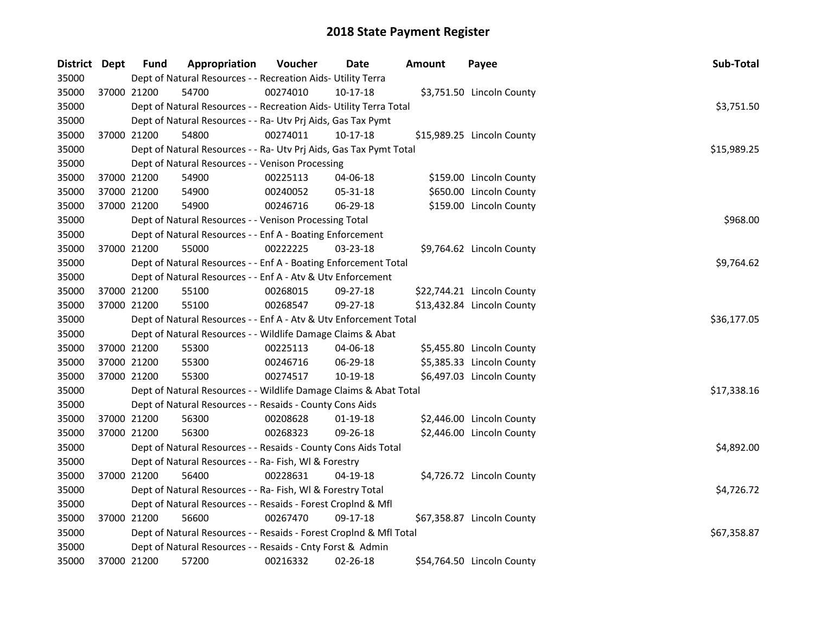| District Dept |             | <b>Fund</b> | Appropriation                                                      | Voucher  | Date           | <b>Amount</b> | Payee                      | Sub-Total   |  |  |  |
|---------------|-------------|-------------|--------------------------------------------------------------------|----------|----------------|---------------|----------------------------|-------------|--|--|--|
| 35000         |             |             | Dept of Natural Resources - - Recreation Aids- Utility Terra       |          |                |               |                            |             |  |  |  |
| 35000         |             | 37000 21200 | 54700                                                              | 00274010 | 10-17-18       |               | \$3,751.50 Lincoln County  |             |  |  |  |
| 35000         |             |             | Dept of Natural Resources - - Recreation Aids- Utility Terra Total |          |                |               |                            | \$3,751.50  |  |  |  |
| 35000         |             |             | Dept of Natural Resources - - Ra- Utv Prj Aids, Gas Tax Pymt       |          |                |               |                            |             |  |  |  |
| 35000         |             | 37000 21200 | 54800                                                              | 00274011 | 10-17-18       |               | \$15,989.25 Lincoln County |             |  |  |  |
| 35000         |             |             | Dept of Natural Resources - - Ra- Utv Prj Aids, Gas Tax Pymt Total |          |                |               |                            | \$15,989.25 |  |  |  |
| 35000         |             |             | Dept of Natural Resources - - Venison Processing                   |          |                |               |                            |             |  |  |  |
| 35000         |             | 37000 21200 | 54900                                                              | 00225113 | 04-06-18       |               | \$159.00 Lincoln County    |             |  |  |  |
| 35000         |             | 37000 21200 | 54900                                                              | 00240052 | 05-31-18       |               | \$650.00 Lincoln County    |             |  |  |  |
| 35000         |             | 37000 21200 | 54900                                                              | 00246716 | 06-29-18       |               | \$159.00 Lincoln County    |             |  |  |  |
| 35000         |             |             | Dept of Natural Resources - - Venison Processing Total             |          |                |               |                            | \$968.00    |  |  |  |
| 35000         |             |             | Dept of Natural Resources - - Enf A - Boating Enforcement          |          |                |               |                            |             |  |  |  |
| 35000         |             | 37000 21200 | 55000                                                              | 00222225 | $03 - 23 - 18$ |               | \$9,764.62 Lincoln County  |             |  |  |  |
| 35000         |             |             | Dept of Natural Resources - - Enf A - Boating Enforcement Total    |          |                |               |                            | \$9,764.62  |  |  |  |
| 35000         |             |             | Dept of Natural Resources - - Enf A - Atv & Utv Enforcement        |          |                |               |                            |             |  |  |  |
| 35000         |             | 37000 21200 | 55100                                                              | 00268015 | 09-27-18       |               | \$22,744.21 Lincoln County |             |  |  |  |
| 35000         |             | 37000 21200 | 55100                                                              | 00268547 | 09-27-18       |               | \$13,432.84 Lincoln County |             |  |  |  |
| 35000         |             |             | Dept of Natural Resources - - Enf A - Atv & Utv Enforcement Total  |          |                |               |                            | \$36,177.05 |  |  |  |
| 35000         |             |             | Dept of Natural Resources - - Wildlife Damage Claims & Abat        |          |                |               |                            |             |  |  |  |
| 35000         |             | 37000 21200 | 55300                                                              | 00225113 | 04-06-18       |               | \$5,455.80 Lincoln County  |             |  |  |  |
| 35000         |             | 37000 21200 | 55300                                                              | 00246716 | 06-29-18       |               | \$5,385.33 Lincoln County  |             |  |  |  |
| 35000         | 37000 21200 |             | 55300                                                              | 00274517 | 10-19-18       |               | \$6,497.03 Lincoln County  |             |  |  |  |
| 35000         |             |             | Dept of Natural Resources - - Wildlife Damage Claims & Abat Total  |          |                |               |                            | \$17,338.16 |  |  |  |
| 35000         |             |             | Dept of Natural Resources - - Resaids - County Cons Aids           |          |                |               |                            |             |  |  |  |
| 35000         |             | 37000 21200 | 56300                                                              | 00208628 | $01-19-18$     |               | \$2,446.00 Lincoln County  |             |  |  |  |
| 35000         |             | 37000 21200 | 56300                                                              | 00268323 | 09-26-18       |               | \$2,446.00 Lincoln County  |             |  |  |  |
| 35000         |             |             | Dept of Natural Resources - - Resaids - County Cons Aids Total     |          |                |               |                            | \$4,892.00  |  |  |  |
| 35000         |             |             | Dept of Natural Resources - - Ra- Fish, WI & Forestry              |          |                |               |                            |             |  |  |  |
| 35000         | 37000 21200 |             | 56400                                                              | 00228631 | 04-19-18       |               | \$4,726.72 Lincoln County  |             |  |  |  |
| 35000         |             |             | Dept of Natural Resources - - Ra- Fish, WI & Forestry Total        |          |                |               |                            | \$4,726.72  |  |  |  |
| 35000         |             |             | Dept of Natural Resources - - Resaids - Forest Croplnd & Mfl       |          |                |               |                            |             |  |  |  |
| 35000         |             | 37000 21200 | 56600                                                              | 00267470 | 09-17-18       |               | \$67,358.87 Lincoln County |             |  |  |  |
| 35000         |             |             | Dept of Natural Resources - - Resaids - Forest Croplnd & Mfl Total |          |                |               |                            | \$67,358.87 |  |  |  |
| 35000         |             |             | Dept of Natural Resources - - Resaids - Cnty Forst & Admin         |          |                |               |                            |             |  |  |  |
| 35000         |             | 37000 21200 | 57200                                                              | 00216332 | 02-26-18       |               | \$54,764.50 Lincoln County |             |  |  |  |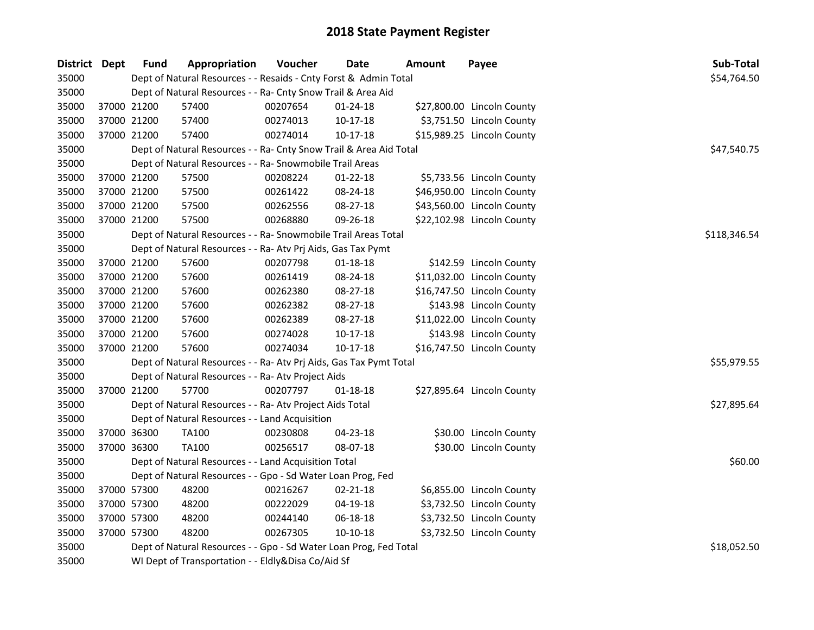| District Dept |             | <b>Fund</b> | Appropriation                                                      | Voucher     | <b>Date</b>    | <b>Amount</b> | Payee                      | Sub-Total    |
|---------------|-------------|-------------|--------------------------------------------------------------------|-------------|----------------|---------------|----------------------------|--------------|
| 35000         |             |             | Dept of Natural Resources - - Resaids - Cnty Forst & Admin Total   |             |                |               |                            | \$54,764.50  |
| 35000         |             |             | Dept of Natural Resources - - Ra- Cnty Snow Trail & Area Aid       |             |                |               |                            |              |
| 35000         | 37000 21200 |             | 57400                                                              | 00207654    | $01 - 24 - 18$ |               | \$27,800.00 Lincoln County |              |
| 35000         | 37000 21200 |             | 57400                                                              | 00274013    | 10-17-18       |               | \$3,751.50 Lincoln County  |              |
| 35000         | 37000 21200 |             | 57400                                                              | 00274014    | 10-17-18       |               | \$15,989.25 Lincoln County |              |
| 35000         |             |             | Dept of Natural Resources - - Ra- Cnty Snow Trail & Area Aid Total |             |                |               |                            | \$47,540.75  |
| 35000         |             |             | Dept of Natural Resources - - Ra- Snowmobile Trail Areas           |             |                |               |                            |              |
| 35000         | 37000 21200 |             | 57500                                                              | 00208224    | $01 - 22 - 18$ |               | \$5,733.56 Lincoln County  |              |
| 35000         | 37000 21200 |             | 57500                                                              | 00261422    | 08-24-18       |               | \$46,950.00 Lincoln County |              |
| 35000         | 37000 21200 |             | 57500                                                              | 00262556    | 08-27-18       |               | \$43,560.00 Lincoln County |              |
| 35000         | 37000 21200 |             | 57500                                                              | 00268880    | 09-26-18       |               | \$22,102.98 Lincoln County |              |
| 35000         |             |             | Dept of Natural Resources - - Ra- Snowmobile Trail Areas Total     |             |                |               |                            | \$118,346.54 |
| 35000         |             |             | Dept of Natural Resources - - Ra- Atv Prj Aids, Gas Tax Pymt       |             |                |               |                            |              |
| 35000         | 37000 21200 |             | 57600                                                              | 00207798    | 01-18-18       |               | \$142.59 Lincoln County    |              |
| 35000         | 37000 21200 |             | 57600                                                              | 00261419    | 08-24-18       |               | \$11,032.00 Lincoln County |              |
| 35000         | 37000 21200 |             | 57600                                                              | 00262380    | 08-27-18       |               | \$16,747.50 Lincoln County |              |
| 35000         | 37000 21200 |             | 57600                                                              | 00262382    | 08-27-18       |               | \$143.98 Lincoln County    |              |
| 35000         | 37000 21200 |             | 57600                                                              | 00262389    | 08-27-18       |               | \$11,022.00 Lincoln County |              |
| 35000         | 37000 21200 |             | 57600                                                              | 00274028    | $10-17-18$     |               | \$143.98 Lincoln County    |              |
| 35000         | 37000 21200 |             | 57600                                                              | 00274034    | $10-17-18$     |               | \$16,747.50 Lincoln County |              |
| 35000         |             |             | Dept of Natural Resources - - Ra- Atv Prj Aids, Gas Tax Pymt Total |             |                |               |                            | \$55,979.55  |
| 35000         |             |             | Dept of Natural Resources - - Ra- Atv Project Aids                 |             |                |               |                            |              |
| 35000         | 37000 21200 |             | 57700                                                              | 00207797    | $01 - 18 - 18$ |               | \$27,895.64 Lincoln County |              |
| 35000         |             |             | Dept of Natural Resources - - Ra- Atv Project Aids Total           |             |                |               |                            | \$27,895.64  |
| 35000         |             |             | Dept of Natural Resources - - Land Acquisition                     |             |                |               |                            |              |
| 35000         | 37000 36300 |             | <b>TA100</b>                                                       | 00230808    | 04-23-18       |               | \$30.00 Lincoln County     |              |
| 35000         |             | 37000 36300 | <b>TA100</b>                                                       | 00256517    | 08-07-18       |               | \$30.00 Lincoln County     |              |
| 35000         |             |             | Dept of Natural Resources - - Land Acquisition Total               |             |                |               |                            | \$60.00      |
| 35000         |             |             | Dept of Natural Resources - - Gpo - Sd Water Loan Prog, Fed        |             |                |               |                            |              |
| 35000         | 37000 57300 |             | 48200                                                              | 00216267    | $02 - 21 - 18$ |               | \$6,855.00 Lincoln County  |              |
| 35000         | 37000 57300 |             | 48200                                                              | 00222029    | 04-19-18       |               | \$3,732.50 Lincoln County  |              |
| 35000         | 37000 57300 |             | 48200                                                              | 00244140    | 06-18-18       |               | \$3,732.50 Lincoln County  |              |
| 35000         | 37000 57300 |             | 48200                                                              | 00267305    | 10-10-18       |               | \$3,732.50 Lincoln County  |              |
| 35000         |             |             | Dept of Natural Resources - - Gpo - Sd Water Loan Prog, Fed Total  | \$18,052.50 |                |               |                            |              |
| 35000         |             |             | WI Dept of Transportation - - Eldly&Disa Co/Aid Sf                 |             |                |               |                            |              |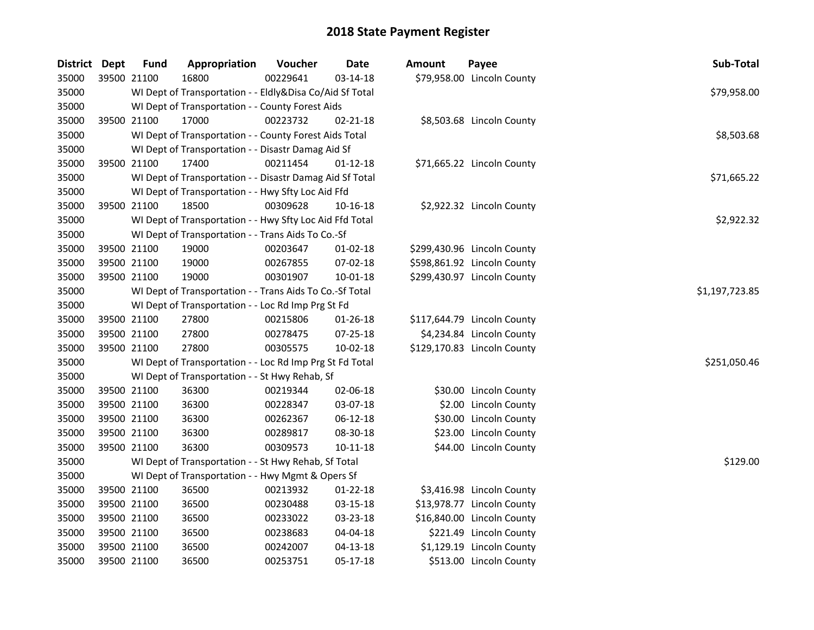| District Dept |             | <b>Fund</b> | Appropriation                                            | Voucher  | <b>Date</b>    | Amount | Payee                       | Sub-Total      |
|---------------|-------------|-------------|----------------------------------------------------------|----------|----------------|--------|-----------------------------|----------------|
| 35000         |             | 39500 21100 | 16800                                                    | 00229641 | $03 - 14 - 18$ |        | \$79,958.00 Lincoln County  |                |
| 35000         |             |             | WI Dept of Transportation - - Eldly&Disa Co/Aid Sf Total |          |                |        |                             | \$79,958.00    |
| 35000         |             |             | WI Dept of Transportation - - County Forest Aids         |          |                |        |                             |                |
| 35000         |             | 39500 21100 | 17000                                                    | 00223732 | 02-21-18       |        | \$8,503.68 Lincoln County   |                |
| 35000         |             |             | WI Dept of Transportation - - County Forest Aids Total   |          |                |        |                             | \$8,503.68     |
| 35000         |             |             | WI Dept of Transportation - - Disastr Damag Aid Sf       |          |                |        |                             |                |
| 35000         |             | 39500 21100 | 17400                                                    | 00211454 | $01 - 12 - 18$ |        | \$71,665.22 Lincoln County  |                |
| 35000         |             |             | WI Dept of Transportation - - Disastr Damag Aid Sf Total |          |                |        |                             | \$71,665.22    |
| 35000         |             |             | WI Dept of Transportation - - Hwy Sfty Loc Aid Ffd       |          |                |        |                             |                |
| 35000         |             | 39500 21100 | 18500                                                    | 00309628 | 10-16-18       |        | \$2,922.32 Lincoln County   |                |
| 35000         |             |             | WI Dept of Transportation - - Hwy Sfty Loc Aid Ffd Total |          |                |        |                             | \$2,922.32     |
| 35000         |             |             | WI Dept of Transportation - - Trans Aids To Co.-Sf       |          |                |        |                             |                |
| 35000         |             | 39500 21100 | 19000                                                    | 00203647 | $01 - 02 - 18$ |        | \$299,430.96 Lincoln County |                |
| 35000         |             | 39500 21100 | 19000                                                    | 00267855 | 07-02-18       |        | \$598,861.92 Lincoln County |                |
| 35000         |             | 39500 21100 | 19000                                                    | 00301907 | 10-01-18       |        | \$299,430.97 Lincoln County |                |
| 35000         |             |             | WI Dept of Transportation - - Trans Aids To Co.-Sf Total |          |                |        |                             | \$1,197,723.85 |
| 35000         |             |             | WI Dept of Transportation - - Loc Rd Imp Prg St Fd       |          |                |        |                             |                |
| 35000         |             | 39500 21100 | 27800                                                    | 00215806 | 01-26-18       |        | \$117,644.79 Lincoln County |                |
| 35000         |             | 39500 21100 | 27800                                                    | 00278475 | 07-25-18       |        | \$4,234.84 Lincoln County   |                |
| 35000         |             | 39500 21100 | 27800                                                    | 00305575 | 10-02-18       |        | \$129,170.83 Lincoln County |                |
| 35000         |             |             | WI Dept of Transportation - - Loc Rd Imp Prg St Fd Total |          |                |        |                             | \$251,050.46   |
| 35000         |             |             | WI Dept of Transportation - - St Hwy Rehab, Sf           |          |                |        |                             |                |
| 35000         |             | 39500 21100 | 36300                                                    | 00219344 | 02-06-18       |        | \$30.00 Lincoln County      |                |
| 35000         | 39500 21100 |             | 36300                                                    | 00228347 | 03-07-18       |        | \$2.00 Lincoln County       |                |
| 35000         | 39500 21100 |             | 36300                                                    | 00262367 | 06-12-18       |        | \$30.00 Lincoln County      |                |
| 35000         | 39500 21100 |             | 36300                                                    | 00289817 | 08-30-18       |        | \$23.00 Lincoln County      |                |
| 35000         |             | 39500 21100 | 36300                                                    | 00309573 | $10 - 11 - 18$ |        | \$44.00 Lincoln County      |                |
| 35000         |             |             | WI Dept of Transportation - - St Hwy Rehab, Sf Total     |          |                |        |                             | \$129.00       |
| 35000         |             |             | WI Dept of Transportation - - Hwy Mgmt & Opers Sf        |          |                |        |                             |                |
| 35000         |             | 39500 21100 | 36500                                                    | 00213932 | 01-22-18       |        | \$3,416.98 Lincoln County   |                |
| 35000         |             | 39500 21100 | 36500                                                    | 00230488 | 03-15-18       |        | \$13,978.77 Lincoln County  |                |
| 35000         |             | 39500 21100 | 36500                                                    | 00233022 | 03-23-18       |        | \$16,840.00 Lincoln County  |                |
| 35000         |             | 39500 21100 | 36500                                                    | 00238683 | 04-04-18       |        | \$221.49 Lincoln County     |                |
| 35000         |             | 39500 21100 | 36500                                                    | 00242007 | $04 - 13 - 18$ |        | \$1,129.19 Lincoln County   |                |
| 35000         |             | 39500 21100 | 36500                                                    | 00253751 | 05-17-18       |        | \$513.00 Lincoln County     |                |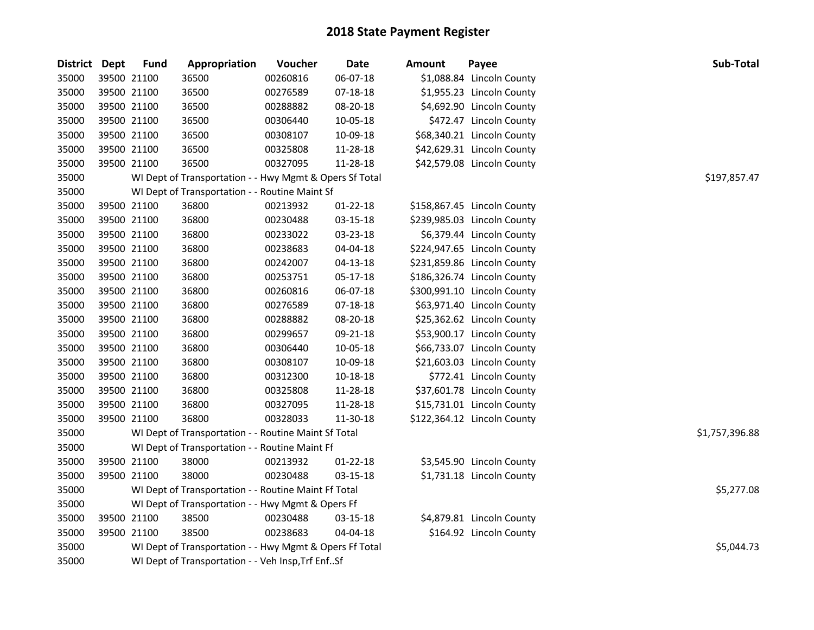| <b>District</b> | Dept | <b>Fund</b> | Appropriation                                           | Voucher  | Date           | <b>Amount</b> | Payee                       | Sub-Total      |  |  |  |
|-----------------|------|-------------|---------------------------------------------------------|----------|----------------|---------------|-----------------------------|----------------|--|--|--|
| 35000           |      | 39500 21100 | 36500                                                   | 00260816 | 06-07-18       |               | \$1,088.84 Lincoln County   |                |  |  |  |
| 35000           |      | 39500 21100 | 36500                                                   | 00276589 | 07-18-18       |               | \$1,955.23 Lincoln County   |                |  |  |  |
| 35000           |      | 39500 21100 | 36500                                                   | 00288882 | 08-20-18       |               | \$4,692.90 Lincoln County   |                |  |  |  |
| 35000           |      | 39500 21100 | 36500                                                   | 00306440 | 10-05-18       |               | \$472.47 Lincoln County     |                |  |  |  |
| 35000           |      | 39500 21100 | 36500                                                   | 00308107 | 10-09-18       |               | \$68,340.21 Lincoln County  |                |  |  |  |
| 35000           |      | 39500 21100 | 36500                                                   | 00325808 | 11-28-18       |               | \$42,629.31 Lincoln County  |                |  |  |  |
| 35000           |      | 39500 21100 | 36500                                                   | 00327095 | 11-28-18       |               | \$42,579.08 Lincoln County  |                |  |  |  |
| 35000           |      |             | WI Dept of Transportation - - Hwy Mgmt & Opers Sf Total |          |                |               |                             | \$197,857.47   |  |  |  |
| 35000           |      |             | WI Dept of Transportation - - Routine Maint Sf          |          |                |               |                             |                |  |  |  |
| 35000           |      | 39500 21100 | 36800                                                   | 00213932 | $01 - 22 - 18$ |               | \$158,867.45 Lincoln County |                |  |  |  |
| 35000           |      | 39500 21100 | 36800                                                   | 00230488 | 03-15-18       |               | \$239,985.03 Lincoln County |                |  |  |  |
| 35000           |      | 39500 21100 | 36800                                                   | 00233022 | 03-23-18       |               | \$6,379.44 Lincoln County   |                |  |  |  |
| 35000           |      | 39500 21100 | 36800                                                   | 00238683 | 04-04-18       |               | \$224,947.65 Lincoln County |                |  |  |  |
| 35000           |      | 39500 21100 | 36800                                                   | 00242007 | $04 - 13 - 18$ |               | \$231,859.86 Lincoln County |                |  |  |  |
| 35000           |      | 39500 21100 | 36800                                                   | 00253751 | 05-17-18       |               | \$186,326.74 Lincoln County |                |  |  |  |
| 35000           |      | 39500 21100 | 36800                                                   | 00260816 | 06-07-18       |               | \$300,991.10 Lincoln County |                |  |  |  |
| 35000           |      | 39500 21100 | 36800                                                   | 00276589 | 07-18-18       |               | \$63,971.40 Lincoln County  |                |  |  |  |
| 35000           |      | 39500 21100 | 36800                                                   | 00288882 | 08-20-18       |               | \$25,362.62 Lincoln County  |                |  |  |  |
| 35000           |      | 39500 21100 | 36800                                                   | 00299657 | 09-21-18       |               | \$53,900.17 Lincoln County  |                |  |  |  |
| 35000           |      | 39500 21100 | 36800                                                   | 00306440 | 10-05-18       |               | \$66,733.07 Lincoln County  |                |  |  |  |
| 35000           |      | 39500 21100 | 36800                                                   | 00308107 | 10-09-18       |               | \$21,603.03 Lincoln County  |                |  |  |  |
| 35000           |      | 39500 21100 | 36800                                                   | 00312300 | 10-18-18       |               | \$772.41 Lincoln County     |                |  |  |  |
| 35000           |      | 39500 21100 | 36800                                                   | 00325808 | 11-28-18       |               | \$37,601.78 Lincoln County  |                |  |  |  |
| 35000           |      | 39500 21100 | 36800                                                   | 00327095 | 11-28-18       |               | \$15,731.01 Lincoln County  |                |  |  |  |
| 35000           |      | 39500 21100 | 36800                                                   | 00328033 | 11-30-18       |               | \$122,364.12 Lincoln County |                |  |  |  |
| 35000           |      |             | WI Dept of Transportation - - Routine Maint Sf Total    |          |                |               |                             | \$1,757,396.88 |  |  |  |
| 35000           |      |             | WI Dept of Transportation - - Routine Maint Ff          |          |                |               |                             |                |  |  |  |
| 35000           |      | 39500 21100 | 38000                                                   | 00213932 | $01 - 22 - 18$ |               | \$3,545.90 Lincoln County   |                |  |  |  |
| 35000           |      | 39500 21100 | 38000                                                   | 00230488 | 03-15-18       |               | \$1,731.18 Lincoln County   |                |  |  |  |
| 35000           |      |             | WI Dept of Transportation - - Routine Maint Ff Total    |          |                |               |                             |                |  |  |  |
| 35000           |      |             | WI Dept of Transportation - - Hwy Mgmt & Opers Ff       |          |                |               |                             |                |  |  |  |
| 35000           |      | 39500 21100 | 38500                                                   | 00230488 | 03-15-18       |               | \$4,879.81 Lincoln County   |                |  |  |  |
| 35000           |      | 39500 21100 | 38500                                                   | 00238683 | 04-04-18       |               | \$164.92 Lincoln County     |                |  |  |  |
| 35000           |      |             | WI Dept of Transportation - - Hwy Mgmt & Opers Ff Total |          |                |               |                             | \$5,044.73     |  |  |  |
| 35000           |      |             | WI Dept of Transportation - - Veh Insp, Trf EnfSf       |          |                |               |                             |                |  |  |  |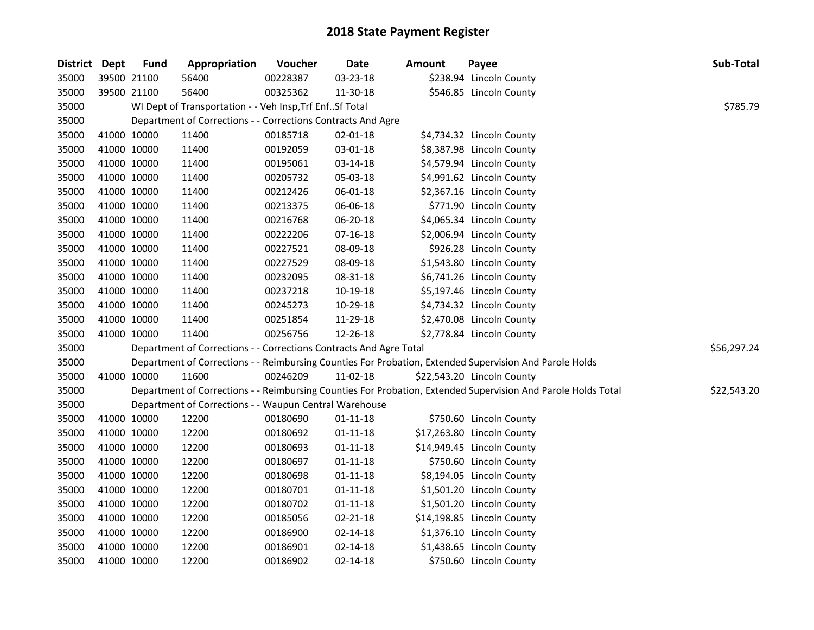| <b>District Dept</b> |             | <b>Fund</b> | Appropriation                                                      | Voucher  | <b>Date</b>    | Amount | Payee                                                                                                         | Sub-Total   |
|----------------------|-------------|-------------|--------------------------------------------------------------------|----------|----------------|--------|---------------------------------------------------------------------------------------------------------------|-------------|
| 35000                | 39500 21100 |             | 56400                                                              | 00228387 | 03-23-18       |        | \$238.94 Lincoln County                                                                                       |             |
| 35000                | 39500 21100 |             | 56400                                                              | 00325362 | 11-30-18       |        | \$546.85 Lincoln County                                                                                       |             |
| 35000                |             |             | WI Dept of Transportation - - Veh Insp, Trf Enf Sf Total           |          |                |        |                                                                                                               | \$785.79    |
| 35000                |             |             | Department of Corrections - - Corrections Contracts And Agre       |          |                |        |                                                                                                               |             |
| 35000                | 41000 10000 |             | 11400                                                              | 00185718 | 02-01-18       |        | \$4,734.32 Lincoln County                                                                                     |             |
| 35000                | 41000 10000 |             | 11400                                                              | 00192059 | 03-01-18       |        | \$8,387.98 Lincoln County                                                                                     |             |
| 35000                | 41000 10000 |             | 11400                                                              | 00195061 | 03-14-18       |        | \$4,579.94 Lincoln County                                                                                     |             |
| 35000                | 41000 10000 |             | 11400                                                              | 00205732 | 05-03-18       |        | \$4,991.62 Lincoln County                                                                                     |             |
| 35000                | 41000 10000 |             | 11400                                                              | 00212426 | 06-01-18       |        | \$2,367.16 Lincoln County                                                                                     |             |
| 35000                | 41000 10000 |             | 11400                                                              | 00213375 | 06-06-18       |        | \$771.90 Lincoln County                                                                                       |             |
| 35000                | 41000 10000 |             | 11400                                                              | 00216768 | 06-20-18       |        | \$4,065.34 Lincoln County                                                                                     |             |
| 35000                | 41000 10000 |             | 11400                                                              | 00222206 | $07-16-18$     |        | \$2,006.94 Lincoln County                                                                                     |             |
| 35000                | 41000 10000 |             | 11400                                                              | 00227521 | 08-09-18       |        | \$926.28 Lincoln County                                                                                       |             |
| 35000                | 41000 10000 |             | 11400                                                              | 00227529 | 08-09-18       |        | \$1,543.80 Lincoln County                                                                                     |             |
| 35000                | 41000 10000 |             | 11400                                                              | 00232095 | 08-31-18       |        | \$6,741.26 Lincoln County                                                                                     |             |
| 35000                | 41000 10000 |             | 11400                                                              | 00237218 | 10-19-18       |        | \$5,197.46 Lincoln County                                                                                     |             |
| 35000                | 41000 10000 |             | 11400                                                              | 00245273 | 10-29-18       |        | \$4,734.32 Lincoln County                                                                                     |             |
| 35000                | 41000 10000 |             | 11400                                                              | 00251854 | 11-29-18       |        | \$2,470.08 Lincoln County                                                                                     |             |
| 35000                | 41000 10000 |             | 11400                                                              | 00256756 | 12-26-18       |        | \$2,778.84 Lincoln County                                                                                     |             |
| 35000                |             |             | Department of Corrections - - Corrections Contracts And Agre Total |          |                |        |                                                                                                               | \$56,297.24 |
| 35000                |             |             |                                                                    |          |                |        | Department of Corrections - - Reimbursing Counties For Probation, Extended Supervision And Parole Holds       |             |
| 35000                | 41000 10000 |             | 11600                                                              | 00246209 | 11-02-18       |        | \$22,543.20 Lincoln County                                                                                    |             |
| 35000                |             |             |                                                                    |          |                |        | Department of Corrections - - Reimbursing Counties For Probation, Extended Supervision And Parole Holds Total | \$22,543.20 |
| 35000                |             |             | Department of Corrections - - Waupun Central Warehouse             |          |                |        |                                                                                                               |             |
| 35000                | 41000 10000 |             | 12200                                                              | 00180690 | $01 - 11 - 18$ |        | \$750.60 Lincoln County                                                                                       |             |
| 35000                | 41000 10000 |             | 12200                                                              | 00180692 | $01 - 11 - 18$ |        | \$17,263.80 Lincoln County                                                                                    |             |
| 35000                | 41000 10000 |             | 12200                                                              | 00180693 | $01 - 11 - 18$ |        | \$14,949.45 Lincoln County                                                                                    |             |
| 35000                | 41000 10000 |             | 12200                                                              | 00180697 | $01 - 11 - 18$ |        | \$750.60 Lincoln County                                                                                       |             |
| 35000                | 41000 10000 |             | 12200                                                              | 00180698 | $01 - 11 - 18$ |        | \$8,194.05 Lincoln County                                                                                     |             |
| 35000                | 41000 10000 |             | 12200                                                              | 00180701 | $01 - 11 - 18$ |        | \$1,501.20 Lincoln County                                                                                     |             |
| 35000                | 41000 10000 |             | 12200                                                              | 00180702 | $01 - 11 - 18$ |        | \$1,501.20 Lincoln County                                                                                     |             |
| 35000                | 41000 10000 |             | 12200                                                              | 00185056 | 02-21-18       |        | \$14,198.85 Lincoln County                                                                                    |             |
| 35000                | 41000 10000 |             | 12200                                                              | 00186900 | 02-14-18       |        | \$1,376.10 Lincoln County                                                                                     |             |
| 35000                | 41000 10000 |             | 12200                                                              | 00186901 | $02 - 14 - 18$ |        | \$1,438.65 Lincoln County                                                                                     |             |
| 35000                | 41000 10000 |             | 12200                                                              | 00186902 | 02-14-18       |        | \$750.60 Lincoln County                                                                                       |             |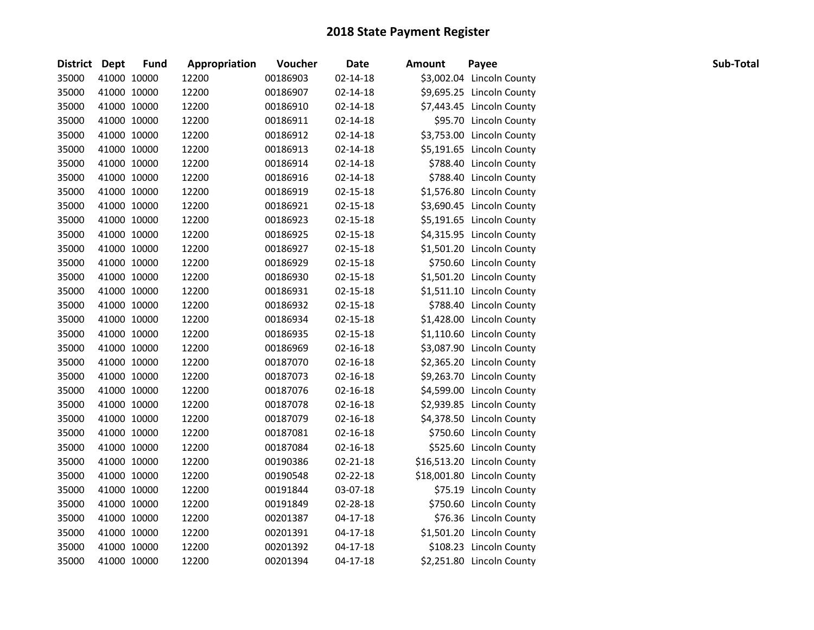| District Dept |             | <b>Fund</b> | Appropriation | Voucher  | Date           | <b>Amount</b> | Payee                      | Sub-Total |
|---------------|-------------|-------------|---------------|----------|----------------|---------------|----------------------------|-----------|
| 35000         | 41000 10000 |             | 12200         | 00186903 | 02-14-18       |               | \$3,002.04 Lincoln County  |           |
| 35000         | 41000 10000 |             | 12200         | 00186907 | $02 - 14 - 18$ |               | \$9,695.25 Lincoln County  |           |
| 35000         | 41000 10000 |             | 12200         | 00186910 | 02-14-18       |               | \$7,443.45 Lincoln County  |           |
| 35000         | 41000 10000 |             | 12200         | 00186911 | 02-14-18       |               | \$95.70 Lincoln County     |           |
| 35000         | 41000 10000 |             | 12200         | 00186912 | 02-14-18       |               | \$3,753.00 Lincoln County  |           |
| 35000         | 41000 10000 |             | 12200         | 00186913 | $02 - 14 - 18$ |               | \$5,191.65 Lincoln County  |           |
| 35000         | 41000 10000 |             | 12200         | 00186914 | 02-14-18       |               | \$788.40 Lincoln County    |           |
| 35000         | 41000 10000 |             | 12200         | 00186916 | 02-14-18       |               | \$788.40 Lincoln County    |           |
| 35000         | 41000 10000 |             | 12200         | 00186919 | 02-15-18       |               | \$1,576.80 Lincoln County  |           |
| 35000         | 41000 10000 |             | 12200         | 00186921 | 02-15-18       |               | \$3,690.45 Lincoln County  |           |
| 35000         | 41000 10000 |             | 12200         | 00186923 | 02-15-18       |               | \$5,191.65 Lincoln County  |           |
| 35000         | 41000 10000 |             | 12200         | 00186925 | 02-15-18       |               | \$4,315.95 Lincoln County  |           |
| 35000         | 41000 10000 |             | 12200         | 00186927 | 02-15-18       |               | \$1,501.20 Lincoln County  |           |
| 35000         | 41000 10000 |             | 12200         | 00186929 | 02-15-18       |               | \$750.60 Lincoln County    |           |
| 35000         | 41000 10000 |             | 12200         | 00186930 | 02-15-18       |               | \$1,501.20 Lincoln County  |           |
| 35000         | 41000 10000 |             | 12200         | 00186931 | 02-15-18       |               | \$1,511.10 Lincoln County  |           |
| 35000         | 41000 10000 |             | 12200         | 00186932 | 02-15-18       |               | \$788.40 Lincoln County    |           |
| 35000         | 41000 10000 |             | 12200         | 00186934 | 02-15-18       |               | \$1,428.00 Lincoln County  |           |
| 35000         | 41000 10000 |             | 12200         | 00186935 | 02-15-18       |               | \$1,110.60 Lincoln County  |           |
| 35000         | 41000 10000 |             | 12200         | 00186969 | $02 - 16 - 18$ |               | \$3,087.90 Lincoln County  |           |
| 35000         | 41000 10000 |             | 12200         | 00187070 | $02 - 16 - 18$ |               | \$2,365.20 Lincoln County  |           |
| 35000         | 41000 10000 |             | 12200         | 00187073 | $02 - 16 - 18$ |               | \$9,263.70 Lincoln County  |           |
| 35000         | 41000 10000 |             | 12200         | 00187076 | $02 - 16 - 18$ |               | \$4,599.00 Lincoln County  |           |
| 35000         | 41000 10000 |             | 12200         | 00187078 | 02-16-18       |               | \$2,939.85 Lincoln County  |           |
| 35000         | 41000 10000 |             | 12200         | 00187079 | $02 - 16 - 18$ |               | \$4,378.50 Lincoln County  |           |
| 35000         | 41000 10000 |             | 12200         | 00187081 | $02 - 16 - 18$ |               | \$750.60 Lincoln County    |           |
| 35000         | 41000 10000 |             | 12200         | 00187084 | $02 - 16 - 18$ |               | \$525.60 Lincoln County    |           |
| 35000         | 41000 10000 |             | 12200         | 00190386 | 02-21-18       |               | \$16,513.20 Lincoln County |           |
| 35000         | 41000 10000 |             | 12200         | 00190548 | 02-22-18       |               | \$18,001.80 Lincoln County |           |
| 35000         | 41000 10000 |             | 12200         | 00191844 | 03-07-18       |               | \$75.19 Lincoln County     |           |
| 35000         | 41000 10000 |             | 12200         | 00191849 | 02-28-18       |               | \$750.60 Lincoln County    |           |
| 35000         | 41000 10000 |             | 12200         | 00201387 | $04 - 17 - 18$ |               | \$76.36 Lincoln County     |           |
| 35000         | 41000 10000 |             | 12200         | 00201391 | $04 - 17 - 18$ |               | \$1,501.20 Lincoln County  |           |
| 35000         | 41000 10000 |             | 12200         | 00201392 | $04 - 17 - 18$ |               | \$108.23 Lincoln County    |           |
| 35000         | 41000 10000 |             | 12200         | 00201394 | $04 - 17 - 18$ |               | \$2,251.80 Lincoln County  |           |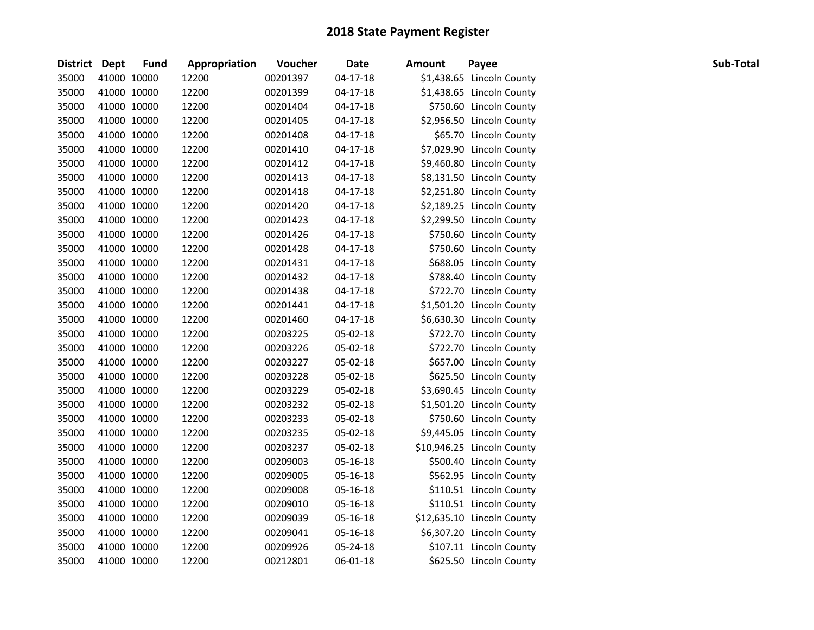| District Dept |             | <b>Fund</b> | Appropriation | Voucher  | <b>Date</b>    | Amount | Payee                      | Sub-Total |
|---------------|-------------|-------------|---------------|----------|----------------|--------|----------------------------|-----------|
| 35000         | 41000 10000 |             | 12200         | 00201397 | $04-17-18$     |        | \$1,438.65 Lincoln County  |           |
| 35000         | 41000 10000 |             | 12200         | 00201399 | $04-17-18$     |        | \$1,438.65 Lincoln County  |           |
| 35000         | 41000 10000 |             | 12200         | 00201404 | $04-17-18$     |        | \$750.60 Lincoln County    |           |
| 35000         | 41000 10000 |             | 12200         | 00201405 | 04-17-18       |        | \$2,956.50 Lincoln County  |           |
| 35000         | 41000 10000 |             | 12200         | 00201408 | $04-17-18$     |        | \$65.70 Lincoln County     |           |
| 35000         | 41000 10000 |             | 12200         | 00201410 | 04-17-18       |        | \$7,029.90 Lincoln County  |           |
| 35000         | 41000 10000 |             | 12200         | 00201412 | $04-17-18$     |        | \$9,460.80 Lincoln County  |           |
| 35000         | 41000 10000 |             | 12200         | 00201413 | $04-17-18$     |        | \$8,131.50 Lincoln County  |           |
| 35000         | 41000 10000 |             | 12200         | 00201418 | $04 - 17 - 18$ |        | \$2,251.80 Lincoln County  |           |
| 35000         | 41000 10000 |             | 12200         | 00201420 | $04-17-18$     |        | \$2,189.25 Lincoln County  |           |
| 35000         | 41000 10000 |             | 12200         | 00201423 | 04-17-18       |        | \$2,299.50 Lincoln County  |           |
| 35000         | 41000 10000 |             | 12200         | 00201426 | $04-17-18$     |        | \$750.60 Lincoln County    |           |
| 35000         | 41000 10000 |             | 12200         | 00201428 | 04-17-18       |        | \$750.60 Lincoln County    |           |
| 35000         | 41000 10000 |             | 12200         | 00201431 | 04-17-18       |        | \$688.05 Lincoln County    |           |
| 35000         | 41000 10000 |             | 12200         | 00201432 | 04-17-18       |        | \$788.40 Lincoln County    |           |
| 35000         | 41000 10000 |             | 12200         | 00201438 | 04-17-18       |        | \$722.70 Lincoln County    |           |
| 35000         | 41000 10000 |             | 12200         | 00201441 | $04-17-18$     |        | \$1,501.20 Lincoln County  |           |
| 35000         | 41000 10000 |             | 12200         | 00201460 | 04-17-18       |        | \$6,630.30 Lincoln County  |           |
| 35000         | 41000 10000 |             | 12200         | 00203225 | 05-02-18       |        | \$722.70 Lincoln County    |           |
| 35000         | 41000 10000 |             | 12200         | 00203226 | 05-02-18       |        | \$722.70 Lincoln County    |           |
| 35000         | 41000 10000 |             | 12200         | 00203227 | 05-02-18       |        | \$657.00 Lincoln County    |           |
| 35000         | 41000 10000 |             | 12200         | 00203228 | 05-02-18       |        | \$625.50 Lincoln County    |           |
| 35000         | 41000 10000 |             | 12200         | 00203229 | 05-02-18       |        | \$3,690.45 Lincoln County  |           |
| 35000         | 41000 10000 |             | 12200         | 00203232 | 05-02-18       |        | \$1,501.20 Lincoln County  |           |
| 35000         | 41000 10000 |             | 12200         | 00203233 | 05-02-18       |        | \$750.60 Lincoln County    |           |
| 35000         | 41000 10000 |             | 12200         | 00203235 | 05-02-18       |        | \$9,445.05 Lincoln County  |           |
| 35000         | 41000 10000 |             | 12200         | 00203237 | 05-02-18       |        | \$10,946.25 Lincoln County |           |
| 35000         | 41000 10000 |             | 12200         | 00209003 | 05-16-18       |        | \$500.40 Lincoln County    |           |
| 35000         | 41000 10000 |             | 12200         | 00209005 | 05-16-18       |        | \$562.95 Lincoln County    |           |
| 35000         | 41000 10000 |             | 12200         | 00209008 | 05-16-18       |        | \$110.51 Lincoln County    |           |
| 35000         | 41000 10000 |             | 12200         | 00209010 | 05-16-18       |        | \$110.51 Lincoln County    |           |
| 35000         | 41000 10000 |             | 12200         | 00209039 | 05-16-18       |        | \$12,635.10 Lincoln County |           |
| 35000         | 41000 10000 |             | 12200         | 00209041 | 05-16-18       |        | \$6,307.20 Lincoln County  |           |
| 35000         | 41000 10000 |             | 12200         | 00209926 | 05-24-18       |        | \$107.11 Lincoln County    |           |
| 35000         | 41000 10000 |             | 12200         | 00212801 | 06-01-18       |        | \$625.50 Lincoln County    |           |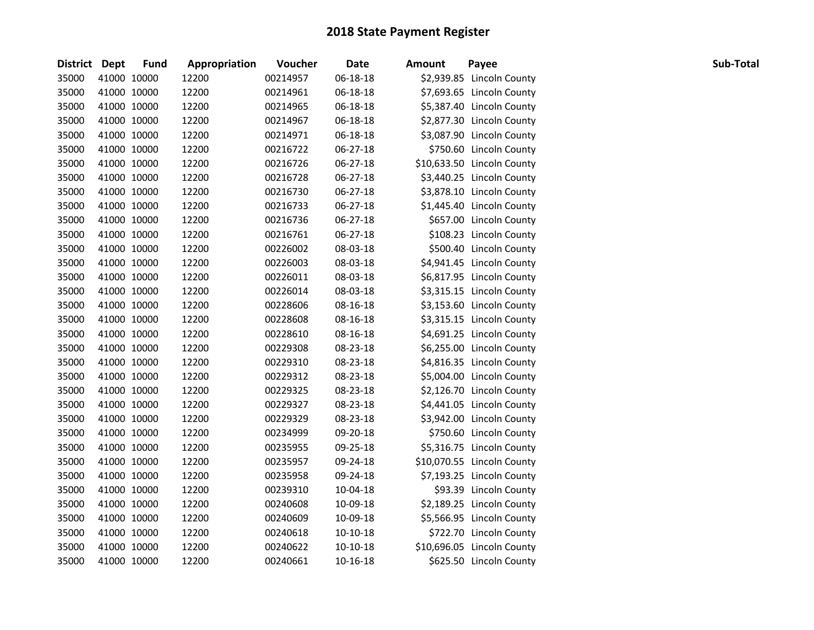| District Dept |             | <b>Fund</b> | Appropriation | Voucher  | Date       | <b>Amount</b> | Payee                      | Sub-Total |
|---------------|-------------|-------------|---------------|----------|------------|---------------|----------------------------|-----------|
| 35000         | 41000 10000 |             | 12200         | 00214957 | 06-18-18   |               | \$2,939.85 Lincoln County  |           |
| 35000         | 41000 10000 |             | 12200         | 00214961 | 06-18-18   |               | \$7,693.65 Lincoln County  |           |
| 35000         | 41000 10000 |             | 12200         | 00214965 | 06-18-18   |               | \$5,387.40 Lincoln County  |           |
| 35000         | 41000 10000 |             | 12200         | 00214967 | 06-18-18   |               | \$2,877.30 Lincoln County  |           |
| 35000         | 41000 10000 |             | 12200         | 00214971 | 06-18-18   |               | \$3,087.90 Lincoln County  |           |
| 35000         | 41000 10000 |             | 12200         | 00216722 | 06-27-18   |               | \$750.60 Lincoln County    |           |
| 35000         | 41000 10000 |             | 12200         | 00216726 | 06-27-18   |               | \$10,633.50 Lincoln County |           |
| 35000         | 41000 10000 |             | 12200         | 00216728 | 06-27-18   |               | \$3,440.25 Lincoln County  |           |
| 35000         | 41000 10000 |             | 12200         | 00216730 | 06-27-18   |               | \$3,878.10 Lincoln County  |           |
| 35000         | 41000 10000 |             | 12200         | 00216733 | 06-27-18   |               | \$1,445.40 Lincoln County  |           |
| 35000         | 41000 10000 |             | 12200         | 00216736 | 06-27-18   |               | \$657.00 Lincoln County    |           |
| 35000         | 41000 10000 |             | 12200         | 00216761 | 06-27-18   |               | \$108.23 Lincoln County    |           |
| 35000         | 41000 10000 |             | 12200         | 00226002 | 08-03-18   |               | \$500.40 Lincoln County    |           |
| 35000         | 41000 10000 |             | 12200         | 00226003 | 08-03-18   |               | \$4,941.45 Lincoln County  |           |
| 35000         | 41000 10000 |             | 12200         | 00226011 | 08-03-18   |               | \$6,817.95 Lincoln County  |           |
| 35000         | 41000 10000 |             | 12200         | 00226014 | 08-03-18   |               | \$3,315.15 Lincoln County  |           |
| 35000         | 41000 10000 |             | 12200         | 00228606 | 08-16-18   |               | \$3,153.60 Lincoln County  |           |
| 35000         | 41000 10000 |             | 12200         | 00228608 | 08-16-18   |               | \$3,315.15 Lincoln County  |           |
| 35000         | 41000 10000 |             | 12200         | 00228610 | 08-16-18   |               | \$4,691.25 Lincoln County  |           |
| 35000         | 41000 10000 |             | 12200         | 00229308 | 08-23-18   |               | \$6,255.00 Lincoln County  |           |
| 35000         | 41000 10000 |             | 12200         | 00229310 | 08-23-18   |               | \$4,816.35 Lincoln County  |           |
| 35000         | 41000 10000 |             | 12200         | 00229312 | 08-23-18   |               | \$5,004.00 Lincoln County  |           |
| 35000         | 41000 10000 |             | 12200         | 00229325 | 08-23-18   |               | \$2,126.70 Lincoln County  |           |
| 35000         | 41000 10000 |             | 12200         | 00229327 | 08-23-18   |               | \$4,441.05 Lincoln County  |           |
| 35000         | 41000 10000 |             | 12200         | 00229329 | 08-23-18   |               | \$3,942.00 Lincoln County  |           |
| 35000         | 41000 10000 |             | 12200         | 00234999 | 09-20-18   |               | \$750.60 Lincoln County    |           |
| 35000         | 41000 10000 |             | 12200         | 00235955 | 09-25-18   |               | \$5,316.75 Lincoln County  |           |
| 35000         | 41000 10000 |             | 12200         | 00235957 | 09-24-18   |               | \$10,070.55 Lincoln County |           |
| 35000         | 41000 10000 |             | 12200         | 00235958 | 09-24-18   |               | \$7,193.25 Lincoln County  |           |
| 35000         | 41000 10000 |             | 12200         | 00239310 | 10-04-18   |               | \$93.39 Lincoln County     |           |
| 35000         | 41000 10000 |             | 12200         | 00240608 | 10-09-18   |               | \$2,189.25 Lincoln County  |           |
| 35000         | 41000 10000 |             | 12200         | 00240609 | 10-09-18   |               | \$5,566.95 Lincoln County  |           |
| 35000         | 41000 10000 |             | 12200         | 00240618 | 10-10-18   |               | \$722.70 Lincoln County    |           |
| 35000         | 41000 10000 |             | 12200         | 00240622 | $10-10-18$ |               | \$10,696.05 Lincoln County |           |
| 35000         | 41000 10000 |             | 12200         | 00240661 | 10-16-18   |               | \$625.50 Lincoln County    |           |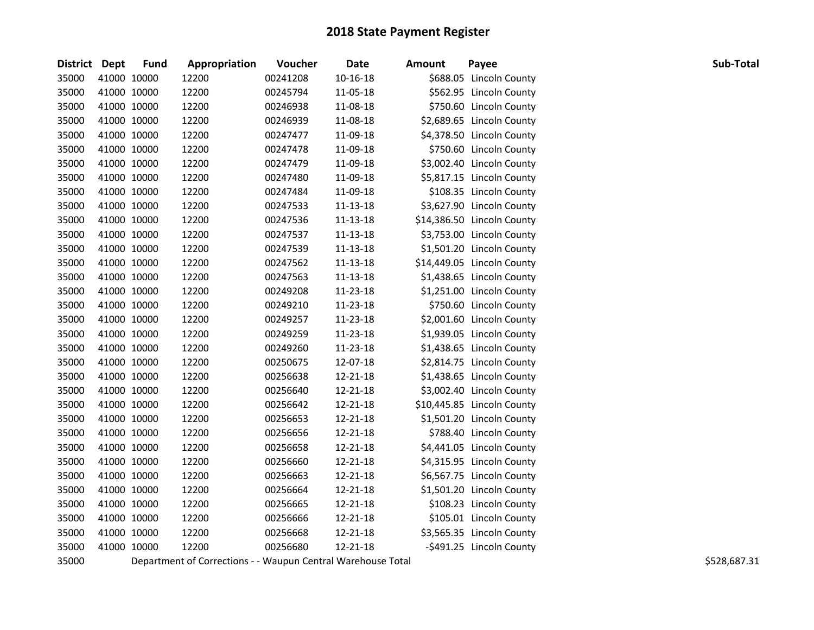| District Dept |             | <b>Fund</b> | Appropriation | Voucher  | <b>Date</b> | <b>Amount</b> | Payee                      | Sub-Total |
|---------------|-------------|-------------|---------------|----------|-------------|---------------|----------------------------|-----------|
| 35000         | 41000 10000 |             | 12200         | 00241208 | 10-16-18    |               | \$688.05 Lincoln County    |           |
| 35000         | 41000 10000 |             | 12200         | 00245794 | 11-05-18    |               | \$562.95 Lincoln County    |           |
| 35000         | 41000 10000 |             | 12200         | 00246938 | 11-08-18    |               | \$750.60 Lincoln County    |           |
| 35000         | 41000 10000 |             | 12200         | 00246939 | 11-08-18    |               | \$2,689.65 Lincoln County  |           |
| 35000         | 41000 10000 |             | 12200         | 00247477 | 11-09-18    |               | \$4,378.50 Lincoln County  |           |
| 35000         | 41000 10000 |             | 12200         | 00247478 | 11-09-18    |               | \$750.60 Lincoln County    |           |
| 35000         | 41000 10000 |             | 12200         | 00247479 | 11-09-18    |               | \$3,002.40 Lincoln County  |           |
| 35000         | 41000 10000 |             | 12200         | 00247480 | 11-09-18    |               | \$5,817.15 Lincoln County  |           |
| 35000         | 41000 10000 |             | 12200         | 00247484 | 11-09-18    |               | \$108.35 Lincoln County    |           |
| 35000         | 41000 10000 |             | 12200         | 00247533 | 11-13-18    |               | \$3,627.90 Lincoln County  |           |
| 35000         | 41000 10000 |             | 12200         | 00247536 | 11-13-18    |               | \$14,386.50 Lincoln County |           |
| 35000         | 41000 10000 |             | 12200         | 00247537 | 11-13-18    |               | \$3,753.00 Lincoln County  |           |
| 35000         | 41000 10000 |             | 12200         | 00247539 | 11-13-18    |               | \$1,501.20 Lincoln County  |           |
| 35000         | 41000 10000 |             | 12200         | 00247562 | 11-13-18    |               | \$14,449.05 Lincoln County |           |
| 35000         | 41000 10000 |             | 12200         | 00247563 | 11-13-18    |               | \$1,438.65 Lincoln County  |           |
| 35000         | 41000 10000 |             | 12200         | 00249208 | 11-23-18    |               | \$1,251.00 Lincoln County  |           |
| 35000         | 41000 10000 |             | 12200         | 00249210 | 11-23-18    |               | \$750.60 Lincoln County    |           |
| 35000         | 41000 10000 |             | 12200         | 00249257 | 11-23-18    |               | \$2,001.60 Lincoln County  |           |
| 35000         | 41000 10000 |             | 12200         | 00249259 | 11-23-18    |               | \$1,939.05 Lincoln County  |           |
| 35000         | 41000 10000 |             | 12200         | 00249260 | 11-23-18    |               | \$1,438.65 Lincoln County  |           |
| 35000         | 41000 10000 |             | 12200         | 00250675 | 12-07-18    |               | \$2,814.75 Lincoln County  |           |
| 35000         | 41000 10000 |             | 12200         | 00256638 | 12-21-18    |               | \$1,438.65 Lincoln County  |           |
| 35000         | 41000 10000 |             | 12200         | 00256640 | 12-21-18    |               | \$3,002.40 Lincoln County  |           |
| 35000         | 41000 10000 |             | 12200         | 00256642 | 12-21-18    |               | \$10,445.85 Lincoln County |           |
| 35000         | 41000 10000 |             | 12200         | 00256653 | 12-21-18    |               | \$1,501.20 Lincoln County  |           |
| 35000         | 41000 10000 |             | 12200         | 00256656 | 12-21-18    |               | \$788.40 Lincoln County    |           |
| 35000         | 41000 10000 |             | 12200         | 00256658 | 12-21-18    |               | \$4,441.05 Lincoln County  |           |
| 35000         | 41000 10000 |             | 12200         | 00256660 | 12-21-18    |               | \$4,315.95 Lincoln County  |           |
| 35000         | 41000 10000 |             | 12200         | 00256663 | 12-21-18    |               | \$6,567.75 Lincoln County  |           |
| 35000         | 41000 10000 |             | 12200         | 00256664 | 12-21-18    |               | \$1,501.20 Lincoln County  |           |
| 35000         | 41000 10000 |             | 12200         | 00256665 | 12-21-18    |               | \$108.23 Lincoln County    |           |
| 35000         | 41000 10000 |             | 12200         | 00256666 | 12-21-18    |               | \$105.01 Lincoln County    |           |
| 35000         | 41000 10000 |             | 12200         | 00256668 | 12-21-18    |               | \$3,565.35 Lincoln County  |           |
| 35000         | 41000 10000 |             | 12200         | 00256680 | 12-21-18    |               | -\$491.25 Lincoln County   |           |
|               |             |             |               |          |             |               |                            |           |

35000 Department of Corrections - - Waupun Central Warehouse Total **Sharehouse Total** \$5000 Separations 5528,687.31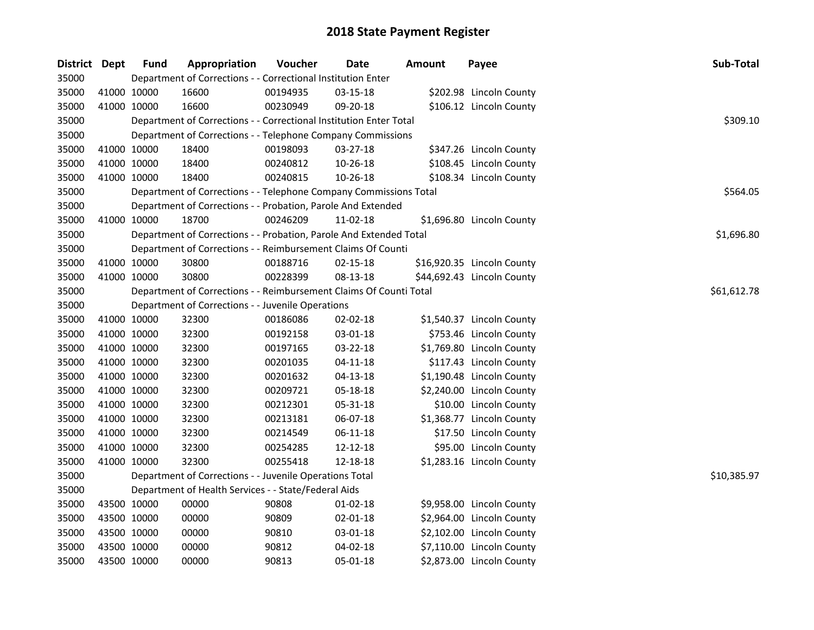| District Dept |             | <b>Fund</b> | Appropriation                                                      | Voucher     | <b>Date</b>    | <b>Amount</b> | Payee                      | Sub-Total   |
|---------------|-------------|-------------|--------------------------------------------------------------------|-------------|----------------|---------------|----------------------------|-------------|
| 35000         |             |             | Department of Corrections - - Correctional Institution Enter       |             |                |               |                            |             |
| 35000         | 41000 10000 |             | 16600                                                              | 00194935    | 03-15-18       |               | \$202.98 Lincoln County    |             |
| 35000         | 41000 10000 |             | 16600                                                              | 00230949    | 09-20-18       |               | \$106.12 Lincoln County    |             |
| 35000         |             |             | Department of Corrections - - Correctional Institution Enter Total |             |                |               |                            | \$309.10    |
| 35000         |             |             | Department of Corrections - - Telephone Company Commissions        |             |                |               |                            |             |
| 35000         | 41000 10000 |             | 18400                                                              | 00198093    | $03 - 27 - 18$ |               | \$347.26 Lincoln County    |             |
| 35000         | 41000 10000 |             | 18400                                                              | 00240812    | 10-26-18       |               | \$108.45 Lincoln County    |             |
| 35000         | 41000 10000 |             | 18400                                                              | 00240815    | 10-26-18       |               | \$108.34 Lincoln County    |             |
| 35000         |             |             | Department of Corrections - - Telephone Company Commissions Total  |             |                |               |                            | \$564.05    |
| 35000         |             |             | Department of Corrections - - Probation, Parole And Extended       |             |                |               |                            |             |
| 35000         | 41000 10000 |             | 18700                                                              | 00246209    | 11-02-18       |               | \$1,696.80 Lincoln County  |             |
| 35000         |             |             | Department of Corrections - - Probation, Parole And Extended Total |             |                |               |                            | \$1,696.80  |
| 35000         |             |             | Department of Corrections - - Reimbursement Claims Of Counti       |             |                |               |                            |             |
| 35000         | 41000 10000 |             | 30800                                                              | 00188716    | 02-15-18       |               | \$16,920.35 Lincoln County |             |
| 35000         | 41000 10000 |             | 30800                                                              | 00228399    | 08-13-18       |               | \$44,692.43 Lincoln County |             |
| 35000         |             |             | Department of Corrections - - Reimbursement Claims Of Counti Total | \$61,612.78 |                |               |                            |             |
| 35000         |             |             | Department of Corrections - - Juvenile Operations                  |             |                |               |                            |             |
| 35000         | 41000 10000 |             | 32300                                                              | 00186086    | 02-02-18       |               | \$1,540.37 Lincoln County  |             |
| 35000         | 41000 10000 |             | 32300                                                              | 00192158    | 03-01-18       |               | \$753.46 Lincoln County    |             |
| 35000         | 41000 10000 |             | 32300                                                              | 00197165    | 03-22-18       |               | \$1,769.80 Lincoln County  |             |
| 35000         | 41000 10000 |             | 32300                                                              | 00201035    | $04 - 11 - 18$ |               | \$117.43 Lincoln County    |             |
| 35000         | 41000 10000 |             | 32300                                                              | 00201632    | $04-13-18$     |               | \$1,190.48 Lincoln County  |             |
| 35000         | 41000 10000 |             | 32300                                                              | 00209721    | 05-18-18       |               | \$2,240.00 Lincoln County  |             |
| 35000         | 41000 10000 |             | 32300                                                              | 00212301    | 05-31-18       |               | \$10.00 Lincoln County     |             |
| 35000         | 41000 10000 |             | 32300                                                              | 00213181    | 06-07-18       |               | \$1,368.77 Lincoln County  |             |
| 35000         | 41000 10000 |             | 32300                                                              | 00214549    | 06-11-18       |               | \$17.50 Lincoln County     |             |
| 35000         | 41000 10000 |             | 32300                                                              | 00254285    | 12-12-18       |               | \$95.00 Lincoln County     |             |
| 35000         | 41000 10000 |             | 32300                                                              | 00255418    | 12-18-18       |               | \$1,283.16 Lincoln County  |             |
| 35000         |             |             | Department of Corrections - - Juvenile Operations Total            |             |                |               |                            | \$10,385.97 |
| 35000         |             |             | Department of Health Services - - State/Federal Aids               |             |                |               |                            |             |
| 35000         | 43500 10000 |             | 00000                                                              | 90808       | $01 - 02 - 18$ |               | \$9,958.00 Lincoln County  |             |
| 35000         | 43500 10000 |             | 00000                                                              | 90809       | $02 - 01 - 18$ |               | \$2,964.00 Lincoln County  |             |
| 35000         | 43500 10000 |             | 00000                                                              | 90810       | 03-01-18       |               | \$2,102.00 Lincoln County  |             |
| 35000         | 43500 10000 |             | 00000                                                              | 90812       | 04-02-18       |               | \$7,110.00 Lincoln County  |             |
| 35000         | 43500 10000 |             | 00000                                                              | 90813       | 05-01-18       |               | \$2,873.00 Lincoln County  |             |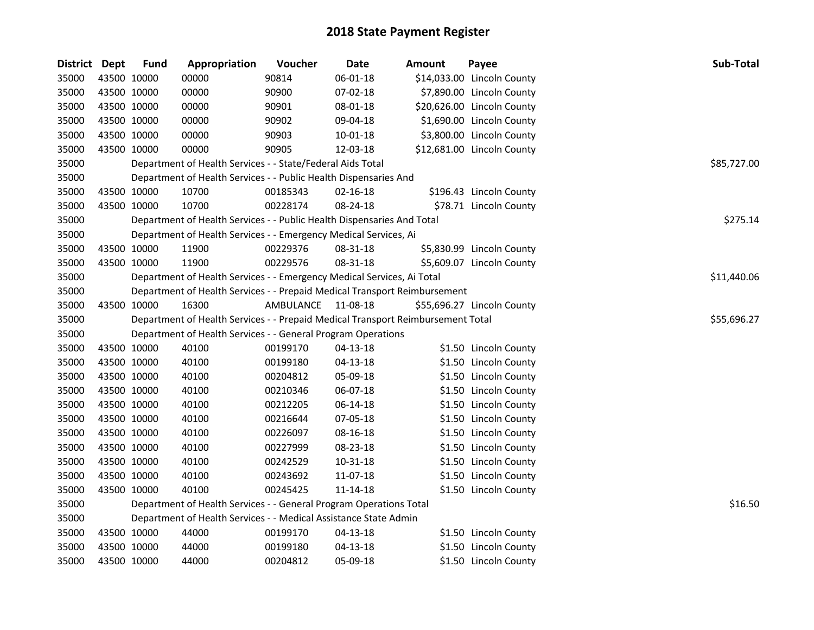| District Dept |             | <b>Fund</b> | Appropriation                                                                   | Voucher   | <b>Date</b>    | <b>Amount</b> | Payee                      | Sub-Total   |
|---------------|-------------|-------------|---------------------------------------------------------------------------------|-----------|----------------|---------------|----------------------------|-------------|
| 35000         | 43500 10000 |             | 00000                                                                           | 90814     | 06-01-18       |               | \$14,033.00 Lincoln County |             |
| 35000         | 43500 10000 |             | 00000                                                                           | 90900     | $07-02-18$     |               | \$7,890.00 Lincoln County  |             |
| 35000         | 43500 10000 |             | 00000                                                                           | 90901     | 08-01-18       |               | \$20,626.00 Lincoln County |             |
| 35000         | 43500 10000 |             | 00000                                                                           | 90902     | 09-04-18       |               | \$1,690.00 Lincoln County  |             |
| 35000         | 43500 10000 |             | 00000                                                                           | 90903     | 10-01-18       |               | \$3,800.00 Lincoln County  |             |
| 35000         | 43500 10000 |             | 00000                                                                           | 90905     | 12-03-18       |               | \$12,681.00 Lincoln County |             |
| 35000         |             |             | Department of Health Services - - State/Federal Aids Total                      |           |                |               |                            | \$85,727.00 |
| 35000         |             |             | Department of Health Services - - Public Health Dispensaries And                |           |                |               |                            |             |
| 35000         | 43500 10000 |             | 10700                                                                           | 00185343  | $02 - 16 - 18$ |               | \$196.43 Lincoln County    |             |
| 35000         | 43500 10000 |             | 10700                                                                           | 00228174  | 08-24-18       |               | \$78.71 Lincoln County     |             |
| 35000         |             |             | Department of Health Services - - Public Health Dispensaries And Total          |           |                |               |                            | \$275.14    |
| 35000         |             |             | Department of Health Services - - Emergency Medical Services, Ai                |           |                |               |                            |             |
| 35000         | 43500 10000 |             | 11900                                                                           | 00229376  | 08-31-18       |               | \$5,830.99 Lincoln County  |             |
| 35000         | 43500 10000 |             | 11900                                                                           | 00229576  | 08-31-18       |               | \$5,609.07 Lincoln County  |             |
| 35000         |             |             | Department of Health Services - - Emergency Medical Services, Ai Total          |           |                |               |                            | \$11,440.06 |
| 35000         |             |             | Department of Health Services - - Prepaid Medical Transport Reimbursement       |           |                |               |                            |             |
| 35000         | 43500 10000 |             | 16300                                                                           | AMBULANCE | 11-08-18       |               | \$55,696.27 Lincoln County |             |
| 35000         |             |             | Department of Health Services - - Prepaid Medical Transport Reimbursement Total |           |                |               |                            | \$55,696.27 |
| 35000         |             |             | Department of Health Services - - General Program Operations                    |           |                |               |                            |             |
| 35000         | 43500 10000 |             | 40100                                                                           | 00199170  | $04 - 13 - 18$ |               | \$1.50 Lincoln County      |             |
| 35000         | 43500 10000 |             | 40100                                                                           | 00199180  | 04-13-18       |               | \$1.50 Lincoln County      |             |
| 35000         | 43500 10000 |             | 40100                                                                           | 00204812  | 05-09-18       |               | \$1.50 Lincoln County      |             |
| 35000         | 43500 10000 |             | 40100                                                                           | 00210346  | 06-07-18       |               | \$1.50 Lincoln County      |             |
| 35000         | 43500 10000 |             | 40100                                                                           | 00212205  | 06-14-18       |               | \$1.50 Lincoln County      |             |
| 35000         | 43500 10000 |             | 40100                                                                           | 00216644  | 07-05-18       |               | \$1.50 Lincoln County      |             |
| 35000         | 43500 10000 |             | 40100                                                                           | 00226097  | 08-16-18       |               | \$1.50 Lincoln County      |             |
| 35000         | 43500 10000 |             | 40100                                                                           | 00227999  | 08-23-18       |               | \$1.50 Lincoln County      |             |
| 35000         | 43500 10000 |             | 40100                                                                           | 00242529  | 10-31-18       |               | \$1.50 Lincoln County      |             |
| 35000         | 43500 10000 |             | 40100                                                                           | 00243692  | 11-07-18       |               | \$1.50 Lincoln County      |             |
| 35000         |             | 43500 10000 | 40100                                                                           | 00245425  | 11-14-18       |               | \$1.50 Lincoln County      |             |
| 35000         |             |             | Department of Health Services - - General Program Operations Total              |           |                |               |                            | \$16.50     |
| 35000         |             |             | Department of Health Services - - Medical Assistance State Admin                |           |                |               |                            |             |
| 35000         | 43500 10000 |             | 44000                                                                           | 00199170  | 04-13-18       |               | \$1.50 Lincoln County      |             |
| 35000         | 43500 10000 |             | 44000                                                                           | 00199180  | $04 - 13 - 18$ |               | \$1.50 Lincoln County      |             |
| 35000         | 43500 10000 |             | 44000                                                                           | 00204812  | 05-09-18       |               | \$1.50 Lincoln County      |             |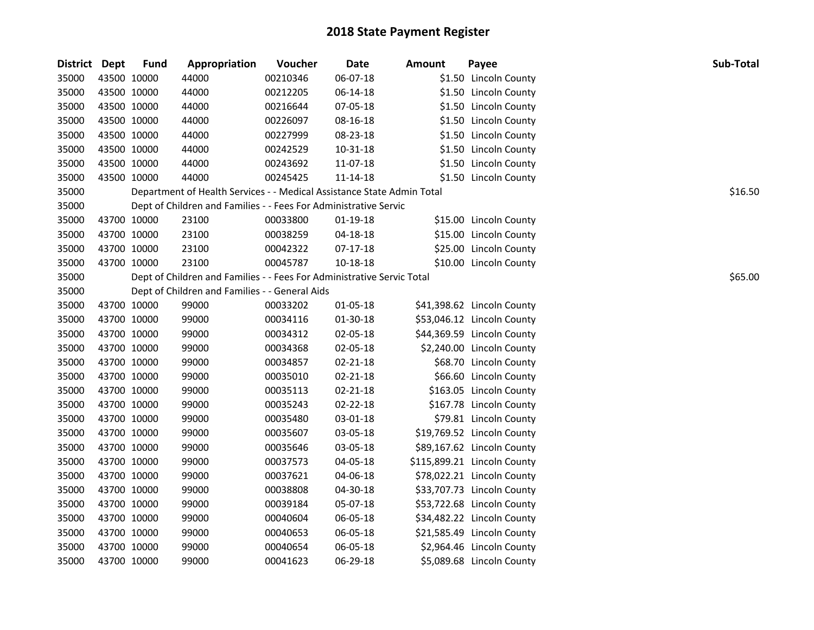| District Dept |             | <b>Fund</b> | Appropriation                                                          | Voucher  | <b>Date</b>    | <b>Amount</b> | Payee                       | Sub-Total |
|---------------|-------------|-------------|------------------------------------------------------------------------|----------|----------------|---------------|-----------------------------|-----------|
| 35000         |             | 43500 10000 | 44000                                                                  | 00210346 | 06-07-18       |               | \$1.50 Lincoln County       |           |
| 35000         |             | 43500 10000 | 44000                                                                  | 00212205 | 06-14-18       |               | \$1.50 Lincoln County       |           |
| 35000         |             | 43500 10000 | 44000                                                                  | 00216644 | 07-05-18       |               | \$1.50 Lincoln County       |           |
| 35000         |             | 43500 10000 | 44000                                                                  | 00226097 | 08-16-18       |               | \$1.50 Lincoln County       |           |
| 35000         |             | 43500 10000 | 44000                                                                  | 00227999 | 08-23-18       |               | \$1.50 Lincoln County       |           |
| 35000         |             | 43500 10000 | 44000                                                                  | 00242529 | 10-31-18       |               | \$1.50 Lincoln County       |           |
| 35000         |             | 43500 10000 | 44000                                                                  | 00243692 | 11-07-18       |               | \$1.50 Lincoln County       |           |
| 35000         |             | 43500 10000 | 44000                                                                  | 00245425 | $11 - 14 - 18$ |               | \$1.50 Lincoln County       |           |
| 35000         |             |             | Department of Health Services - - Medical Assistance State Admin Total |          |                |               |                             | \$16.50   |
| 35000         |             |             | Dept of Children and Families - - Fees For Administrative Servic       |          |                |               |                             |           |
| 35000         |             | 43700 10000 | 23100                                                                  | 00033800 | 01-19-18       |               | \$15.00 Lincoln County      |           |
| 35000         |             | 43700 10000 | 23100                                                                  | 00038259 | 04-18-18       |               | \$15.00 Lincoln County      |           |
| 35000         |             | 43700 10000 | 23100                                                                  | 00042322 | 07-17-18       |               | \$25.00 Lincoln County      |           |
| 35000         |             | 43700 10000 | 23100                                                                  | 00045787 | 10-18-18       |               | \$10.00 Lincoln County      |           |
| 35000         |             |             | Dept of Children and Families - - Fees For Administrative Servic Total |          |                |               |                             | \$65.00   |
| 35000         |             |             | Dept of Children and Families - - General Aids                         |          |                |               |                             |           |
| 35000         |             | 43700 10000 | 99000                                                                  | 00033202 | 01-05-18       |               | \$41,398.62 Lincoln County  |           |
| 35000         |             | 43700 10000 | 99000                                                                  | 00034116 | 01-30-18       |               | \$53,046.12 Lincoln County  |           |
| 35000         |             | 43700 10000 | 99000                                                                  | 00034312 | 02-05-18       |               | \$44,369.59 Lincoln County  |           |
| 35000         |             | 43700 10000 | 99000                                                                  | 00034368 | 02-05-18       |               | \$2,240.00 Lincoln County   |           |
| 35000         |             | 43700 10000 | 99000                                                                  | 00034857 | 02-21-18       |               | \$68.70 Lincoln County      |           |
| 35000         |             | 43700 10000 | 99000                                                                  | 00035010 | 02-21-18       |               | \$66.60 Lincoln County      |           |
| 35000         |             | 43700 10000 | 99000                                                                  | 00035113 | 02-21-18       |               | \$163.05 Lincoln County     |           |
| 35000         |             | 43700 10000 | 99000                                                                  | 00035243 | 02-22-18       |               | \$167.78 Lincoln County     |           |
| 35000         |             | 43700 10000 | 99000                                                                  | 00035480 | 03-01-18       |               | \$79.81 Lincoln County      |           |
| 35000         |             | 43700 10000 | 99000                                                                  | 00035607 | 03-05-18       |               | \$19,769.52 Lincoln County  |           |
| 35000         |             | 43700 10000 | 99000                                                                  | 00035646 | 03-05-18       |               | \$89,167.62 Lincoln County  |           |
| 35000         |             | 43700 10000 | 99000                                                                  | 00037573 | 04-05-18       |               | \$115,899.21 Lincoln County |           |
| 35000         |             | 43700 10000 | 99000                                                                  | 00037621 | 04-06-18       |               | \$78,022.21 Lincoln County  |           |
| 35000         |             | 43700 10000 | 99000                                                                  | 00038808 | 04-30-18       |               | \$33,707.73 Lincoln County  |           |
| 35000         |             | 43700 10000 | 99000                                                                  | 00039184 | 05-07-18       |               | \$53,722.68 Lincoln County  |           |
| 35000         |             | 43700 10000 | 99000                                                                  | 00040604 | 06-05-18       |               | \$34,482.22 Lincoln County  |           |
| 35000         |             | 43700 10000 | 99000                                                                  | 00040653 | 06-05-18       |               | \$21,585.49 Lincoln County  |           |
| 35000         |             | 43700 10000 | 99000                                                                  | 00040654 | 06-05-18       |               | \$2,964.46 Lincoln County   |           |
| 35000         | 43700 10000 |             | 99000                                                                  | 00041623 | 06-29-18       |               | \$5,089.68 Lincoln County   |           |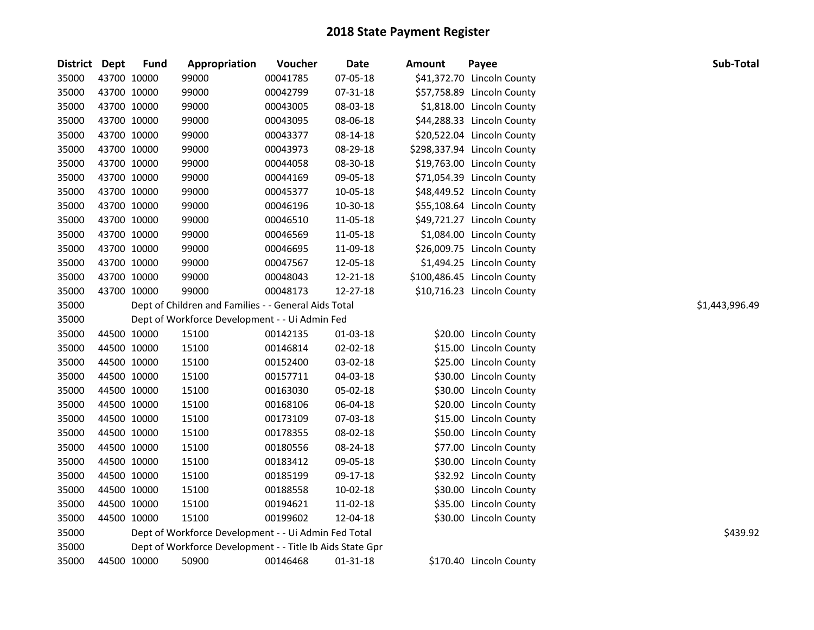| <b>District</b> | Dept        | <b>Fund</b> | Appropriation                                             | Voucher  | Date     | <b>Amount</b> | Payee                       | Sub-Total      |
|-----------------|-------------|-------------|-----------------------------------------------------------|----------|----------|---------------|-----------------------------|----------------|
| 35000           | 43700 10000 |             | 99000                                                     | 00041785 | 07-05-18 |               | \$41,372.70 Lincoln County  |                |
| 35000           | 43700 10000 |             | 99000                                                     | 00042799 | 07-31-18 |               | \$57,758.89 Lincoln County  |                |
| 35000           | 43700 10000 |             | 99000                                                     | 00043005 | 08-03-18 |               | \$1,818.00 Lincoln County   |                |
| 35000           | 43700 10000 |             | 99000                                                     | 00043095 | 08-06-18 |               | \$44,288.33 Lincoln County  |                |
| 35000           | 43700 10000 |             | 99000                                                     | 00043377 | 08-14-18 |               | \$20,522.04 Lincoln County  |                |
| 35000           | 43700 10000 |             | 99000                                                     | 00043973 | 08-29-18 |               | \$298,337.94 Lincoln County |                |
| 35000           | 43700 10000 |             | 99000                                                     | 00044058 | 08-30-18 |               | \$19,763.00 Lincoln County  |                |
| 35000           | 43700 10000 |             | 99000                                                     | 00044169 | 09-05-18 |               | \$71,054.39 Lincoln County  |                |
| 35000           | 43700 10000 |             | 99000                                                     | 00045377 | 10-05-18 |               | \$48,449.52 Lincoln County  |                |
| 35000           | 43700 10000 |             | 99000                                                     | 00046196 | 10-30-18 |               | \$55,108.64 Lincoln County  |                |
| 35000           | 43700 10000 |             | 99000                                                     | 00046510 | 11-05-18 |               | \$49,721.27 Lincoln County  |                |
| 35000           | 43700 10000 |             | 99000                                                     | 00046569 | 11-05-18 |               | \$1,084.00 Lincoln County   |                |
| 35000           | 43700 10000 |             | 99000                                                     | 00046695 | 11-09-18 |               | \$26,009.75 Lincoln County  |                |
| 35000           | 43700 10000 |             | 99000                                                     | 00047567 | 12-05-18 |               | \$1,494.25 Lincoln County   |                |
| 35000           | 43700 10000 |             | 99000                                                     | 00048043 | 12-21-18 |               | \$100,486.45 Lincoln County |                |
| 35000           | 43700 10000 |             | 99000                                                     | 00048173 | 12-27-18 |               | \$10,716.23 Lincoln County  |                |
| 35000           |             |             | Dept of Children and Families - - General Aids Total      |          |          |               |                             | \$1,443,996.49 |
| 35000           |             |             | Dept of Workforce Development - - Ui Admin Fed            |          |          |               |                             |                |
| 35000           | 44500 10000 |             | 15100                                                     | 00142135 | 01-03-18 |               | \$20.00 Lincoln County      |                |
| 35000           | 44500 10000 |             | 15100                                                     | 00146814 | 02-02-18 |               | \$15.00 Lincoln County      |                |
| 35000           | 44500 10000 |             | 15100                                                     | 00152400 | 03-02-18 |               | \$25.00 Lincoln County      |                |
| 35000           | 44500 10000 |             | 15100                                                     | 00157711 | 04-03-18 |               | \$30.00 Lincoln County      |                |
| 35000           | 44500 10000 |             | 15100                                                     | 00163030 | 05-02-18 |               | \$30.00 Lincoln County      |                |
| 35000           | 44500 10000 |             | 15100                                                     | 00168106 | 06-04-18 |               | \$20.00 Lincoln County      |                |
| 35000           | 44500 10000 |             | 15100                                                     | 00173109 | 07-03-18 |               | \$15.00 Lincoln County      |                |
| 35000           | 44500 10000 |             | 15100                                                     | 00178355 | 08-02-18 |               | \$50.00 Lincoln County      |                |
| 35000           | 44500 10000 |             | 15100                                                     | 00180556 | 08-24-18 |               | \$77.00 Lincoln County      |                |
| 35000           | 44500 10000 |             | 15100                                                     | 00183412 | 09-05-18 |               | \$30.00 Lincoln County      |                |
| 35000           | 44500 10000 |             | 15100                                                     | 00185199 | 09-17-18 |               | \$32.92 Lincoln County      |                |
| 35000           | 44500 10000 |             | 15100                                                     | 00188558 | 10-02-18 |               | \$30.00 Lincoln County      |                |
| 35000           | 44500 10000 |             | 15100                                                     | 00194621 | 11-02-18 |               | \$35.00 Lincoln County      |                |
| 35000           | 44500 10000 |             | 15100                                                     | 00199602 | 12-04-18 |               | \$30.00 Lincoln County      |                |
| 35000           |             |             | Dept of Workforce Development - - Ui Admin Fed Total      |          |          |               |                             | \$439.92       |
| 35000           |             |             | Dept of Workforce Development - - Title Ib Aids State Gpr |          |          |               |                             |                |
| 35000           | 44500 10000 |             | 50900                                                     | 00146468 | 01-31-18 |               | \$170.40 Lincoln County     |                |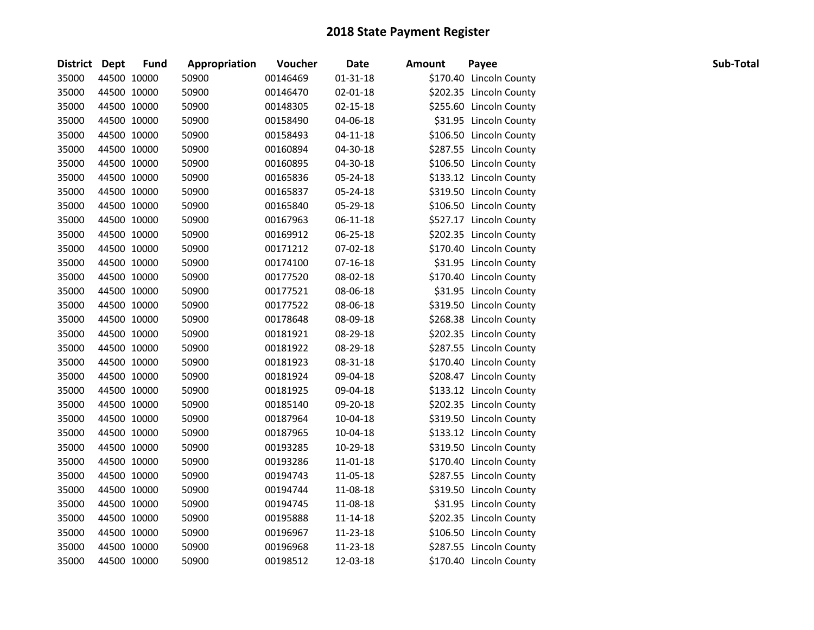| District Dept |             | <b>Fund</b> | Appropriation | Voucher  | <b>Date</b>    | <b>Amount</b> | Payee                   | Sub-Total |
|---------------|-------------|-------------|---------------|----------|----------------|---------------|-------------------------|-----------|
| 35000         | 44500 10000 |             | 50900         | 00146469 | $01 - 31 - 18$ |               | \$170.40 Lincoln County |           |
| 35000         | 44500 10000 |             | 50900         | 00146470 | 02-01-18       |               | \$202.35 Lincoln County |           |
| 35000         | 44500 10000 |             | 50900         | 00148305 | $02 - 15 - 18$ |               | \$255.60 Lincoln County |           |
| 35000         | 44500 10000 |             | 50900         | 00158490 | 04-06-18       |               | \$31.95 Lincoln County  |           |
| 35000         | 44500 10000 |             | 50900         | 00158493 | 04-11-18       |               | \$106.50 Lincoln County |           |
| 35000         | 44500 10000 |             | 50900         | 00160894 | 04-30-18       |               | \$287.55 Lincoln County |           |
| 35000         | 44500 10000 |             | 50900         | 00160895 | 04-30-18       |               | \$106.50 Lincoln County |           |
| 35000         | 44500 10000 |             | 50900         | 00165836 | 05-24-18       |               | \$133.12 Lincoln County |           |
| 35000         | 44500 10000 |             | 50900         | 00165837 | 05-24-18       |               | \$319.50 Lincoln County |           |
| 35000         | 44500 10000 |             | 50900         | 00165840 | 05-29-18       |               | \$106.50 Lincoln County |           |
| 35000         | 44500 10000 |             | 50900         | 00167963 | 06-11-18       |               | \$527.17 Lincoln County |           |
| 35000         | 44500 10000 |             | 50900         | 00169912 | 06-25-18       |               | \$202.35 Lincoln County |           |
| 35000         | 44500 10000 |             | 50900         | 00171212 | 07-02-18       |               | \$170.40 Lincoln County |           |
| 35000         | 44500 10000 |             | 50900         | 00174100 | 07-16-18       |               | \$31.95 Lincoln County  |           |
| 35000         | 44500 10000 |             | 50900         | 00177520 | 08-02-18       |               | \$170.40 Lincoln County |           |
| 35000         | 44500 10000 |             | 50900         | 00177521 | 08-06-18       |               | \$31.95 Lincoln County  |           |
| 35000         | 44500 10000 |             | 50900         | 00177522 | 08-06-18       |               | \$319.50 Lincoln County |           |
| 35000         | 44500 10000 |             | 50900         | 00178648 | 08-09-18       |               | \$268.38 Lincoln County |           |
| 35000         | 44500 10000 |             | 50900         | 00181921 | 08-29-18       |               | \$202.35 Lincoln County |           |
| 35000         | 44500 10000 |             | 50900         | 00181922 | 08-29-18       |               | \$287.55 Lincoln County |           |
| 35000         | 44500 10000 |             | 50900         | 00181923 | 08-31-18       |               | \$170.40 Lincoln County |           |
| 35000         | 44500 10000 |             | 50900         | 00181924 | 09-04-18       |               | \$208.47 Lincoln County |           |
| 35000         | 44500 10000 |             | 50900         | 00181925 | 09-04-18       |               | \$133.12 Lincoln County |           |
| 35000         | 44500 10000 |             | 50900         | 00185140 | 09-20-18       |               | \$202.35 Lincoln County |           |
| 35000         | 44500 10000 |             | 50900         | 00187964 | 10-04-18       |               | \$319.50 Lincoln County |           |
| 35000         | 44500 10000 |             | 50900         | 00187965 | 10-04-18       |               | \$133.12 Lincoln County |           |
| 35000         | 44500 10000 |             | 50900         | 00193285 | 10-29-18       |               | \$319.50 Lincoln County |           |
| 35000         | 44500 10000 |             | 50900         | 00193286 | 11-01-18       |               | \$170.40 Lincoln County |           |
| 35000         | 44500 10000 |             | 50900         | 00194743 | 11-05-18       |               | \$287.55 Lincoln County |           |
| 35000         | 44500 10000 |             | 50900         | 00194744 | 11-08-18       |               | \$319.50 Lincoln County |           |
| 35000         | 44500 10000 |             | 50900         | 00194745 | 11-08-18       |               | \$31.95 Lincoln County  |           |
| 35000         | 44500 10000 |             | 50900         | 00195888 | 11-14-18       |               | \$202.35 Lincoln County |           |
| 35000         | 44500 10000 |             | 50900         | 00196967 | 11-23-18       |               | \$106.50 Lincoln County |           |
| 35000         | 44500 10000 |             | 50900         | 00196968 | 11-23-18       |               | \$287.55 Lincoln County |           |
| 35000         | 44500 10000 |             | 50900         | 00198512 | 12-03-18       |               | \$170.40 Lincoln County |           |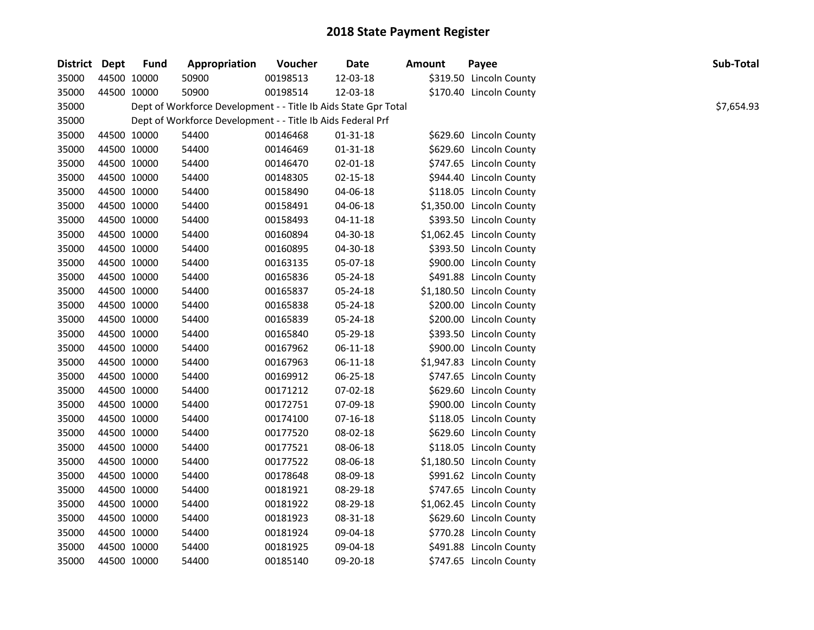| District Dept |             | <b>Fund</b> | Appropriation                                                   | Voucher  | Date           | <b>Amount</b> | Payee                     | Sub-Total  |
|---------------|-------------|-------------|-----------------------------------------------------------------|----------|----------------|---------------|---------------------------|------------|
| 35000         | 44500 10000 |             | 50900                                                           | 00198513 | 12-03-18       |               | \$319.50 Lincoln County   |            |
| 35000         | 44500 10000 |             | 50900                                                           | 00198514 | 12-03-18       |               | \$170.40 Lincoln County   |            |
| 35000         |             |             | Dept of Workforce Development - - Title Ib Aids State Gpr Total |          |                |               |                           | \$7,654.93 |
| 35000         |             |             | Dept of Workforce Development - - Title Ib Aids Federal Prf     |          |                |               |                           |            |
| 35000         | 44500 10000 |             | 54400                                                           | 00146468 | $01 - 31 - 18$ |               | \$629.60 Lincoln County   |            |
| 35000         | 44500 10000 |             | 54400                                                           | 00146469 | $01 - 31 - 18$ |               | \$629.60 Lincoln County   |            |
| 35000         | 44500 10000 |             | 54400                                                           | 00146470 | $02 - 01 - 18$ |               | \$747.65 Lincoln County   |            |
| 35000         | 44500 10000 |             | 54400                                                           | 00148305 | 02-15-18       |               | \$944.40 Lincoln County   |            |
| 35000         | 44500 10000 |             | 54400                                                           | 00158490 | 04-06-18       |               | \$118.05 Lincoln County   |            |
| 35000         | 44500 10000 |             | 54400                                                           | 00158491 | 04-06-18       |               | \$1,350.00 Lincoln County |            |
| 35000         | 44500 10000 |             | 54400                                                           | 00158493 | $04 - 11 - 18$ |               | \$393.50 Lincoln County   |            |
| 35000         | 44500 10000 |             | 54400                                                           | 00160894 | 04-30-18       |               | \$1,062.45 Lincoln County |            |
| 35000         | 44500 10000 |             | 54400                                                           | 00160895 | 04-30-18       |               | \$393.50 Lincoln County   |            |
| 35000         | 44500 10000 |             | 54400                                                           | 00163135 | 05-07-18       |               | \$900.00 Lincoln County   |            |
| 35000         | 44500 10000 |             | 54400                                                           | 00165836 | 05-24-18       |               | \$491.88 Lincoln County   |            |
| 35000         | 44500 10000 |             | 54400                                                           | 00165837 | 05-24-18       |               | \$1,180.50 Lincoln County |            |
| 35000         | 44500 10000 |             | 54400                                                           | 00165838 | 05-24-18       |               | \$200.00 Lincoln County   |            |
| 35000         | 44500 10000 |             | 54400                                                           | 00165839 | 05-24-18       |               | \$200.00 Lincoln County   |            |
| 35000         | 44500 10000 |             | 54400                                                           | 00165840 | 05-29-18       |               | \$393.50 Lincoln County   |            |
| 35000         | 44500 10000 |             | 54400                                                           | 00167962 | 06-11-18       |               | \$900.00 Lincoln County   |            |
| 35000         | 44500 10000 |             | 54400                                                           | 00167963 | 06-11-18       |               | \$1,947.83 Lincoln County |            |
| 35000         | 44500 10000 |             | 54400                                                           | 00169912 | 06-25-18       |               | \$747.65 Lincoln County   |            |
| 35000         | 44500 10000 |             | 54400                                                           | 00171212 | 07-02-18       |               | \$629.60 Lincoln County   |            |
| 35000         | 44500 10000 |             | 54400                                                           | 00172751 | 07-09-18       |               | \$900.00 Lincoln County   |            |
| 35000         | 44500 10000 |             | 54400                                                           | 00174100 | 07-16-18       |               | \$118.05 Lincoln County   |            |
| 35000         | 44500 10000 |             | 54400                                                           | 00177520 | 08-02-18       |               | \$629.60 Lincoln County   |            |
| 35000         | 44500 10000 |             | 54400                                                           | 00177521 | 08-06-18       |               | \$118.05 Lincoln County   |            |
| 35000         | 44500 10000 |             | 54400                                                           | 00177522 | 08-06-18       |               | \$1,180.50 Lincoln County |            |
| 35000         | 44500 10000 |             | 54400                                                           | 00178648 | 08-09-18       |               | \$991.62 Lincoln County   |            |
| 35000         | 44500 10000 |             | 54400                                                           | 00181921 | 08-29-18       |               | \$747.65 Lincoln County   |            |
| 35000         | 44500 10000 |             | 54400                                                           | 00181922 | 08-29-18       |               | \$1,062.45 Lincoln County |            |
| 35000         | 44500 10000 |             | 54400                                                           | 00181923 | 08-31-18       |               | \$629.60 Lincoln County   |            |
| 35000         | 44500 10000 |             | 54400                                                           | 00181924 | 09-04-18       |               | \$770.28 Lincoln County   |            |
| 35000         | 44500 10000 |             | 54400                                                           | 00181925 | 09-04-18       |               | \$491.88 Lincoln County   |            |
| 35000         | 44500 10000 |             | 54400                                                           | 00185140 | 09-20-18       |               | \$747.65 Lincoln County   |            |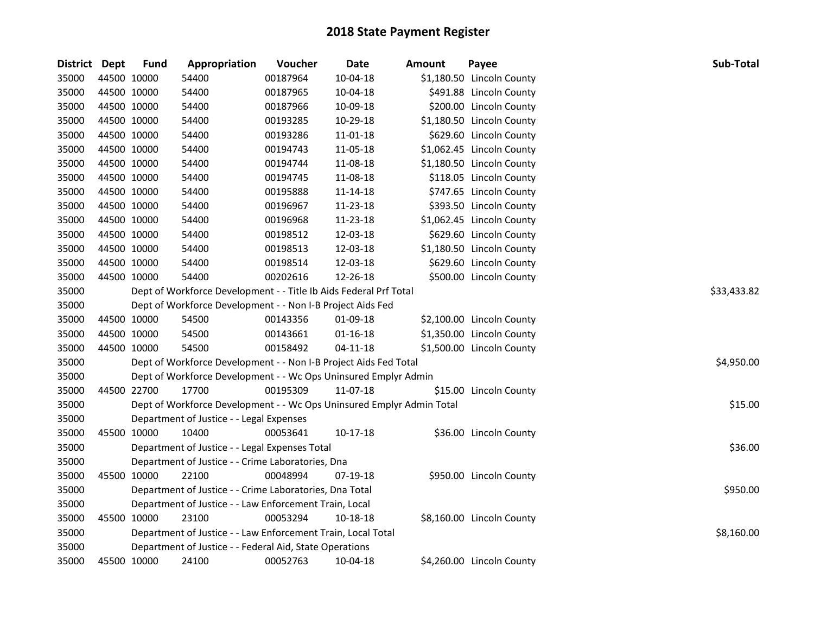| <b>District</b> | <b>Dept</b> | <b>Fund</b> | Appropriation                                                         | Voucher     | <b>Date</b>    | Amount | Payee                     | Sub-Total  |
|-----------------|-------------|-------------|-----------------------------------------------------------------------|-------------|----------------|--------|---------------------------|------------|
| 35000           |             | 44500 10000 | 54400                                                                 | 00187964    | $10-04-18$     |        | \$1,180.50 Lincoln County |            |
| 35000           |             | 44500 10000 | 54400                                                                 | 00187965    | 10-04-18       |        | \$491.88 Lincoln County   |            |
| 35000           |             | 44500 10000 | 54400                                                                 | 00187966    | 10-09-18       |        | \$200.00 Lincoln County   |            |
| 35000           |             | 44500 10000 | 54400                                                                 | 00193285    | 10-29-18       |        | \$1,180.50 Lincoln County |            |
| 35000           |             | 44500 10000 | 54400                                                                 | 00193286    | 11-01-18       |        | \$629.60 Lincoln County   |            |
| 35000           |             | 44500 10000 | 54400                                                                 | 00194743    | 11-05-18       |        | \$1,062.45 Lincoln County |            |
| 35000           |             | 44500 10000 | 54400                                                                 | 00194744    | 11-08-18       |        | \$1,180.50 Lincoln County |            |
| 35000           |             | 44500 10000 | 54400                                                                 | 00194745    | 11-08-18       |        | \$118.05 Lincoln County   |            |
| 35000           |             | 44500 10000 | 54400                                                                 | 00195888    | 11-14-18       |        | \$747.65 Lincoln County   |            |
| 35000           |             | 44500 10000 | 54400                                                                 | 00196967    | 11-23-18       |        | \$393.50 Lincoln County   |            |
| 35000           |             | 44500 10000 | 54400                                                                 | 00196968    | 11-23-18       |        | \$1,062.45 Lincoln County |            |
| 35000           |             | 44500 10000 | 54400                                                                 | 00198512    | 12-03-18       |        | \$629.60 Lincoln County   |            |
| 35000           |             | 44500 10000 | 54400                                                                 | 00198513    | 12-03-18       |        | \$1,180.50 Lincoln County |            |
| 35000           |             | 44500 10000 | 54400                                                                 | 00198514    | 12-03-18       |        | \$629.60 Lincoln County   |            |
| 35000           |             | 44500 10000 | 54400                                                                 | 00202616    | 12-26-18       |        | \$500.00 Lincoln County   |            |
| 35000           |             |             | Dept of Workforce Development - - Title Ib Aids Federal Prf Total     | \$33,433.82 |                |        |                           |            |
| 35000           |             |             | Dept of Workforce Development - - Non I-B Project Aids Fed            |             |                |        |                           |            |
| 35000           |             | 44500 10000 | 54500                                                                 | 00143356    | 01-09-18       |        | \$2,100.00 Lincoln County |            |
| 35000           |             | 44500 10000 | 54500                                                                 | 00143661    | $01 - 16 - 18$ |        | \$1,350.00 Lincoln County |            |
| 35000           |             | 44500 10000 | 54500                                                                 | 00158492    | $04 - 11 - 18$ |        | \$1,500.00 Lincoln County |            |
| 35000           |             |             | Dept of Workforce Development - - Non I-B Project Aids Fed Total      |             |                |        |                           | \$4,950.00 |
| 35000           |             |             | Dept of Workforce Development - - Wc Ops Uninsured Emplyr Admin       |             |                |        |                           |            |
| 35000           |             | 44500 22700 | 17700                                                                 | 00195309    | 11-07-18       |        | \$15.00 Lincoln County    |            |
| 35000           |             |             | Dept of Workforce Development - - Wc Ops Uninsured Emplyr Admin Total |             |                |        |                           | \$15.00    |
| 35000           |             |             | Department of Justice - - Legal Expenses                              |             |                |        |                           |            |
| 35000           |             | 45500 10000 | 10400                                                                 | 00053641    | $10-17-18$     |        | \$36.00 Lincoln County    |            |
| 35000           |             |             | Department of Justice - - Legal Expenses Total                        |             |                |        |                           | \$36.00    |
| 35000           |             |             | Department of Justice - - Crime Laboratories, Dna                     |             |                |        |                           |            |
| 35000           |             | 45500 10000 | 22100                                                                 | 00048994    | 07-19-18       |        | \$950.00 Lincoln County   |            |
| 35000           |             |             | Department of Justice - - Crime Laboratories, Dna Total               |             |                |        |                           | \$950.00   |
| 35000           |             |             | Department of Justice - - Law Enforcement Train, Local                |             |                |        |                           |            |
| 35000           |             | 45500 10000 | 23100                                                                 | 00053294    | 10-18-18       |        | \$8,160.00 Lincoln County |            |
| 35000           |             |             | Department of Justice - - Law Enforcement Train, Local Total          |             |                |        |                           | \$8,160.00 |
| 35000           |             |             | Department of Justice - - Federal Aid, State Operations               |             |                |        |                           |            |
| 35000           |             | 45500 10000 | 24100                                                                 | 00052763    | 10-04-18       |        | \$4,260.00 Lincoln County |            |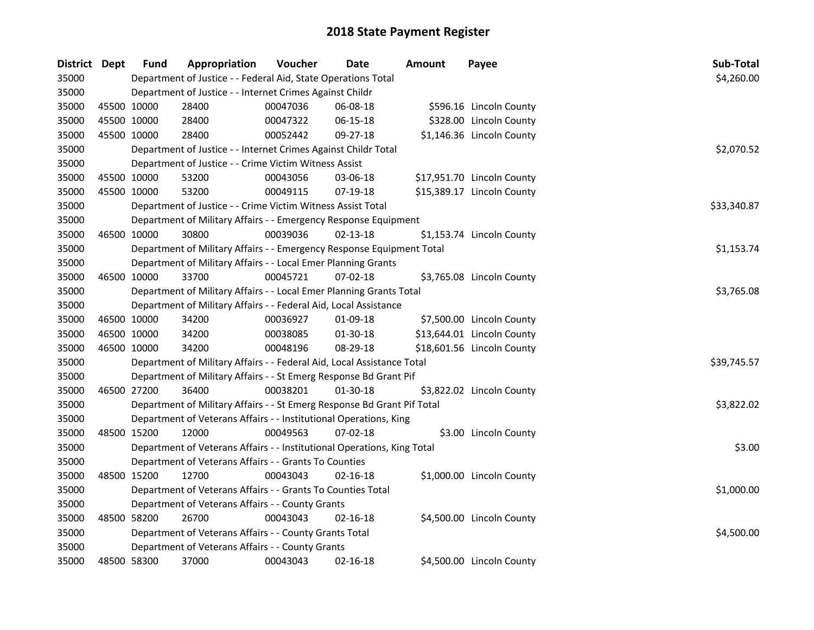| <b>District</b> | Dept        | <b>Fund</b>                                      | Appropriation                                                           | Voucher    | Date           | Amount | Payee                      | Sub-Total   |
|-----------------|-------------|--------------------------------------------------|-------------------------------------------------------------------------|------------|----------------|--------|----------------------------|-------------|
| 35000           |             |                                                  | Department of Justice - - Federal Aid, State Operations Total           | \$4,260.00 |                |        |                            |             |
| 35000           |             |                                                  | Department of Justice - - Internet Crimes Against Childr                |            |                |        |                            |             |
| 35000           | 45500 10000 |                                                  | 28400                                                                   | 00047036   | 06-08-18       |        | \$596.16 Lincoln County    |             |
| 35000           | 45500 10000 |                                                  | 28400                                                                   | 00047322   | 06-15-18       |        | \$328.00 Lincoln County    |             |
| 35000           | 45500 10000 |                                                  | 28400                                                                   | 00052442   | 09-27-18       |        | \$1,146.36 Lincoln County  |             |
| 35000           |             |                                                  | Department of Justice - - Internet Crimes Against Childr Total          |            |                |        |                            | \$2,070.52  |
| 35000           |             |                                                  | Department of Justice - - Crime Victim Witness Assist                   |            |                |        |                            |             |
| 35000           | 45500 10000 |                                                  | 53200                                                                   | 00043056   | 03-06-18       |        | \$17,951.70 Lincoln County |             |
| 35000           | 45500 10000 |                                                  | 53200                                                                   | 00049115   | 07-19-18       |        | \$15,389.17 Lincoln County |             |
| 35000           |             |                                                  | Department of Justice - - Crime Victim Witness Assist Total             |            |                |        |                            | \$33,340.87 |
| 35000           |             |                                                  | Department of Military Affairs - - Emergency Response Equipment         |            |                |        |                            |             |
| 35000           | 46500 10000 |                                                  | 30800                                                                   | 00039036   | $02 - 13 - 18$ |        | \$1,153.74 Lincoln County  |             |
| 35000           |             |                                                  | Department of Military Affairs - - Emergency Response Equipment Total   |            |                |        |                            | \$1,153.74  |
| 35000           |             |                                                  | Department of Military Affairs - - Local Emer Planning Grants           |            |                |        |                            |             |
| 35000           | 46500 10000 |                                                  | 33700                                                                   | 00045721   | 07-02-18       |        | \$3,765.08 Lincoln County  |             |
| 35000           |             |                                                  | Department of Military Affairs - - Local Emer Planning Grants Total     | \$3,765.08 |                |        |                            |             |
| 35000           |             |                                                  | Department of Military Affairs - - Federal Aid, Local Assistance        |            |                |        |                            |             |
| 35000           | 46500 10000 |                                                  | 34200                                                                   | 00036927   | 01-09-18       |        | \$7,500.00 Lincoln County  |             |
| 35000           | 46500 10000 |                                                  | 34200                                                                   | 00038085   | 01-30-18       |        | \$13,644.01 Lincoln County |             |
| 35000           | 46500 10000 |                                                  | 34200                                                                   | 00048196   | 08-29-18       |        | \$18,601.56 Lincoln County |             |
| 35000           |             |                                                  | Department of Military Affairs - - Federal Aid, Local Assistance Total  |            |                |        |                            | \$39,745.57 |
| 35000           |             |                                                  | Department of Military Affairs - - St Emerg Response Bd Grant Pif       |            |                |        |                            |             |
| 35000           | 46500 27200 |                                                  | 36400                                                                   | 00038201   | 01-30-18       |        | \$3,822.02 Lincoln County  |             |
| 35000           |             |                                                  | Department of Military Affairs - - St Emerg Response Bd Grant Pif Total |            |                |        |                            | \$3,822.02  |
| 35000           |             |                                                  | Department of Veterans Affairs - - Institutional Operations, King       |            |                |        |                            |             |
| 35000           | 48500 15200 |                                                  | 12000                                                                   | 00049563   | $07 - 02 - 18$ |        | \$3.00 Lincoln County      |             |
| 35000           |             |                                                  | Department of Veterans Affairs - - Institutional Operations, King Total |            |                |        |                            | \$3.00      |
| 35000           |             |                                                  | Department of Veterans Affairs - - Grants To Counties                   |            |                |        |                            |             |
| 35000           | 48500 15200 |                                                  | 12700                                                                   | 00043043   | 02-16-18       |        | \$1,000.00 Lincoln County  |             |
| 35000           |             |                                                  | Department of Veterans Affairs - - Grants To Counties Total             |            |                |        |                            | \$1,000.00  |
| 35000           |             |                                                  | Department of Veterans Affairs - - County Grants                        |            |                |        |                            |             |
| 35000           |             | 48500 58200                                      | 26700                                                                   | 00043043   | 02-16-18       |        | \$4,500.00 Lincoln County  |             |
| 35000           |             |                                                  | Department of Veterans Affairs - - County Grants Total                  |            |                |        |                            | \$4,500.00  |
| 35000           |             | Department of Veterans Affairs - - County Grants |                                                                         |            |                |        |                            |             |
| 35000           | 48500 58300 |                                                  | 37000                                                                   | 00043043   | 02-16-18       |        | \$4,500.00 Lincoln County  |             |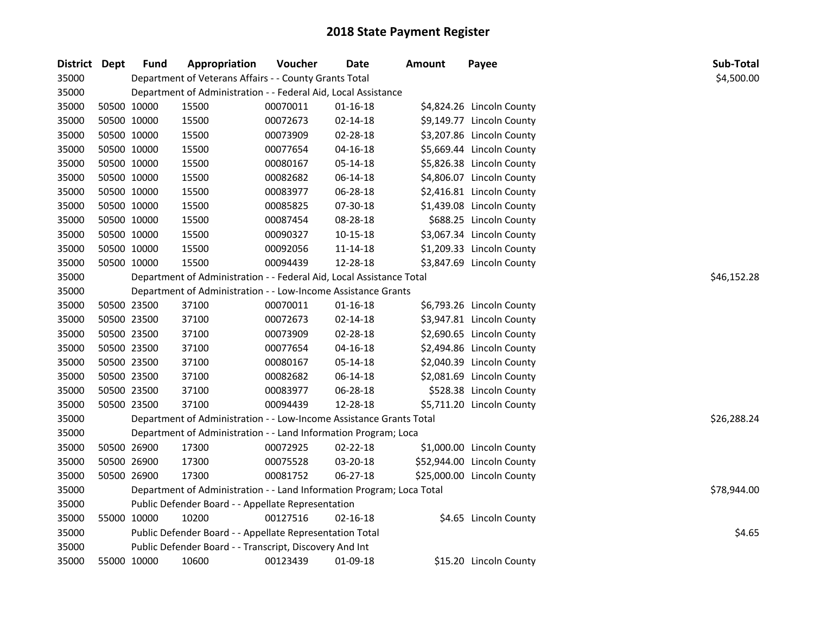| District Dept |             | <b>Fund</b> | Appropriation                                                         | Voucher  | Date           | Amount | Payee                      | Sub-Total   |
|---------------|-------------|-------------|-----------------------------------------------------------------------|----------|----------------|--------|----------------------------|-------------|
| 35000         |             |             | Department of Veterans Affairs - - County Grants Total                |          |                |        |                            | \$4,500.00  |
| 35000         |             |             | Department of Administration - - Federal Aid, Local Assistance        |          |                |        |                            |             |
| 35000         | 50500 10000 |             | 15500                                                                 | 00070011 | $01 - 16 - 18$ |        | \$4,824.26 Lincoln County  |             |
| 35000         | 50500 10000 |             | 15500                                                                 | 00072673 | $02 - 14 - 18$ |        | \$9,149.77 Lincoln County  |             |
| 35000         | 50500 10000 |             | 15500                                                                 | 00073909 | 02-28-18       |        | \$3,207.86 Lincoln County  |             |
| 35000         | 50500 10000 |             | 15500                                                                 | 00077654 | $04 - 16 - 18$ |        | \$5,669.44 Lincoln County  |             |
| 35000         | 50500 10000 |             | 15500                                                                 | 00080167 | 05-14-18       |        | \$5,826.38 Lincoln County  |             |
| 35000         | 50500 10000 |             | 15500                                                                 | 00082682 | 06-14-18       |        | \$4,806.07 Lincoln County  |             |
| 35000         | 50500 10000 |             | 15500                                                                 | 00083977 | 06-28-18       |        | \$2,416.81 Lincoln County  |             |
| 35000         | 50500 10000 |             | 15500                                                                 | 00085825 | 07-30-18       |        | \$1,439.08 Lincoln County  |             |
| 35000         | 50500 10000 |             | 15500                                                                 | 00087454 | 08-28-18       |        | \$688.25 Lincoln County    |             |
| 35000         | 50500 10000 |             | 15500                                                                 | 00090327 | 10-15-18       |        | \$3,067.34 Lincoln County  |             |
| 35000         | 50500 10000 |             | 15500                                                                 | 00092056 | 11-14-18       |        | \$1,209.33 Lincoln County  |             |
| 35000         | 50500 10000 |             | 15500                                                                 | 00094439 | 12-28-18       |        | \$3,847.69 Lincoln County  |             |
| 35000         |             |             | Department of Administration - - Federal Aid, Local Assistance Total  |          |                |        |                            | \$46,152.28 |
| 35000         |             |             | Department of Administration - - Low-Income Assistance Grants         |          |                |        |                            |             |
| 35000         | 50500 23500 |             | 37100                                                                 | 00070011 | $01 - 16 - 18$ |        | \$6,793.26 Lincoln County  |             |
| 35000         | 50500 23500 |             | 37100                                                                 | 00072673 | 02-14-18       |        | \$3,947.81 Lincoln County  |             |
| 35000         | 50500 23500 |             | 37100                                                                 | 00073909 | 02-28-18       |        | \$2,690.65 Lincoln County  |             |
| 35000         | 50500 23500 |             | 37100                                                                 | 00077654 | $04 - 16 - 18$ |        | \$2,494.86 Lincoln County  |             |
| 35000         | 50500 23500 |             | 37100                                                                 | 00080167 | 05-14-18       |        | \$2,040.39 Lincoln County  |             |
| 35000         | 50500 23500 |             | 37100                                                                 | 00082682 | 06-14-18       |        | \$2,081.69 Lincoln County  |             |
| 35000         | 50500 23500 |             | 37100                                                                 | 00083977 | 06-28-18       |        | \$528.38 Lincoln County    |             |
| 35000         | 50500 23500 |             | 37100                                                                 | 00094439 | 12-28-18       |        | \$5,711.20 Lincoln County  |             |
| 35000         |             |             | Department of Administration - - Low-Income Assistance Grants Total   |          |                |        |                            | \$26,288.24 |
| 35000         |             |             | Department of Administration - - Land Information Program; Loca       |          |                |        |                            |             |
| 35000         | 50500 26900 |             | 17300                                                                 | 00072925 | 02-22-18       |        | \$1,000.00 Lincoln County  |             |
| 35000         | 50500 26900 |             | 17300                                                                 | 00075528 | 03-20-18       |        | \$52,944.00 Lincoln County |             |
| 35000         | 50500 26900 |             | 17300                                                                 | 00081752 | 06-27-18       |        | \$25,000.00 Lincoln County |             |
| 35000         |             |             | Department of Administration - - Land Information Program; Loca Total |          |                |        |                            | \$78,944.00 |
| 35000         |             |             | Public Defender Board - - Appellate Representation                    |          |                |        |                            |             |
| 35000         | 55000 10000 |             | 10200                                                                 | 00127516 | $02 - 16 - 18$ |        | \$4.65 Lincoln County      |             |
| 35000         |             |             | Public Defender Board - - Appellate Representation Total              |          |                |        |                            | \$4.65      |
| 35000         |             |             | Public Defender Board - - Transcript, Discovery And Int               |          |                |        |                            |             |
| 35000         | 55000 10000 |             | 10600                                                                 | 00123439 | 01-09-18       |        | \$15.20 Lincoln County     |             |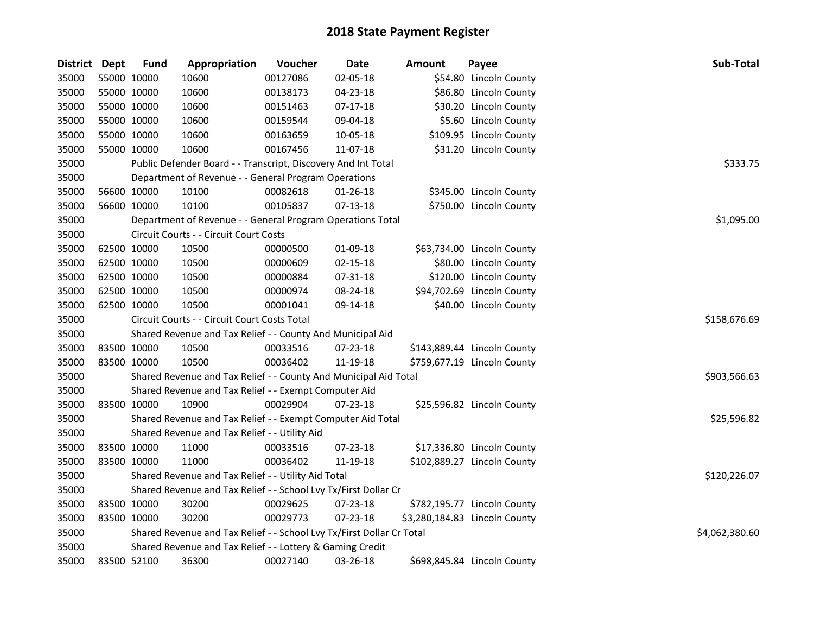| District Dept |             | <b>Fund</b> | Appropriation                                                         | Voucher  | <b>Date</b>    | <b>Amount</b> | Payee                         | Sub-Total      |
|---------------|-------------|-------------|-----------------------------------------------------------------------|----------|----------------|---------------|-------------------------------|----------------|
| 35000         | 55000 10000 |             | 10600                                                                 | 00127086 | 02-05-18       |               | \$54.80 Lincoln County        |                |
| 35000         | 55000 10000 |             | 10600                                                                 | 00138173 | 04-23-18       |               | \$86.80 Lincoln County        |                |
| 35000         | 55000 10000 |             | 10600                                                                 | 00151463 | $07-17-18$     |               | \$30.20 Lincoln County        |                |
| 35000         | 55000 10000 |             | 10600                                                                 | 00159544 | 09-04-18       |               | \$5.60 Lincoln County         |                |
| 35000         | 55000 10000 |             | 10600                                                                 | 00163659 | 10-05-18       |               | \$109.95 Lincoln County       |                |
| 35000         | 55000 10000 |             | 10600                                                                 | 00167456 | 11-07-18       |               | \$31.20 Lincoln County        |                |
| 35000         |             |             | Public Defender Board - - Transcript, Discovery And Int Total         |          |                |               |                               | \$333.75       |
| 35000         |             |             | Department of Revenue - - General Program Operations                  |          |                |               |                               |                |
| 35000         | 56600 10000 |             | 10100                                                                 | 00082618 | $01 - 26 - 18$ |               | \$345.00 Lincoln County       |                |
| 35000         | 56600 10000 |             | 10100                                                                 | 00105837 | 07-13-18       |               | \$750.00 Lincoln County       |                |
| 35000         |             |             | Department of Revenue - - General Program Operations Total            |          |                |               |                               | \$1,095.00     |
| 35000         |             |             | Circuit Courts - - Circuit Court Costs                                |          |                |               |                               |                |
| 35000         | 62500 10000 |             | 10500                                                                 | 00000500 | 01-09-18       |               | \$63,734.00 Lincoln County    |                |
| 35000         | 62500 10000 |             | 10500                                                                 | 00000609 | $02 - 15 - 18$ |               | \$80.00 Lincoln County        |                |
| 35000         | 62500 10000 |             | 10500                                                                 | 00000884 | 07-31-18       |               | \$120.00 Lincoln County       |                |
| 35000         | 62500 10000 |             | 10500                                                                 | 00000974 | 08-24-18       |               | \$94,702.69 Lincoln County    |                |
| 35000         | 62500 10000 |             | 10500                                                                 | 00001041 | 09-14-18       |               | \$40.00 Lincoln County        |                |
| 35000         |             |             | Circuit Courts - - Circuit Court Costs Total                          |          |                |               |                               | \$158,676.69   |
| 35000         |             |             | Shared Revenue and Tax Relief - - County And Municipal Aid            |          |                |               |                               |                |
| 35000         | 83500 10000 |             | 10500                                                                 | 00033516 | 07-23-18       |               | \$143,889.44 Lincoln County   |                |
| 35000         | 83500 10000 |             | 10500                                                                 | 00036402 | 11-19-18       |               | \$759,677.19 Lincoln County   |                |
| 35000         |             |             | Shared Revenue and Tax Relief - - County And Municipal Aid Total      |          |                |               |                               | \$903,566.63   |
| 35000         |             |             | Shared Revenue and Tax Relief - - Exempt Computer Aid                 |          |                |               |                               |                |
| 35000         | 83500 10000 |             | 10900                                                                 | 00029904 | 07-23-18       |               | \$25,596.82 Lincoln County    |                |
| 35000         |             |             | Shared Revenue and Tax Relief - - Exempt Computer Aid Total           |          |                |               |                               | \$25,596.82    |
| 35000         |             |             | Shared Revenue and Tax Relief - - Utility Aid                         |          |                |               |                               |                |
| 35000         | 83500 10000 |             | 11000                                                                 | 00033516 | 07-23-18       |               | \$17,336.80 Lincoln County    |                |
| 35000         | 83500 10000 |             | 11000                                                                 | 00036402 | 11-19-18       |               | \$102,889.27 Lincoln County   |                |
| 35000         |             |             | Shared Revenue and Tax Relief - - Utility Aid Total                   |          |                |               |                               | \$120,226.07   |
| 35000         |             |             | Shared Revenue and Tax Relief - - School Lvy Tx/First Dollar Cr       |          |                |               |                               |                |
| 35000         | 83500 10000 |             | 30200                                                                 | 00029625 | 07-23-18       |               | \$782,195.77 Lincoln County   |                |
| 35000         | 83500 10000 |             | 30200                                                                 | 00029773 | 07-23-18       |               | \$3,280,184.83 Lincoln County |                |
| 35000         |             |             | Shared Revenue and Tax Relief - - School Lvy Tx/First Dollar Cr Total |          |                |               |                               | \$4,062,380.60 |
| 35000         |             |             | Shared Revenue and Tax Relief - - Lottery & Gaming Credit             |          |                |               |                               |                |
| 35000         | 83500 52100 |             | 36300                                                                 | 00027140 | 03-26-18       |               | \$698,845.84 Lincoln County   |                |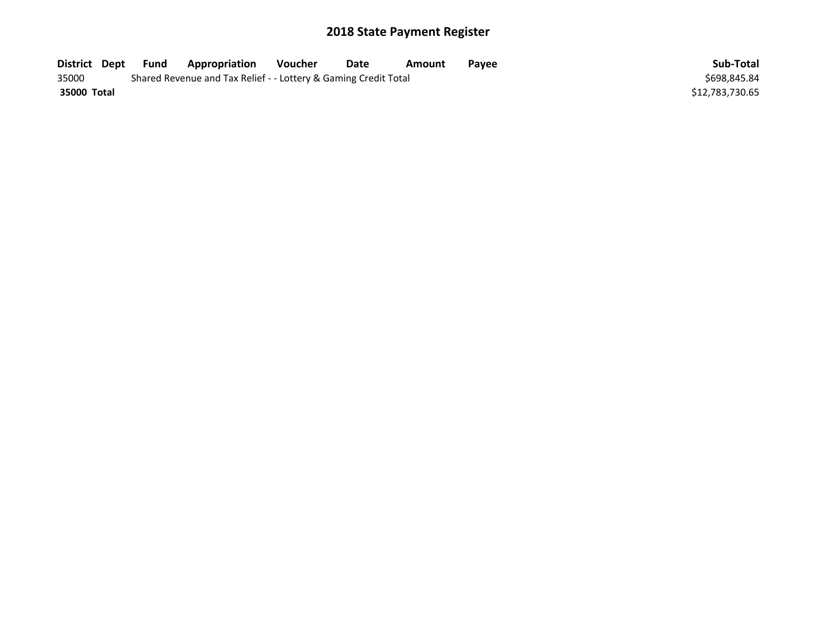| District Dept | <b>Fund</b> | Appropriation                                                   | Voucher | Date | Amount | Pavee | Sub-Total       |
|---------------|-------------|-----------------------------------------------------------------|---------|------|--------|-------|-----------------|
| 35000         |             | Shared Revenue and Tax Relief - - Lottery & Gaming Credit Total |         |      |        |       | \$698.845.84    |
| 35000 Total   |             |                                                                 |         |      |        |       | \$12,783,730.65 |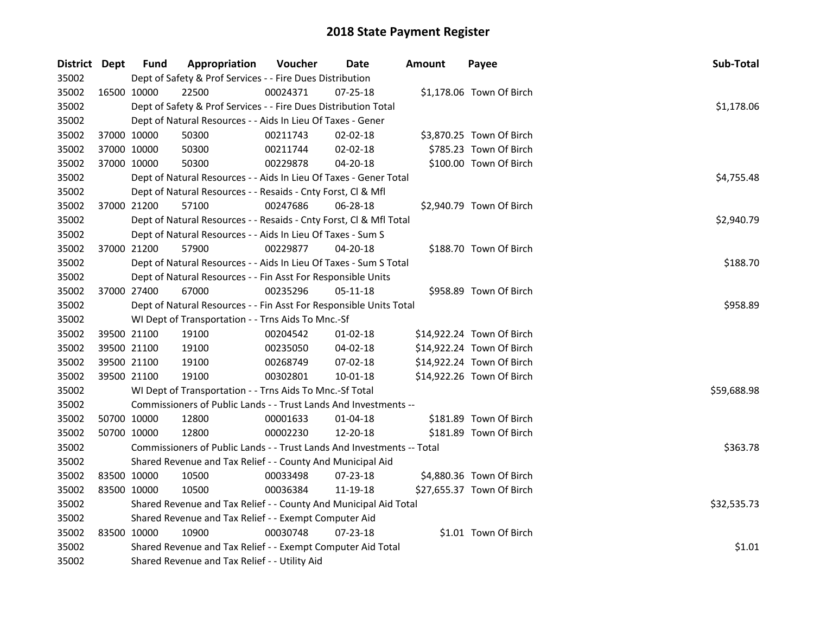| District Dept |             | <b>Fund</b> | Appropriation                                                          | Voucher    | Date           | <b>Amount</b> | Payee                     | Sub-Total   |
|---------------|-------------|-------------|------------------------------------------------------------------------|------------|----------------|---------------|---------------------------|-------------|
| 35002         |             |             | Dept of Safety & Prof Services - - Fire Dues Distribution              |            |                |               |                           |             |
| 35002         | 16500 10000 |             | 22500                                                                  | 00024371   | 07-25-18       |               | \$1,178.06 Town Of Birch  |             |
| 35002         |             |             | Dept of Safety & Prof Services - - Fire Dues Distribution Total        |            |                |               |                           | \$1,178.06  |
| 35002         |             |             | Dept of Natural Resources - - Aids In Lieu Of Taxes - Gener            |            |                |               |                           |             |
| 35002         |             | 37000 10000 | 50300                                                                  | 00211743   | 02-02-18       |               | \$3,870.25 Town Of Birch  |             |
| 35002         |             | 37000 10000 | 50300                                                                  | 00211744   | 02-02-18       |               | \$785.23 Town Of Birch    |             |
| 35002         | 37000 10000 |             | 50300                                                                  | 00229878   | 04-20-18       |               | \$100.00 Town Of Birch    |             |
| 35002         |             |             | Dept of Natural Resources - - Aids In Lieu Of Taxes - Gener Total      | \$4,755.48 |                |               |                           |             |
| 35002         |             |             | Dept of Natural Resources - - Resaids - Cnty Forst, Cl & Mfl           |            |                |               |                           |             |
| 35002         |             | 37000 21200 | 57100                                                                  | 00247686   | $06 - 28 - 18$ |               | \$2,940.79 Town Of Birch  |             |
| 35002         |             |             | Dept of Natural Resources - - Resaids - Cnty Forst, Cl & Mfl Total     |            |                |               |                           | \$2,940.79  |
| 35002         |             |             | Dept of Natural Resources - - Aids In Lieu Of Taxes - Sum S            |            |                |               |                           |             |
| 35002         | 37000 21200 |             | 57900                                                                  | 00229877   | $04 - 20 - 18$ |               | \$188.70 Town Of Birch    |             |
| 35002         |             |             | Dept of Natural Resources - - Aids In Lieu Of Taxes - Sum S Total      |            |                |               |                           | \$188.70    |
| 35002         |             |             | Dept of Natural Resources - - Fin Asst For Responsible Units           |            |                |               |                           |             |
| 35002         | 37000 27400 |             | 67000                                                                  | 00235296   | 05-11-18       |               | \$958.89 Town Of Birch    |             |
| 35002         |             |             | Dept of Natural Resources - - Fin Asst For Responsible Units Total     | \$958.89   |                |               |                           |             |
| 35002         |             |             | WI Dept of Transportation - - Trns Aids To Mnc.-Sf                     |            |                |               |                           |             |
| 35002         |             | 39500 21100 | 19100                                                                  | 00204542   | $01 - 02 - 18$ |               | \$14,922.24 Town Of Birch |             |
| 35002         |             | 39500 21100 | 19100                                                                  | 00235050   | 04-02-18       |               | \$14,922.24 Town Of Birch |             |
| 35002         | 39500 21100 |             | 19100                                                                  | 00268749   | 07-02-18       |               | \$14,922.24 Town Of Birch |             |
| 35002         | 39500 21100 |             | 19100                                                                  | 00302801   | 10-01-18       |               | \$14,922.26 Town Of Birch |             |
| 35002         |             |             | WI Dept of Transportation - - Trns Aids To Mnc.-Sf Total               |            |                |               |                           | \$59,688.98 |
| 35002         |             |             | Commissioners of Public Lands - - Trust Lands And Investments --       |            |                |               |                           |             |
| 35002         |             | 50700 10000 | 12800                                                                  | 00001633   | 01-04-18       |               | \$181.89 Town Of Birch    |             |
| 35002         |             | 50700 10000 | 12800                                                                  | 00002230   | 12-20-18       |               | \$181.89 Town Of Birch    |             |
| 35002         |             |             | Commissioners of Public Lands - - Trust Lands And Investments -- Total |            |                |               |                           | \$363.78    |
| 35002         |             |             | Shared Revenue and Tax Relief - - County And Municipal Aid             |            |                |               |                           |             |
| 35002         |             | 83500 10000 | 10500                                                                  | 00033498   | 07-23-18       |               | \$4,880.36 Town Of Birch  |             |
| 35002         | 83500 10000 |             | 10500                                                                  | 00036384   | 11-19-18       |               | \$27,655.37 Town Of Birch |             |
| 35002         |             |             | Shared Revenue and Tax Relief - - County And Municipal Aid Total       |            |                |               |                           | \$32,535.73 |
| 35002         |             |             | Shared Revenue and Tax Relief - - Exempt Computer Aid                  |            |                |               |                           |             |
| 35002         | 83500 10000 |             | 10900                                                                  | 00030748   | 07-23-18       |               | \$1.01 Town Of Birch      |             |
| 35002         |             |             | Shared Revenue and Tax Relief - - Exempt Computer Aid Total            |            |                |               |                           | \$1.01      |
| 35002         |             |             | Shared Revenue and Tax Relief - - Utility Aid                          |            |                |               |                           |             |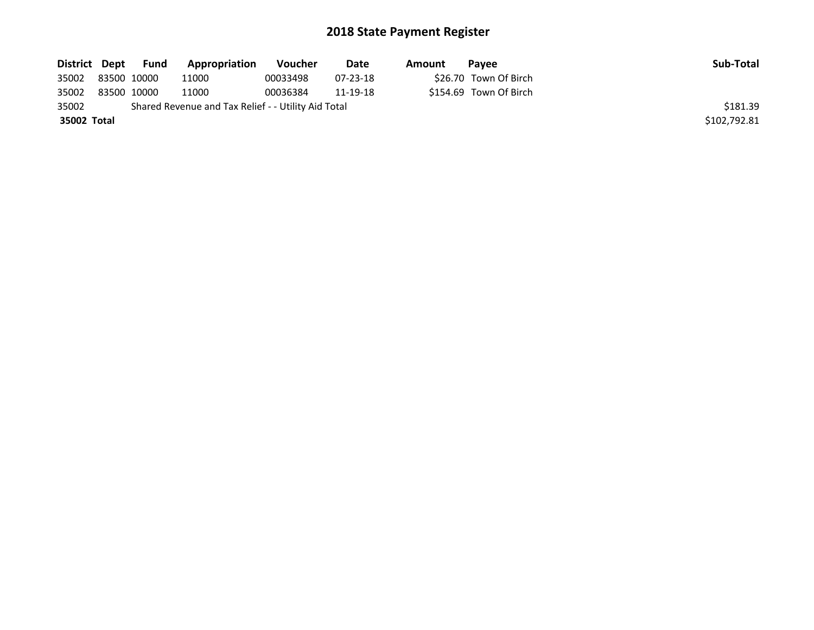| District Dept | Fund        | Appropriation                                       | Voucher  | Date           | Amount | <b>Pavee</b>           | Sub-Total    |
|---------------|-------------|-----------------------------------------------------|----------|----------------|--------|------------------------|--------------|
| 35002         | 83500 10000 | 11000                                               | 00033498 | $07 - 23 - 18$ |        | \$26.70 Town Of Birch  |              |
| 35002         | 83500 10000 | 11000                                               | 00036384 | 11-19-18       |        | \$154.69 Town Of Birch |              |
| 35002         |             | Shared Revenue and Tax Relief - - Utility Aid Total |          |                |        |                        | \$181.39     |
| 35002 Total   |             |                                                     |          |                |        |                        | \$102,792.81 |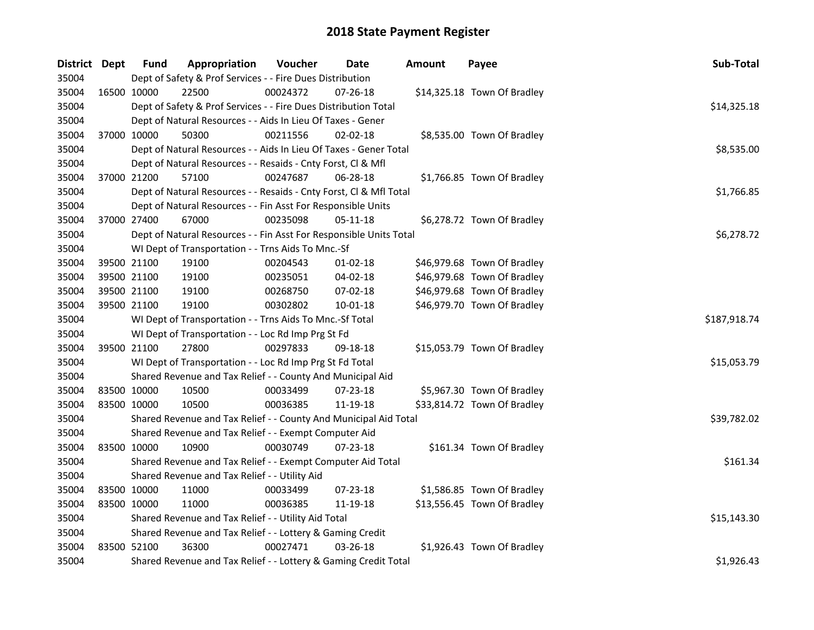| District Dept |             | <b>Fund</b> | Appropriation                                                      | Voucher  | Date           | <b>Amount</b> | Payee                       | Sub-Total    |
|---------------|-------------|-------------|--------------------------------------------------------------------|----------|----------------|---------------|-----------------------------|--------------|
| 35004         |             |             | Dept of Safety & Prof Services - - Fire Dues Distribution          |          |                |               |                             |              |
| 35004         | 16500 10000 |             | 22500                                                              | 00024372 | 07-26-18       |               | \$14,325.18 Town Of Bradley |              |
| 35004         |             |             | Dept of Safety & Prof Services - - Fire Dues Distribution Total    |          |                |               |                             | \$14,325.18  |
| 35004         |             |             | Dept of Natural Resources - - Aids In Lieu Of Taxes - Gener        |          |                |               |                             |              |
| 35004         |             | 37000 10000 | 50300                                                              | 00211556 | $02 - 02 - 18$ |               | \$8,535.00 Town Of Bradley  |              |
| 35004         |             |             | Dept of Natural Resources - - Aids In Lieu Of Taxes - Gener Total  |          |                |               |                             | \$8,535.00   |
| 35004         |             |             | Dept of Natural Resources - - Resaids - Cnty Forst, Cl & Mfl       |          |                |               |                             |              |
| 35004         |             | 37000 21200 | 57100                                                              | 00247687 | 06-28-18       |               | \$1,766.85 Town Of Bradley  |              |
| 35004         |             |             | Dept of Natural Resources - - Resaids - Cnty Forst, Cl & Mfl Total |          |                |               |                             | \$1,766.85   |
| 35004         |             |             | Dept of Natural Resources - - Fin Asst For Responsible Units       |          |                |               |                             |              |
| 35004         |             | 37000 27400 | 67000                                                              | 00235098 | 05-11-18       |               | \$6,278.72 Town Of Bradley  |              |
| 35004         |             |             | Dept of Natural Resources - - Fin Asst For Responsible Units Total |          |                |               |                             | \$6,278.72   |
| 35004         |             |             | WI Dept of Transportation - - Trns Aids To Mnc.-Sf                 |          |                |               |                             |              |
| 35004         |             | 39500 21100 | 19100                                                              | 00204543 | 01-02-18       |               | \$46,979.68 Town Of Bradley |              |
| 35004         |             | 39500 21100 | 19100                                                              | 00235051 | 04-02-18       |               | \$46,979.68 Town Of Bradley |              |
| 35004         |             | 39500 21100 | 19100                                                              | 00268750 | 07-02-18       |               | \$46,979.68 Town Of Bradley |              |
| 35004         |             | 39500 21100 | 19100                                                              | 00302802 | $10 - 01 - 18$ |               | \$46,979.70 Town Of Bradley |              |
| 35004         |             |             | WI Dept of Transportation - - Trns Aids To Mnc.-Sf Total           |          |                |               |                             | \$187,918.74 |
| 35004         |             |             | WI Dept of Transportation - - Loc Rd Imp Prg St Fd                 |          |                |               |                             |              |
| 35004         |             | 39500 21100 | 27800                                                              | 00297833 | 09-18-18       |               | \$15,053.79 Town Of Bradley |              |
| 35004         |             |             | WI Dept of Transportation - - Loc Rd Imp Prg St Fd Total           |          |                |               |                             | \$15,053.79  |
| 35004         |             |             | Shared Revenue and Tax Relief - - County And Municipal Aid         |          |                |               |                             |              |
| 35004         |             | 83500 10000 | 10500                                                              | 00033499 | 07-23-18       |               | \$5,967.30 Town Of Bradley  |              |
| 35004         |             | 83500 10000 | 10500                                                              | 00036385 | 11-19-18       |               | \$33,814.72 Town Of Bradley |              |
| 35004         |             |             | Shared Revenue and Tax Relief - - County And Municipal Aid Total   |          |                |               |                             | \$39,782.02  |
| 35004         |             |             | Shared Revenue and Tax Relief - - Exempt Computer Aid              |          |                |               |                             |              |
| 35004         | 83500 10000 |             | 10900                                                              | 00030749 | 07-23-18       |               | \$161.34 Town Of Bradley    |              |
| 35004         |             |             | Shared Revenue and Tax Relief - - Exempt Computer Aid Total        |          |                |               |                             | \$161.34     |
| 35004         |             |             | Shared Revenue and Tax Relief - - Utility Aid                      |          |                |               |                             |              |
| 35004         |             | 83500 10000 | 11000                                                              | 00033499 | 07-23-18       |               | \$1,586.85 Town Of Bradley  |              |
| 35004         |             | 83500 10000 | 11000                                                              | 00036385 | 11-19-18       |               | \$13,556.45 Town Of Bradley |              |
| 35004         |             |             | Shared Revenue and Tax Relief - - Utility Aid Total                |          |                |               |                             | \$15,143.30  |
| 35004         |             |             | Shared Revenue and Tax Relief - - Lottery & Gaming Credit          |          |                |               |                             |              |
| 35004         |             | 83500 52100 | 36300                                                              | 00027471 | 03-26-18       |               | \$1,926.43 Town Of Bradley  |              |
| 35004         |             |             | Shared Revenue and Tax Relief - - Lottery & Gaming Credit Total    |          |                |               |                             | \$1,926.43   |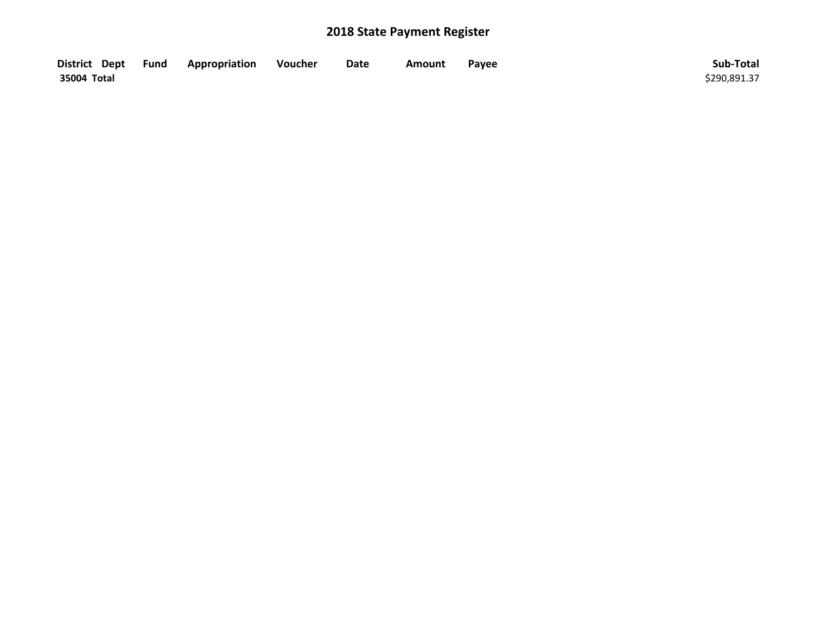| District Dept Fund | Appropriation | Voucher | Date | Amount | Payee | Sub-Total    |
|--------------------|---------------|---------|------|--------|-------|--------------|
| 35004 Total        |               |         |      |        |       | \$290,891.37 |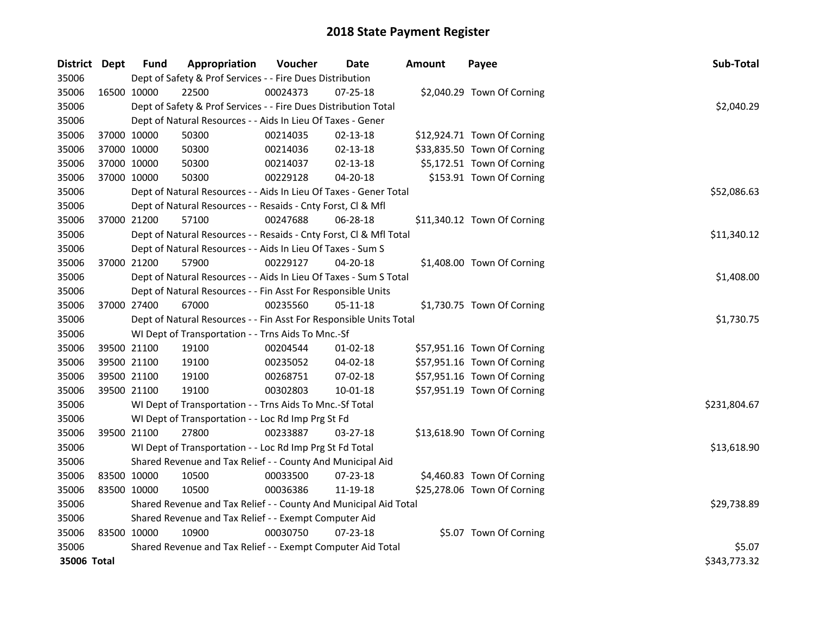| District Dept | <b>Fund</b> | Appropriation                                                      | Voucher  | Date           | <b>Amount</b> | Payee                       | Sub-Total    |
|---------------|-------------|--------------------------------------------------------------------|----------|----------------|---------------|-----------------------------|--------------|
| 35006         |             | Dept of Safety & Prof Services - - Fire Dues Distribution          |          |                |               |                             |              |
| 35006         | 16500 10000 | 22500                                                              | 00024373 | 07-25-18       |               | \$2,040.29 Town Of Corning  |              |
| 35006         |             | Dept of Safety & Prof Services - - Fire Dues Distribution Total    |          |                |               |                             | \$2,040.29   |
| 35006         |             | Dept of Natural Resources - - Aids In Lieu Of Taxes - Gener        |          |                |               |                             |              |
| 35006         | 37000 10000 | 50300                                                              | 00214035 | $02 - 13 - 18$ |               | \$12,924.71 Town Of Corning |              |
| 35006         | 37000 10000 | 50300                                                              | 00214036 | $02 - 13 - 18$ |               | \$33,835.50 Town Of Corning |              |
| 35006         | 37000 10000 | 50300                                                              | 00214037 | $02 - 13 - 18$ |               | \$5,172.51 Town Of Corning  |              |
| 35006         | 37000 10000 | 50300                                                              | 00229128 | 04-20-18       |               | \$153.91 Town Of Corning    |              |
| 35006         |             | Dept of Natural Resources - - Aids In Lieu Of Taxes - Gener Total  |          |                |               |                             | \$52,086.63  |
| 35006         |             | Dept of Natural Resources - - Resaids - Cnty Forst, Cl & Mfl       |          |                |               |                             |              |
| 35006         | 37000 21200 | 57100                                                              | 00247688 | 06-28-18       |               | \$11,340.12 Town Of Corning |              |
| 35006         |             | Dept of Natural Resources - - Resaids - Cnty Forst, Cl & Mfl Total |          |                |               |                             | \$11,340.12  |
| 35006         |             | Dept of Natural Resources - - Aids In Lieu Of Taxes - Sum S        |          |                |               |                             |              |
| 35006         | 37000 21200 | 57900                                                              | 00229127 | $04 - 20 - 18$ |               | \$1,408.00 Town Of Corning  |              |
| 35006         |             | Dept of Natural Resources - - Aids In Lieu Of Taxes - Sum S Total  |          |                |               |                             | \$1,408.00   |
| 35006         |             | Dept of Natural Resources - - Fin Asst For Responsible Units       |          |                |               |                             |              |
| 35006         | 37000 27400 | 67000                                                              | 00235560 | 05-11-18       |               | \$1,730.75 Town Of Corning  |              |
| 35006         |             | Dept of Natural Resources - - Fin Asst For Responsible Units Total |          |                |               |                             | \$1,730.75   |
| 35006         |             | WI Dept of Transportation - - Trns Aids To Mnc.-Sf                 |          |                |               |                             |              |
| 35006         | 39500 21100 | 19100                                                              | 00204544 | $01-02-18$     |               | \$57,951.16 Town Of Corning |              |
| 35006         | 39500 21100 | 19100                                                              | 00235052 | 04-02-18       |               | \$57,951.16 Town Of Corning |              |
| 35006         | 39500 21100 | 19100                                                              | 00268751 | 07-02-18       |               | \$57,951.16 Town Of Corning |              |
| 35006         | 39500 21100 | 19100                                                              | 00302803 | $10 - 01 - 18$ |               | \$57,951.19 Town Of Corning |              |
| 35006         |             | WI Dept of Transportation - - Trns Aids To Mnc.-Sf Total           |          |                |               |                             | \$231,804.67 |
| 35006         |             | WI Dept of Transportation - - Loc Rd Imp Prg St Fd                 |          |                |               |                             |              |
| 35006         | 39500 21100 | 27800                                                              | 00233887 | 03-27-18       |               | \$13,618.90 Town Of Corning |              |
| 35006         |             | WI Dept of Transportation - - Loc Rd Imp Prg St Fd Total           |          |                |               |                             | \$13,618.90  |
| 35006         |             | Shared Revenue and Tax Relief - - County And Municipal Aid         |          |                |               |                             |              |
| 35006         | 83500 10000 | 10500                                                              | 00033500 | 07-23-18       |               | \$4,460.83 Town Of Corning  |              |
| 35006         | 83500 10000 | 10500                                                              | 00036386 | 11-19-18       |               | \$25,278.06 Town Of Corning |              |
| 35006         |             | Shared Revenue and Tax Relief - - County And Municipal Aid Total   |          |                |               |                             | \$29,738.89  |
| 35006         |             | Shared Revenue and Tax Relief - - Exempt Computer Aid              |          |                |               |                             |              |
| 35006         | 83500 10000 | 10900                                                              | 00030750 | 07-23-18       |               | \$5.07 Town Of Corning      |              |
| 35006         |             | Shared Revenue and Tax Relief - - Exempt Computer Aid Total        |          |                |               |                             | \$5.07       |
| 35006 Total   |             |                                                                    |          |                |               |                             | \$343,773.32 |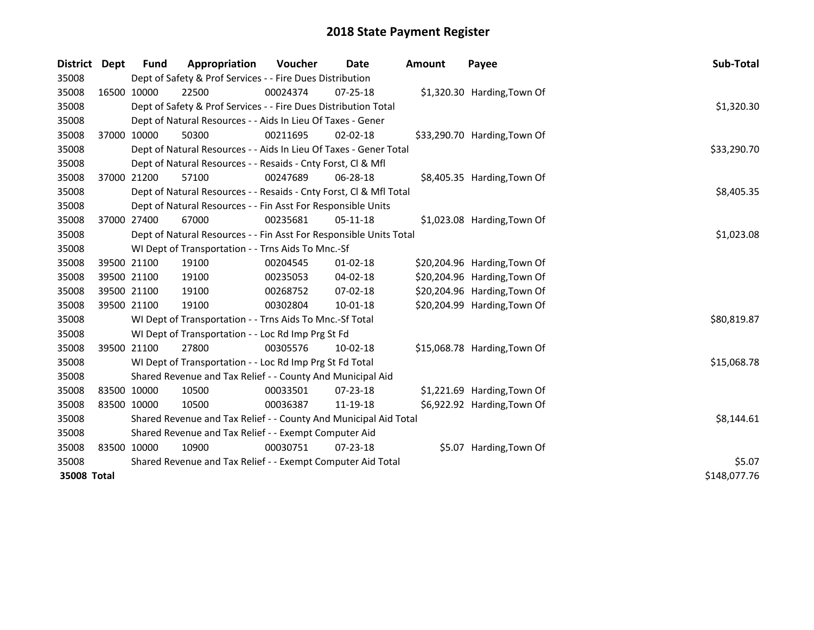| <b>District</b> | <b>Dept</b> | <b>Fund</b>                                                 | Appropriation                                                      | Voucher  | <b>Date</b>    | <b>Amount</b> | Payee                        | Sub-Total    |
|-----------------|-------------|-------------------------------------------------------------|--------------------------------------------------------------------|----------|----------------|---------------|------------------------------|--------------|
| 35008           |             |                                                             | Dept of Safety & Prof Services - - Fire Dues Distribution          |          |                |               |                              |              |
| 35008           |             | 16500 10000                                                 | 22500                                                              | 00024374 | $07 - 25 - 18$ |               | \$1,320.30 Harding, Town Of  |              |
| 35008           |             |                                                             | Dept of Safety & Prof Services - - Fire Dues Distribution Total    |          |                |               |                              | \$1,320.30   |
| 35008           |             |                                                             | Dept of Natural Resources - - Aids In Lieu Of Taxes - Gener        |          |                |               |                              |              |
| 35008           |             | 37000 10000                                                 | 50300                                                              | 00211695 | $02 - 02 - 18$ |               | \$33,290.70 Harding, Town Of |              |
| 35008           |             |                                                             | Dept of Natural Resources - - Aids In Lieu Of Taxes - Gener Total  |          |                |               |                              | \$33,290.70  |
| 35008           |             |                                                             | Dept of Natural Resources - - Resaids - Cnty Forst, Cl & Mfl       |          |                |               |                              |              |
| 35008           | 37000 21200 |                                                             | 57100                                                              | 00247689 | $06 - 28 - 18$ |               | \$8,405.35 Harding, Town Of  |              |
| 35008           |             |                                                             | Dept of Natural Resources - - Resaids - Cnty Forst, Cl & Mfl Total |          |                |               |                              | \$8,405.35   |
| 35008           |             |                                                             | Dept of Natural Resources - - Fin Asst For Responsible Units       |          |                |               |                              |              |
| 35008           |             | 37000 27400                                                 | 67000                                                              | 00235681 | $05-11-18$     |               | \$1,023.08 Harding, Town Of  |              |
| 35008           |             |                                                             | Dept of Natural Resources - - Fin Asst For Responsible Units Total |          |                |               |                              | \$1,023.08   |
| 35008           |             |                                                             | WI Dept of Transportation - - Trns Aids To Mnc.-Sf                 |          |                |               |                              |              |
| 35008           | 39500 21100 |                                                             | 19100                                                              | 00204545 | $01 - 02 - 18$ |               | \$20,204.96 Harding, Town Of |              |
| 35008           | 39500 21100 |                                                             | 19100                                                              | 00235053 | $04 - 02 - 18$ |               | \$20,204.96 Harding, Town Of |              |
| 35008           | 39500 21100 |                                                             | 19100                                                              | 00268752 | 07-02-18       |               | \$20,204.96 Harding, Town Of |              |
| 35008           | 39500 21100 |                                                             | 19100                                                              | 00302804 | $10 - 01 - 18$ |               | \$20,204.99 Harding, Town Of |              |
| 35008           |             |                                                             | WI Dept of Transportation - - Trns Aids To Mnc.-Sf Total           |          |                |               |                              | \$80,819.87  |
| 35008           |             |                                                             | WI Dept of Transportation - - Loc Rd Imp Prg St Fd                 |          |                |               |                              |              |
| 35008           | 39500 21100 |                                                             | 27800                                                              | 00305576 | 10-02-18       |               | \$15,068.78 Harding, Town Of |              |
| 35008           |             |                                                             | WI Dept of Transportation - - Loc Rd Imp Prg St Fd Total           |          |                |               |                              | \$15,068.78  |
| 35008           |             |                                                             | Shared Revenue and Tax Relief - - County And Municipal Aid         |          |                |               |                              |              |
| 35008           | 83500 10000 |                                                             | 10500                                                              | 00033501 | $07 - 23 - 18$ |               | \$1,221.69 Harding, Town Of  |              |
| 35008           | 83500 10000 |                                                             | 10500                                                              | 00036387 | 11-19-18       |               | \$6,922.92 Harding, Town Of  |              |
| 35008           |             |                                                             | Shared Revenue and Tax Relief - - County And Municipal Aid Total   |          |                |               |                              | \$8,144.61   |
| 35008           |             |                                                             | Shared Revenue and Tax Relief - - Exempt Computer Aid              |          |                |               |                              |              |
| 35008           | 83500 10000 |                                                             | 10900                                                              | 00030751 | $07 - 23 - 18$ |               | \$5.07 Harding, Town Of      |              |
| 35008           |             | Shared Revenue and Tax Relief - - Exempt Computer Aid Total | \$5.07                                                             |          |                |               |                              |              |
| 35008 Total     |             |                                                             |                                                                    |          |                |               |                              | \$148,077.76 |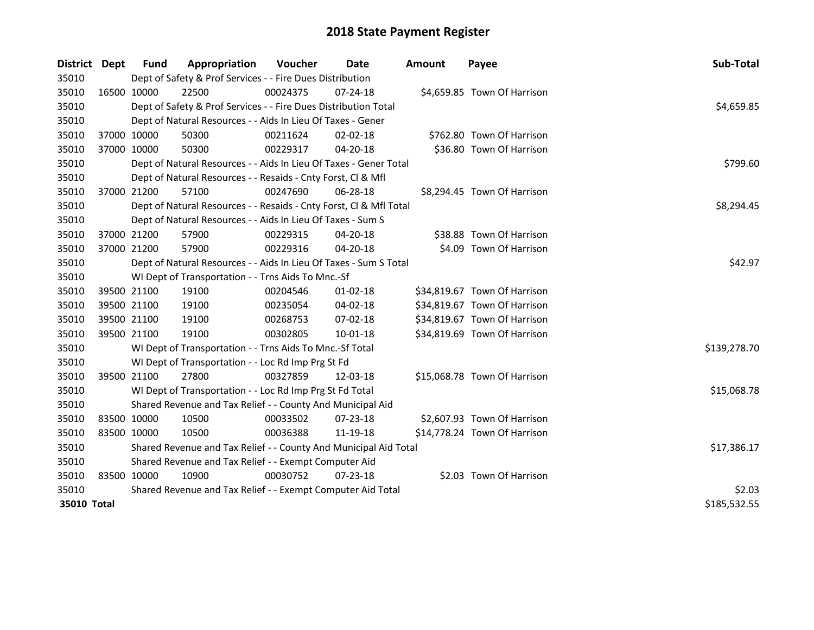| District Dept |             | <b>Fund</b>                                           | Appropriation                                                      | Voucher  | Date           | <b>Amount</b> | Payee                        | Sub-Total    |
|---------------|-------------|-------------------------------------------------------|--------------------------------------------------------------------|----------|----------------|---------------|------------------------------|--------------|
| 35010         |             |                                                       | Dept of Safety & Prof Services - - Fire Dues Distribution          |          |                |               |                              |              |
| 35010         | 16500 10000 |                                                       | 22500                                                              | 00024375 | $07 - 24 - 18$ |               | \$4,659.85 Town Of Harrison  |              |
| 35010         |             |                                                       | Dept of Safety & Prof Services - - Fire Dues Distribution Total    |          |                |               |                              | \$4,659.85   |
| 35010         |             |                                                       | Dept of Natural Resources - - Aids In Lieu Of Taxes - Gener        |          |                |               |                              |              |
| 35010         | 37000 10000 |                                                       | 50300                                                              | 00211624 | 02-02-18       |               | \$762.80 Town Of Harrison    |              |
| 35010         | 37000 10000 |                                                       | 50300                                                              | 00229317 | 04-20-18       |               | \$36.80 Town Of Harrison     |              |
| 35010         |             |                                                       | Dept of Natural Resources - - Aids In Lieu Of Taxes - Gener Total  | \$799.60 |                |               |                              |              |
| 35010         |             |                                                       | Dept of Natural Resources - - Resaids - Cnty Forst, Cl & Mfl       |          |                |               |                              |              |
| 35010         |             | 37000 21200                                           | 57100                                                              | 00247690 | 06-28-18       |               | \$8,294.45 Town Of Harrison  |              |
| 35010         |             |                                                       | Dept of Natural Resources - - Resaids - Cnty Forst, Cl & Mfl Total |          |                |               |                              | \$8,294.45   |
| 35010         |             |                                                       | Dept of Natural Resources - - Aids In Lieu Of Taxes - Sum S        |          |                |               |                              |              |
| 35010         | 37000 21200 |                                                       | 57900                                                              | 00229315 | 04-20-18       |               | \$38.88 Town Of Harrison     |              |
| 35010         | 37000 21200 |                                                       | 57900                                                              | 00229316 | 04-20-18       |               | \$4.09 Town Of Harrison      |              |
| 35010         |             |                                                       | Dept of Natural Resources - - Aids In Lieu Of Taxes - Sum S Total  | \$42.97  |                |               |                              |              |
| 35010         |             |                                                       | WI Dept of Transportation - - Trns Aids To Mnc.-Sf                 |          |                |               |                              |              |
| 35010         | 39500 21100 |                                                       | 19100                                                              | 00204546 | $01-02-18$     |               | \$34,819.67 Town Of Harrison |              |
| 35010         | 39500 21100 |                                                       | 19100                                                              | 00235054 | 04-02-18       |               | \$34,819.67 Town Of Harrison |              |
| 35010         | 39500 21100 |                                                       | 19100                                                              | 00268753 | 07-02-18       |               | \$34,819.67 Town Of Harrison |              |
| 35010         | 39500 21100 |                                                       | 19100                                                              | 00302805 | $10 - 01 - 18$ |               | \$34,819.69 Town Of Harrison |              |
| 35010         |             |                                                       | WI Dept of Transportation - - Trns Aids To Mnc.-Sf Total           |          |                |               |                              | \$139,278.70 |
| 35010         |             |                                                       | WI Dept of Transportation - - Loc Rd Imp Prg St Fd                 |          |                |               |                              |              |
| 35010         | 39500 21100 |                                                       | 27800                                                              | 00327859 | 12-03-18       |               | \$15,068.78 Town Of Harrison |              |
| 35010         |             |                                                       | WI Dept of Transportation - - Loc Rd Imp Prg St Fd Total           |          |                |               |                              | \$15,068.78  |
| 35010         |             |                                                       | Shared Revenue and Tax Relief - - County And Municipal Aid         |          |                |               |                              |              |
| 35010         | 83500 10000 |                                                       | 10500                                                              | 00033502 | $07 - 23 - 18$ |               | \$2,607.93 Town Of Harrison  |              |
| 35010         | 83500 10000 |                                                       | 10500                                                              | 00036388 | 11-19-18       |               | \$14,778.24 Town Of Harrison |              |
| 35010         |             |                                                       | Shared Revenue and Tax Relief - - County And Municipal Aid Total   |          |                |               |                              | \$17,386.17  |
| 35010         |             | Shared Revenue and Tax Relief - - Exempt Computer Aid |                                                                    |          |                |               |                              |              |
| 35010         | 83500 10000 |                                                       | 10900                                                              | 00030752 | $07 - 23 - 18$ |               | \$2.03 Town Of Harrison      |              |
| 35010         |             |                                                       | Shared Revenue and Tax Relief - - Exempt Computer Aid Total        | \$2.03   |                |               |                              |              |
| 35010 Total   |             |                                                       |                                                                    |          |                |               |                              | \$185,532.55 |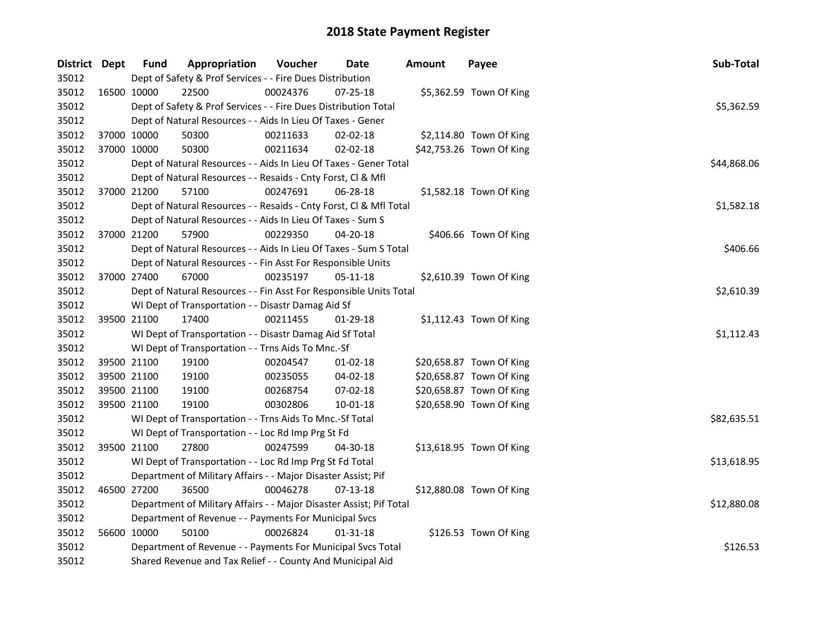| District Dept |             | <b>Fund</b> | Appropriation                                                       | Voucher    | Date           | <b>Amount</b> | Payee                    | Sub-Total   |
|---------------|-------------|-------------|---------------------------------------------------------------------|------------|----------------|---------------|--------------------------|-------------|
| 35012         |             |             | Dept of Safety & Prof Services - - Fire Dues Distribution           |            |                |               |                          |             |
| 35012         | 16500 10000 |             | 22500                                                               | 00024376   | 07-25-18       |               | \$5,362.59 Town Of King  |             |
| 35012         |             |             | Dept of Safety & Prof Services - - Fire Dues Distribution Total     |            |                |               |                          | \$5,362.59  |
| 35012         |             |             | Dept of Natural Resources - - Aids In Lieu Of Taxes - Gener         |            |                |               |                          |             |
| 35012         | 37000 10000 |             | 50300                                                               | 00211633   | 02-02-18       |               | \$2,114.80 Town Of King  |             |
| 35012         | 37000 10000 |             | 50300                                                               | 00211634   | 02-02-18       |               | \$42,753.26 Town Of King |             |
| 35012         |             |             | Dept of Natural Resources - - Aids In Lieu Of Taxes - Gener Total   |            |                |               |                          | \$44,868.06 |
| 35012         |             |             | Dept of Natural Resources - - Resaids - Cnty Forst, Cl & Mfl        |            |                |               |                          |             |
| 35012         |             | 37000 21200 | 57100                                                               | 00247691   | 06-28-18       |               | \$1,582.18 Town Of King  |             |
| 35012         |             |             | Dept of Natural Resources - - Resaids - Cnty Forst, Cl & Mfl Total  |            |                |               |                          | \$1,582.18  |
| 35012         |             |             | Dept of Natural Resources - - Aids In Lieu Of Taxes - Sum S         |            |                |               |                          |             |
| 35012         |             | 37000 21200 | 57900                                                               | 00229350   | 04-20-18       |               | \$406.66 Town Of King    |             |
| 35012         |             |             | Dept of Natural Resources - - Aids In Lieu Of Taxes - Sum S Total   |            |                |               |                          | \$406.66    |
| 35012         |             |             | Dept of Natural Resources - - Fin Asst For Responsible Units        |            |                |               |                          |             |
| 35012         | 37000 27400 |             | 67000                                                               | 00235197   | 05-11-18       |               | \$2,610.39 Town Of King  |             |
| 35012         |             |             | Dept of Natural Resources - - Fin Asst For Responsible Units Total  | \$2,610.39 |                |               |                          |             |
| 35012         |             |             | WI Dept of Transportation - - Disastr Damag Aid Sf                  |            |                |               |                          |             |
| 35012         | 39500 21100 |             | 17400                                                               | 00211455   | 01-29-18       |               | \$1,112.43 Town Of King  |             |
| 35012         |             |             | WI Dept of Transportation - - Disastr Damag Aid Sf Total            |            |                |               |                          | \$1,112.43  |
| 35012         |             |             | WI Dept of Transportation - - Trns Aids To Mnc.-Sf                  |            |                |               |                          |             |
| 35012         |             | 39500 21100 | 19100                                                               | 00204547   | 01-02-18       |               | \$20,658.87 Town Of King |             |
| 35012         |             | 39500 21100 | 19100                                                               | 00235055   | 04-02-18       |               | \$20,658.87 Town Of King |             |
| 35012         |             | 39500 21100 | 19100                                                               | 00268754   | 07-02-18       |               | \$20,658.87 Town Of King |             |
| 35012         | 39500 21100 |             | 19100                                                               | 00302806   | 10-01-18       |               | \$20,658.90 Town Of King |             |
| 35012         |             |             | WI Dept of Transportation - - Trns Aids To Mnc.-Sf Total            |            |                |               |                          | \$82,635.51 |
| 35012         |             |             | WI Dept of Transportation - - Loc Rd Imp Prg St Fd                  |            |                |               |                          |             |
| 35012         | 39500 21100 |             | 27800                                                               | 00247599   | 04-30-18       |               | \$13,618.95 Town Of King |             |
| 35012         |             |             | WI Dept of Transportation - - Loc Rd Imp Prg St Fd Total            |            |                |               |                          | \$13,618.95 |
| 35012         |             |             | Department of Military Affairs - - Major Disaster Assist; Pif       |            |                |               |                          |             |
| 35012         |             | 46500 27200 | 36500                                                               | 00046278   | $07-13-18$     |               | \$12,880.08 Town Of King |             |
| 35012         |             |             | Department of Military Affairs - - Major Disaster Assist; Pif Total |            |                |               |                          | \$12,880.08 |
| 35012         |             |             | Department of Revenue - - Payments For Municipal Svcs               |            |                |               |                          |             |
| 35012         |             | 56600 10000 | 50100                                                               | 00026824   | $01 - 31 - 18$ |               | \$126.53 Town Of King    |             |
| 35012         |             |             | Department of Revenue - - Payments For Municipal Svcs Total         |            |                |               |                          | \$126.53    |
| 35012         |             |             | Shared Revenue and Tax Relief - - County And Municipal Aid          |            |                |               |                          |             |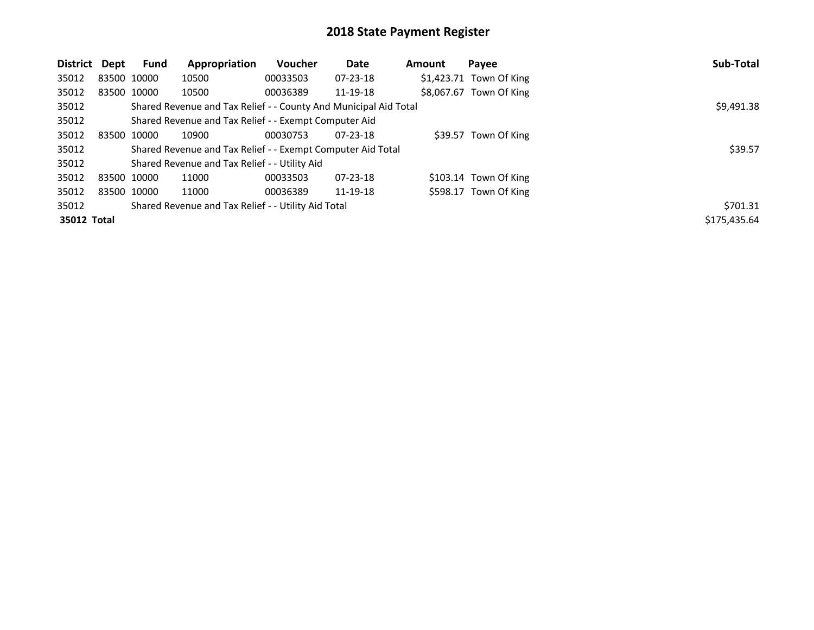| District    | Dept | Fund        | Appropriation                                                    | Voucher  | Date           | <b>Amount</b> | Payee                    | Sub-Total    |
|-------------|------|-------------|------------------------------------------------------------------|----------|----------------|---------------|--------------------------|--------------|
| 35012       |      | 83500 10000 | 10500                                                            | 00033503 | $07 - 23 - 18$ |               | $$1,423.71$ Town Of King |              |
| 35012       |      | 83500 10000 | 10500                                                            | 00036389 | 11-19-18       |               | \$8,067.67 Town Of King  |              |
| 35012       |      |             | Shared Revenue and Tax Relief - - County And Municipal Aid Total |          |                |               |                          | \$9,491.38   |
| 35012       |      |             | Shared Revenue and Tax Relief - - Exempt Computer Aid            |          |                |               |                          |              |
| 35012       |      | 83500 10000 | 10900                                                            | 00030753 | $07 - 23 - 18$ |               | \$39.57 Town Of King     |              |
| 35012       |      |             | Shared Revenue and Tax Relief - - Exempt Computer Aid Total      |          |                |               |                          | \$39.57      |
| 35012       |      |             | Shared Revenue and Tax Relief - - Utility Aid                    |          |                |               |                          |              |
| 35012       |      | 83500 10000 | 11000                                                            | 00033503 | $07 - 23 - 18$ |               | \$103.14 Town Of King    |              |
| 35012       |      | 83500 10000 | 11000                                                            | 00036389 | 11-19-18       |               | \$598.17 Town Of King    |              |
| 35012       |      |             | Shared Revenue and Tax Relief - - Utility Aid Total              |          |                |               |                          | \$701.31     |
| 35012 Total |      |             |                                                                  |          |                |               |                          | \$175,435.64 |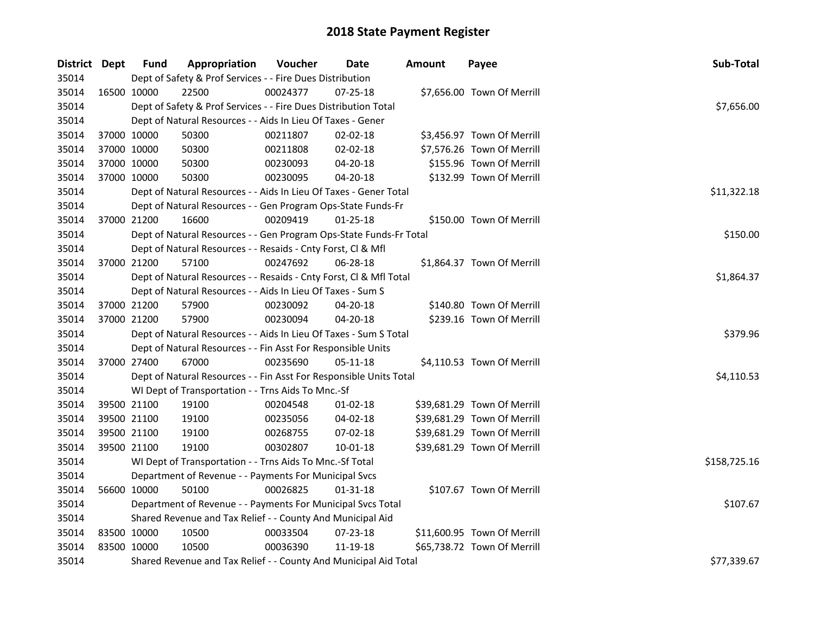| District Dept |             | <b>Fund</b> | Appropriation                                                      | Voucher     | Date           | Amount | Payee                       | Sub-Total    |
|---------------|-------------|-------------|--------------------------------------------------------------------|-------------|----------------|--------|-----------------------------|--------------|
| 35014         |             |             | Dept of Safety & Prof Services - - Fire Dues Distribution          |             |                |        |                             |              |
| 35014         | 16500 10000 |             | 22500                                                              | 00024377    | 07-25-18       |        | \$7,656.00 Town Of Merrill  |              |
| 35014         |             |             | Dept of Safety & Prof Services - - Fire Dues Distribution Total    |             |                |        |                             | \$7,656.00   |
| 35014         |             |             | Dept of Natural Resources - - Aids In Lieu Of Taxes - Gener        |             |                |        |                             |              |
| 35014         | 37000 10000 |             | 50300                                                              | 00211807    | 02-02-18       |        | \$3,456.97 Town Of Merrill  |              |
| 35014         | 37000 10000 |             | 50300                                                              | 00211808    | 02-02-18       |        | \$7,576.26 Town Of Merrill  |              |
| 35014         | 37000 10000 |             | 50300                                                              | 00230093    | 04-20-18       |        | \$155.96 Town Of Merrill    |              |
| 35014         | 37000 10000 |             | 50300                                                              | 00230095    | 04-20-18       |        | \$132.99 Town Of Merrill    |              |
| 35014         |             |             | Dept of Natural Resources - - Aids In Lieu Of Taxes - Gener Total  | \$11,322.18 |                |        |                             |              |
| 35014         |             |             | Dept of Natural Resources - - Gen Program Ops-State Funds-Fr       |             |                |        |                             |              |
| 35014         | 37000 21200 |             | 16600                                                              | 00209419    | $01 - 25 - 18$ |        | \$150.00 Town Of Merrill    |              |
| 35014         |             |             | Dept of Natural Resources - - Gen Program Ops-State Funds-Fr Total |             |                |        |                             | \$150.00     |
| 35014         |             |             | Dept of Natural Resources - - Resaids - Cnty Forst, Cl & Mfl       |             |                |        |                             |              |
| 35014         | 37000 21200 |             | 57100                                                              | 00247692    | 06-28-18       |        | \$1,864.37 Town Of Merrill  |              |
| 35014         |             |             | Dept of Natural Resources - - Resaids - Cnty Forst, Cl & Mfl Total |             |                |        |                             | \$1,864.37   |
| 35014         |             |             | Dept of Natural Resources - - Aids In Lieu Of Taxes - Sum S        |             |                |        |                             |              |
| 35014         | 37000 21200 |             | 57900                                                              | 00230092    | 04-20-18       |        | \$140.80 Town Of Merrill    |              |
| 35014         | 37000 21200 |             | 57900                                                              | 00230094    | $04 - 20 - 18$ |        | \$239.16 Town Of Merrill    |              |
| 35014         |             |             | Dept of Natural Resources - - Aids In Lieu Of Taxes - Sum S Total  |             |                |        |                             | \$379.96     |
| 35014         |             |             | Dept of Natural Resources - - Fin Asst For Responsible Units       |             |                |        |                             |              |
| 35014         | 37000 27400 |             | 67000                                                              | 00235690    | 05-11-18       |        | \$4,110.53 Town Of Merrill  |              |
| 35014         |             |             | Dept of Natural Resources - - Fin Asst For Responsible Units Total |             |                |        |                             | \$4,110.53   |
| 35014         |             |             | WI Dept of Transportation - - Trns Aids To Mnc.-Sf                 |             |                |        |                             |              |
| 35014         | 39500 21100 |             | 19100                                                              | 00204548    | $01 - 02 - 18$ |        | \$39,681.29 Town Of Merrill |              |
| 35014         | 39500 21100 |             | 19100                                                              | 00235056    | 04-02-18       |        | \$39,681.29 Town Of Merrill |              |
| 35014         | 39500 21100 |             | 19100                                                              | 00268755    | 07-02-18       |        | \$39,681.29 Town Of Merrill |              |
| 35014         | 39500 21100 |             | 19100                                                              | 00302807    | $10 - 01 - 18$ |        | \$39,681.29 Town Of Merrill |              |
| 35014         |             |             | WI Dept of Transportation - - Trns Aids To Mnc.-Sf Total           |             |                |        |                             | \$158,725.16 |
| 35014         |             |             | Department of Revenue - - Payments For Municipal Svcs              |             |                |        |                             |              |
| 35014         | 56600 10000 |             | 50100                                                              | 00026825    | 01-31-18       |        | \$107.67 Town Of Merrill    |              |
| 35014         |             |             | Department of Revenue - - Payments For Municipal Svcs Total        |             |                |        |                             | \$107.67     |
| 35014         |             |             | Shared Revenue and Tax Relief - - County And Municipal Aid         |             |                |        |                             |              |
| 35014         | 83500 10000 |             | 10500                                                              | 00033504    | 07-23-18       |        | \$11,600.95 Town Of Merrill |              |
| 35014         | 83500 10000 |             | 10500                                                              | 00036390    | 11-19-18       |        | \$65,738.72 Town Of Merrill |              |
| 35014         |             |             | Shared Revenue and Tax Relief - - County And Municipal Aid Total   |             | \$77,339.67    |        |                             |              |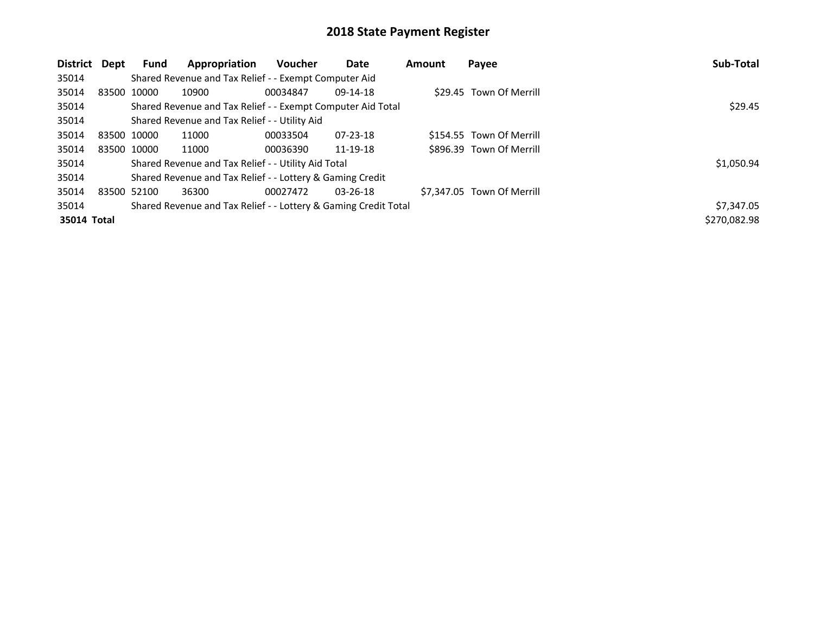| District    | Dept | <b>Fund</b>                                                 | Appropriation                                                   | <b>Voucher</b> | Date           | Amount | Payee                      | Sub-Total    |
|-------------|------|-------------------------------------------------------------|-----------------------------------------------------------------|----------------|----------------|--------|----------------------------|--------------|
| 35014       |      |                                                             | Shared Revenue and Tax Relief - - Exempt Computer Aid           |                |                |        |                            |              |
| 35014       |      | 83500 10000                                                 | 10900                                                           | 00034847       | 09-14-18       |        | \$29.45 Town Of Merrill    |              |
| 35014       |      | Shared Revenue and Tax Relief - - Exempt Computer Aid Total | \$29.45                                                         |                |                |        |                            |              |
| 35014       |      |                                                             | Shared Revenue and Tax Relief - - Utility Aid                   |                |                |        |                            |              |
| 35014       |      | 83500 10000                                                 | 11000                                                           | 00033504       | $07 - 23 - 18$ |        | \$154.55 Town Of Merrill   |              |
| 35014       |      | 83500 10000                                                 | 11000                                                           | 00036390       | 11-19-18       |        | \$896.39 Town Of Merrill   |              |
| 35014       |      |                                                             | Shared Revenue and Tax Relief - - Utility Aid Total             |                |                |        |                            | \$1,050.94   |
| 35014       |      |                                                             | Shared Revenue and Tax Relief - - Lottery & Gaming Credit       |                |                |        |                            |              |
| 35014       |      | 83500 52100                                                 | 36300                                                           | 00027472       | $03 - 26 - 18$ |        | \$7.347.05 Town Of Merrill |              |
| 35014       |      |                                                             | Shared Revenue and Tax Relief - - Lottery & Gaming Credit Total |                |                |        |                            | \$7,347.05   |
| 35014 Total |      |                                                             |                                                                 |                |                |        |                            | \$270,082.98 |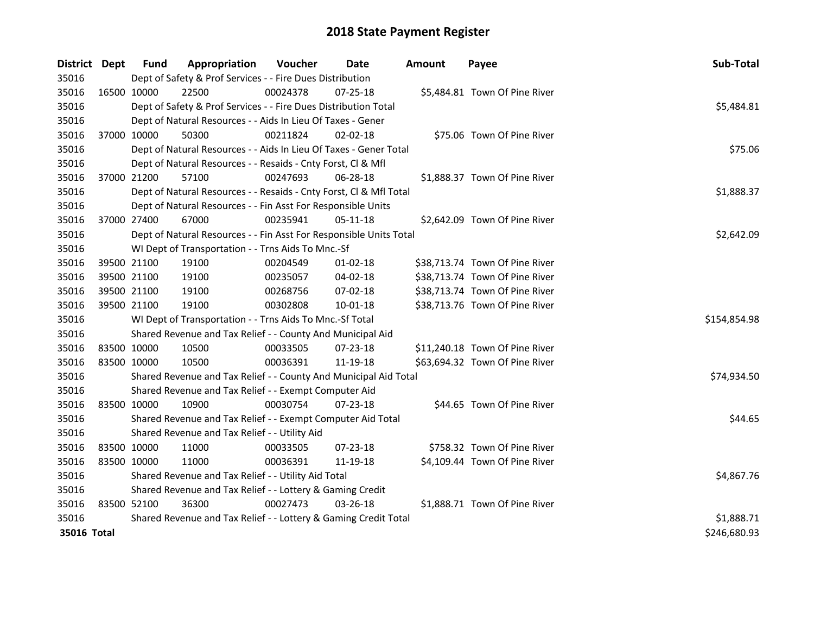| <b>District</b> | Dept        | <b>Fund</b>                                               | Appropriation                                                      | Voucher    | <b>Date</b>    | <b>Amount</b> | Payee                          | Sub-Total    |
|-----------------|-------------|-----------------------------------------------------------|--------------------------------------------------------------------|------------|----------------|---------------|--------------------------------|--------------|
| 35016           |             |                                                           | Dept of Safety & Prof Services - - Fire Dues Distribution          |            |                |               |                                |              |
| 35016           | 16500 10000 |                                                           | 22500                                                              | 00024378   | 07-25-18       |               | \$5,484.81 Town Of Pine River  |              |
| 35016           |             |                                                           | Dept of Safety & Prof Services - - Fire Dues Distribution Total    |            |                |               |                                | \$5,484.81   |
| 35016           |             |                                                           | Dept of Natural Resources - - Aids In Lieu Of Taxes - Gener        |            |                |               |                                |              |
| 35016           | 37000 10000 |                                                           | 50300                                                              | 00211824   | $02 - 02 - 18$ |               | \$75.06 Town Of Pine River     |              |
| 35016           |             |                                                           | Dept of Natural Resources - - Aids In Lieu Of Taxes - Gener Total  |            |                |               |                                | \$75.06      |
| 35016           |             |                                                           | Dept of Natural Resources - - Resaids - Cnty Forst, Cl & Mfl       |            |                |               |                                |              |
| 35016           |             | 37000 21200                                               | 57100                                                              | 00247693   | 06-28-18       |               | \$1,888.37 Town Of Pine River  |              |
| 35016           |             |                                                           | Dept of Natural Resources - - Resaids - Cnty Forst, Cl & Mfl Total |            |                |               |                                | \$1,888.37   |
| 35016           |             |                                                           | Dept of Natural Resources - - Fin Asst For Responsible Units       |            |                |               |                                |              |
| 35016           | 37000 27400 |                                                           | 67000                                                              | 00235941   | 05-11-18       |               | \$2,642.09 Town Of Pine River  |              |
| 35016           |             |                                                           | Dept of Natural Resources - - Fin Asst For Responsible Units Total |            |                |               |                                | \$2,642.09   |
| 35016           |             |                                                           | WI Dept of Transportation - - Trns Aids To Mnc.-Sf                 |            |                |               |                                |              |
| 35016           |             | 39500 21100                                               | 19100                                                              | 00204549   | $01 - 02 - 18$ |               | \$38,713.74 Town Of Pine River |              |
| 35016           |             | 39500 21100                                               | 19100                                                              | 00235057   | 04-02-18       |               | \$38,713.74 Town Of Pine River |              |
| 35016           |             | 39500 21100                                               | 19100                                                              | 00268756   | 07-02-18       |               | \$38,713.74 Town Of Pine River |              |
| 35016           | 39500 21100 |                                                           | 19100                                                              | 00302808   | 10-01-18       |               | \$38,713.76 Town Of Pine River |              |
| 35016           |             |                                                           | WI Dept of Transportation - - Trns Aids To Mnc.-Sf Total           |            |                |               |                                | \$154,854.98 |
| 35016           |             |                                                           | Shared Revenue and Tax Relief - - County And Municipal Aid         |            |                |               |                                |              |
| 35016           |             | 83500 10000                                               | 10500                                                              | 00033505   | 07-23-18       |               | \$11,240.18 Town Of Pine River |              |
| 35016           | 83500 10000 |                                                           | 10500                                                              | 00036391   | 11-19-18       |               | \$63,694.32 Town Of Pine River |              |
| 35016           |             |                                                           | Shared Revenue and Tax Relief - - County And Municipal Aid Total   |            |                |               |                                | \$74,934.50  |
| 35016           |             |                                                           | Shared Revenue and Tax Relief - - Exempt Computer Aid              |            |                |               |                                |              |
| 35016           | 83500 10000 |                                                           | 10900                                                              | 00030754   | 07-23-18       |               | \$44.65 Town Of Pine River     |              |
| 35016           |             |                                                           | Shared Revenue and Tax Relief - - Exempt Computer Aid Total        |            |                |               |                                | \$44.65      |
| 35016           |             |                                                           | Shared Revenue and Tax Relief - - Utility Aid                      |            |                |               |                                |              |
| 35016           | 83500 10000 |                                                           | 11000                                                              | 00033505   | 07-23-18       |               | \$758.32 Town Of Pine River    |              |
| 35016           | 83500 10000 |                                                           | 11000                                                              | 00036391   | 11-19-18       |               | \$4,109.44 Town Of Pine River  |              |
| 35016           |             |                                                           | Shared Revenue and Tax Relief - - Utility Aid Total                | \$4,867.76 |                |               |                                |              |
| 35016           |             | Shared Revenue and Tax Relief - - Lottery & Gaming Credit |                                                                    |            |                |               |                                |              |
| 35016           | 83500 52100 |                                                           | 36300                                                              | 00027473   | 03-26-18       |               | \$1,888.71 Town Of Pine River  |              |
| 35016           |             |                                                           | Shared Revenue and Tax Relief - - Lottery & Gaming Credit Total    |            |                |               |                                | \$1,888.71   |
| 35016 Total     |             |                                                           |                                                                    |            |                |               |                                | \$246,680.93 |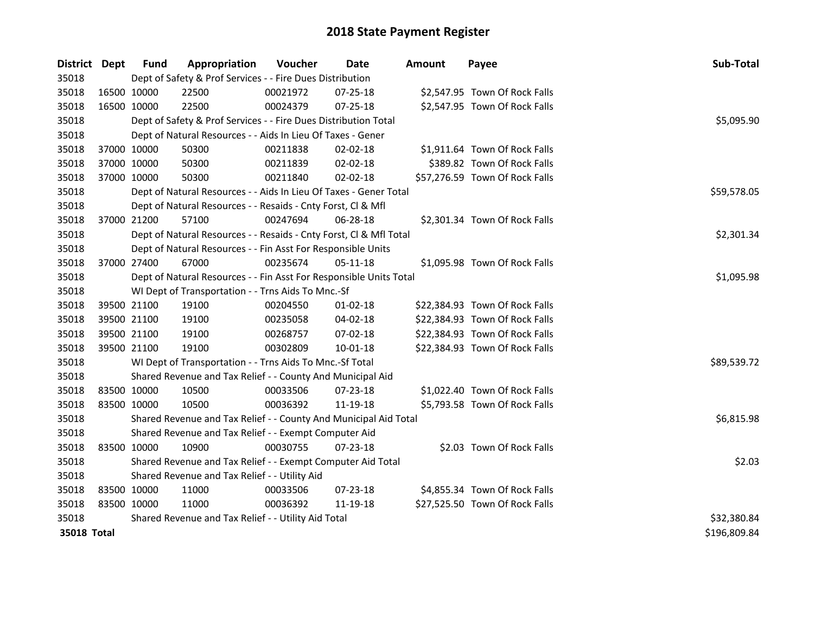| District Dept | <b>Fund</b> | Appropriation                                                      | Voucher    | Date           | <b>Amount</b> | Payee                          | Sub-Total    |
|---------------|-------------|--------------------------------------------------------------------|------------|----------------|---------------|--------------------------------|--------------|
| 35018         |             | Dept of Safety & Prof Services - - Fire Dues Distribution          |            |                |               |                                |              |
| 35018         | 16500 10000 | 22500                                                              | 00021972   | 07-25-18       |               | \$2,547.95 Town Of Rock Falls  |              |
| 35018         | 16500 10000 | 22500                                                              | 00024379   | 07-25-18       |               | \$2,547.95 Town Of Rock Falls  |              |
| 35018         |             | Dept of Safety & Prof Services - - Fire Dues Distribution Total    |            |                |               |                                | \$5,095.90   |
| 35018         |             | Dept of Natural Resources - - Aids In Lieu Of Taxes - Gener        |            |                |               |                                |              |
| 35018         | 37000 10000 | 50300                                                              | 00211838   | 02-02-18       |               | \$1,911.64 Town Of Rock Falls  |              |
| 35018         | 37000 10000 | 50300                                                              | 00211839   | 02-02-18       |               | \$389.82 Town Of Rock Falls    |              |
| 35018         | 37000 10000 | 50300                                                              | 00211840   | 02-02-18       |               | \$57,276.59 Town Of Rock Falls |              |
| 35018         |             | Dept of Natural Resources - - Aids In Lieu Of Taxes - Gener Total  |            |                |               |                                | \$59,578.05  |
| 35018         |             | Dept of Natural Resources - - Resaids - Cnty Forst, Cl & Mfl       |            |                |               |                                |              |
| 35018         | 37000 21200 | 57100                                                              | 00247694   | 06-28-18       |               | \$2,301.34 Town Of Rock Falls  |              |
| 35018         |             | Dept of Natural Resources - - Resaids - Cnty Forst, Cl & Mfl Total |            |                |               |                                | \$2,301.34   |
| 35018         |             | Dept of Natural Resources - - Fin Asst For Responsible Units       |            |                |               |                                |              |
| 35018         | 37000 27400 | 67000                                                              | 00235674   | 05-11-18       |               | \$1,095.98 Town Of Rock Falls  |              |
| 35018         |             | Dept of Natural Resources - - Fin Asst For Responsible Units Total | \$1,095.98 |                |               |                                |              |
| 35018         |             | WI Dept of Transportation - - Trns Aids To Mnc.-Sf                 |            |                |               |                                |              |
| 35018         | 39500 21100 | 19100                                                              | 00204550   | $01 - 02 - 18$ |               | \$22,384.93 Town Of Rock Falls |              |
| 35018         | 39500 21100 | 19100                                                              | 00235058   | 04-02-18       |               | \$22,384.93 Town Of Rock Falls |              |
| 35018         | 39500 21100 | 19100                                                              | 00268757   | 07-02-18       |               | \$22,384.93 Town Of Rock Falls |              |
| 35018         | 39500 21100 | 19100                                                              | 00302809   | $10 - 01 - 18$ |               | \$22,384.93 Town Of Rock Falls |              |
| 35018         |             | WI Dept of Transportation - - Trns Aids To Mnc.-Sf Total           |            |                |               |                                | \$89,539.72  |
| 35018         |             | Shared Revenue and Tax Relief - - County And Municipal Aid         |            |                |               |                                |              |
| 35018         | 83500 10000 | 10500                                                              | 00033506   | 07-23-18       |               | \$1,022.40 Town Of Rock Falls  |              |
| 35018         | 83500 10000 | 10500                                                              | 00036392   | 11-19-18       |               | \$5,793.58 Town Of Rock Falls  |              |
| 35018         |             | Shared Revenue and Tax Relief - - County And Municipal Aid Total   |            |                |               |                                | \$6,815.98   |
| 35018         |             | Shared Revenue and Tax Relief - - Exempt Computer Aid              |            |                |               |                                |              |
| 35018         | 83500 10000 | 10900                                                              | 00030755   | $07 - 23 - 18$ |               | \$2.03 Town Of Rock Falls      |              |
| 35018         |             | Shared Revenue and Tax Relief - - Exempt Computer Aid Total        |            |                |               |                                | \$2.03       |
| 35018         |             | Shared Revenue and Tax Relief - - Utility Aid                      |            |                |               |                                |              |
| 35018         | 83500 10000 | 11000                                                              | 00033506   | 07-23-18       |               | \$4,855.34 Town Of Rock Falls  |              |
| 35018         | 83500 10000 | 11000                                                              | 00036392   | 11-19-18       |               | \$27,525.50 Town Of Rock Falls |              |
| 35018         |             | Shared Revenue and Tax Relief - - Utility Aid Total                |            |                |               |                                | \$32,380.84  |
| 35018 Total   |             |                                                                    |            |                |               |                                | \$196,809.84 |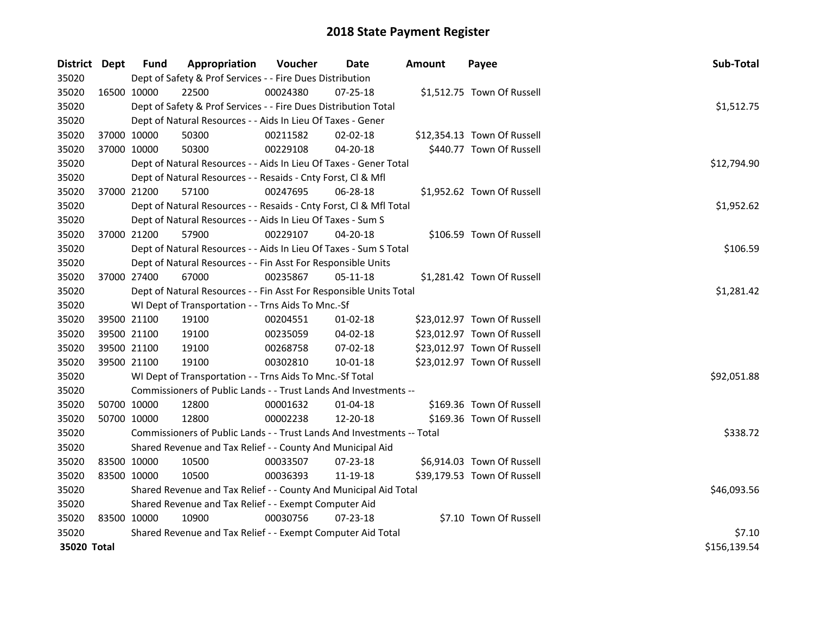| District Dept |             | Fund        | Appropriation                                                          | Voucher  | Date           | <b>Amount</b> | Payee                       | Sub-Total    |
|---------------|-------------|-------------|------------------------------------------------------------------------|----------|----------------|---------------|-----------------------------|--------------|
| 35020         |             |             | Dept of Safety & Prof Services - - Fire Dues Distribution              |          |                |               |                             |              |
| 35020         | 16500 10000 |             | 22500                                                                  | 00024380 | 07-25-18       |               | \$1,512.75 Town Of Russell  |              |
| 35020         |             |             | Dept of Safety & Prof Services - - Fire Dues Distribution Total        |          |                |               |                             | \$1,512.75   |
| 35020         |             |             | Dept of Natural Resources - - Aids In Lieu Of Taxes - Gener            |          |                |               |                             |              |
| 35020         | 37000 10000 |             | 50300                                                                  | 00211582 | $02 - 02 - 18$ |               | \$12,354.13 Town Of Russell |              |
| 35020         | 37000 10000 |             | 50300                                                                  | 00229108 | 04-20-18       |               | \$440.77 Town Of Russell    |              |
| 35020         |             |             | Dept of Natural Resources - - Aids In Lieu Of Taxes - Gener Total      |          |                |               |                             | \$12,794.90  |
| 35020         |             |             | Dept of Natural Resources - - Resaids - Cnty Forst, Cl & Mfl           |          |                |               |                             |              |
| 35020         | 37000 21200 |             | 57100                                                                  | 00247695 | 06-28-18       |               | \$1,952.62 Town Of Russell  |              |
| 35020         |             |             | Dept of Natural Resources - - Resaids - Cnty Forst, Cl & Mfl Total     |          |                |               |                             | \$1,952.62   |
| 35020         |             |             | Dept of Natural Resources - - Aids In Lieu Of Taxes - Sum S            |          |                |               |                             |              |
| 35020         | 37000 21200 |             | 57900                                                                  | 00229107 | 04-20-18       |               | \$106.59 Town Of Russell    |              |
| 35020         |             |             | Dept of Natural Resources - - Aids In Lieu Of Taxes - Sum S Total      |          |                |               |                             | \$106.59     |
| 35020         |             |             | Dept of Natural Resources - - Fin Asst For Responsible Units           |          |                |               |                             |              |
| 35020         |             | 37000 27400 | 67000                                                                  | 00235867 | 05-11-18       |               | \$1,281.42 Town Of Russell  |              |
| 35020         |             | \$1,281.42  |                                                                        |          |                |               |                             |              |
| 35020         |             |             | WI Dept of Transportation - - Trns Aids To Mnc.-Sf                     |          |                |               |                             |              |
| 35020         | 39500 21100 |             | 19100                                                                  | 00204551 | $01 - 02 - 18$ |               | \$23,012.97 Town Of Russell |              |
| 35020         | 39500 21100 |             | 19100                                                                  | 00235059 | 04-02-18       |               | \$23,012.97 Town Of Russell |              |
| 35020         | 39500 21100 |             | 19100                                                                  | 00268758 | 07-02-18       |               | \$23,012.97 Town Of Russell |              |
| 35020         | 39500 21100 |             | 19100                                                                  | 00302810 | 10-01-18       |               | \$23,012.97 Town Of Russell |              |
| 35020         |             |             | WI Dept of Transportation - - Trns Aids To Mnc.-Sf Total               |          |                |               |                             | \$92,051.88  |
| 35020         |             |             | Commissioners of Public Lands - - Trust Lands And Investments --       |          |                |               |                             |              |
| 35020         | 50700 10000 |             | 12800                                                                  | 00001632 | 01-04-18       |               | \$169.36 Town Of Russell    |              |
| 35020         | 50700 10000 |             | 12800                                                                  | 00002238 | 12-20-18       |               | \$169.36 Town Of Russell    |              |
| 35020         |             |             | Commissioners of Public Lands - - Trust Lands And Investments -- Total |          |                |               |                             | \$338.72     |
| 35020         |             |             | Shared Revenue and Tax Relief - - County And Municipal Aid             |          |                |               |                             |              |
| 35020         | 83500 10000 |             | 10500                                                                  | 00033507 | 07-23-18       |               | \$6,914.03 Town Of Russell  |              |
| 35020         | 83500 10000 |             | 10500                                                                  | 00036393 | 11-19-18       |               | \$39,179.53 Town Of Russell |              |
| 35020         |             |             | Shared Revenue and Tax Relief - - County And Municipal Aid Total       |          |                |               |                             | \$46,093.56  |
| 35020         |             |             | Shared Revenue and Tax Relief - - Exempt Computer Aid                  |          |                |               |                             |              |
| 35020         | 83500 10000 |             | 10900                                                                  | 00030756 | $07 - 23 - 18$ |               | \$7.10 Town Of Russell      |              |
| 35020         |             |             | Shared Revenue and Tax Relief - - Exempt Computer Aid Total            |          |                |               |                             | \$7.10       |
| 35020 Total   |             |             |                                                                        |          |                |               |                             | \$156,139.54 |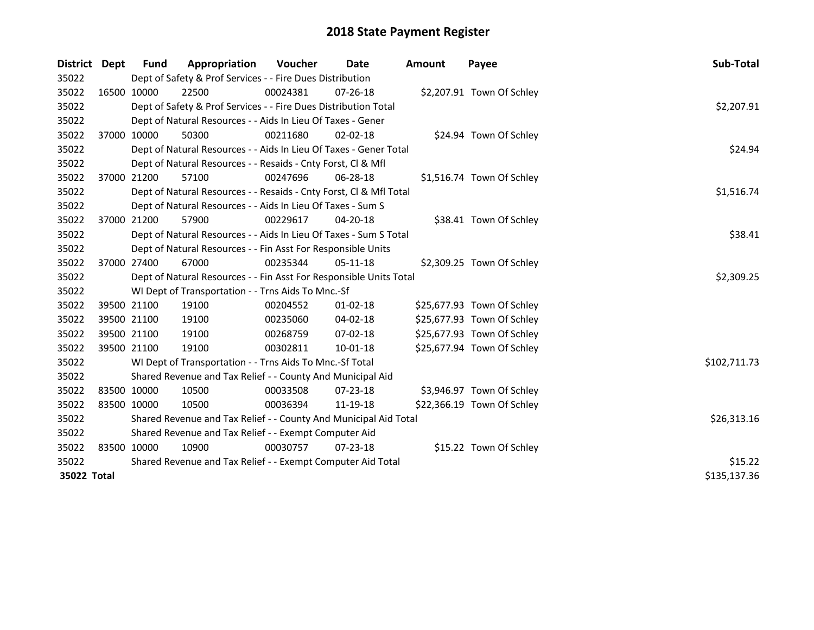| <b>District</b> | <b>Dept</b> | <b>Fund</b> | Appropriation                                                      | Voucher  | Date           | <b>Amount</b> | Payee                      | Sub-Total    |
|-----------------|-------------|-------------|--------------------------------------------------------------------|----------|----------------|---------------|----------------------------|--------------|
| 35022           |             |             | Dept of Safety & Prof Services - - Fire Dues Distribution          |          |                |               |                            |              |
| 35022           |             | 16500 10000 | 22500                                                              | 00024381 | $07 - 26 - 18$ |               | \$2,207.91 Town Of Schley  |              |
| 35022           |             |             | Dept of Safety & Prof Services - - Fire Dues Distribution Total    |          |                |               |                            | \$2,207.91   |
| 35022           |             |             | Dept of Natural Resources - - Aids In Lieu Of Taxes - Gener        |          |                |               |                            |              |
| 35022           |             | 37000 10000 | 50300                                                              | 00211680 | $02 - 02 - 18$ |               | \$24.94 Town Of Schley     |              |
| 35022           |             |             | Dept of Natural Resources - - Aids In Lieu Of Taxes - Gener Total  |          |                |               |                            | \$24.94      |
| 35022           |             |             | Dept of Natural Resources - - Resaids - Cnty Forst, Cl & Mfl       |          |                |               |                            |              |
| 35022           |             | 37000 21200 | 57100                                                              | 00247696 | $06 - 28 - 18$ |               | \$1,516.74 Town Of Schley  |              |
| 35022           |             |             | Dept of Natural Resources - - Resaids - Cnty Forst, Cl & Mfl Total |          |                |               |                            | \$1,516.74   |
| 35022           |             |             | Dept of Natural Resources - - Aids In Lieu Of Taxes - Sum S        |          |                |               |                            |              |
| 35022           |             | 37000 21200 | 57900                                                              | 00229617 | 04-20-18       |               | \$38.41 Town Of Schley     |              |
| 35022           |             |             | Dept of Natural Resources - - Aids In Lieu Of Taxes - Sum S Total  |          |                |               |                            | \$38.41      |
| 35022           |             |             | Dept of Natural Resources - - Fin Asst For Responsible Units       |          |                |               |                            |              |
| 35022           |             | 37000 27400 | 67000                                                              | 00235344 | $05-11-18$     |               | \$2,309.25 Town Of Schley  |              |
| 35022           |             |             | Dept of Natural Resources - - Fin Asst For Responsible Units Total |          |                |               |                            | \$2,309.25   |
| 35022           |             |             | WI Dept of Transportation - - Trns Aids To Mnc.-Sf                 |          |                |               |                            |              |
| 35022           |             | 39500 21100 | 19100                                                              | 00204552 | $01 - 02 - 18$ |               | \$25,677.93 Town Of Schley |              |
| 35022           |             | 39500 21100 | 19100                                                              | 00235060 | 04-02-18       |               | \$25,677.93 Town Of Schley |              |
| 35022           |             | 39500 21100 | 19100                                                              | 00268759 | 07-02-18       |               | \$25,677.93 Town Of Schley |              |
| 35022           | 39500 21100 |             | 19100                                                              | 00302811 | 10-01-18       |               | \$25,677.94 Town Of Schley |              |
| 35022           |             |             | WI Dept of Transportation - - Trns Aids To Mnc.-Sf Total           |          |                |               |                            | \$102,711.73 |
| 35022           |             |             | Shared Revenue and Tax Relief - - County And Municipal Aid         |          |                |               |                            |              |
| 35022           | 83500 10000 |             | 10500                                                              | 00033508 | $07 - 23 - 18$ |               | \$3,946.97 Town Of Schley  |              |
| 35022           | 83500 10000 |             | 10500                                                              | 00036394 | 11-19-18       |               | \$22,366.19 Town Of Schley |              |
| 35022           |             |             | Shared Revenue and Tax Relief - - County And Municipal Aid Total   |          |                |               |                            | \$26,313.16  |
| 35022           |             |             | Shared Revenue and Tax Relief - - Exempt Computer Aid              |          |                |               |                            |              |
| 35022           | 83500 10000 |             | 10900                                                              | 00030757 | $07 - 23 - 18$ |               | \$15.22 Town Of Schley     |              |
| 35022           |             |             | Shared Revenue and Tax Relief - - Exempt Computer Aid Total        |          |                |               |                            | \$15.22      |
| 35022 Total     |             |             |                                                                    |          |                |               |                            | \$135,137.36 |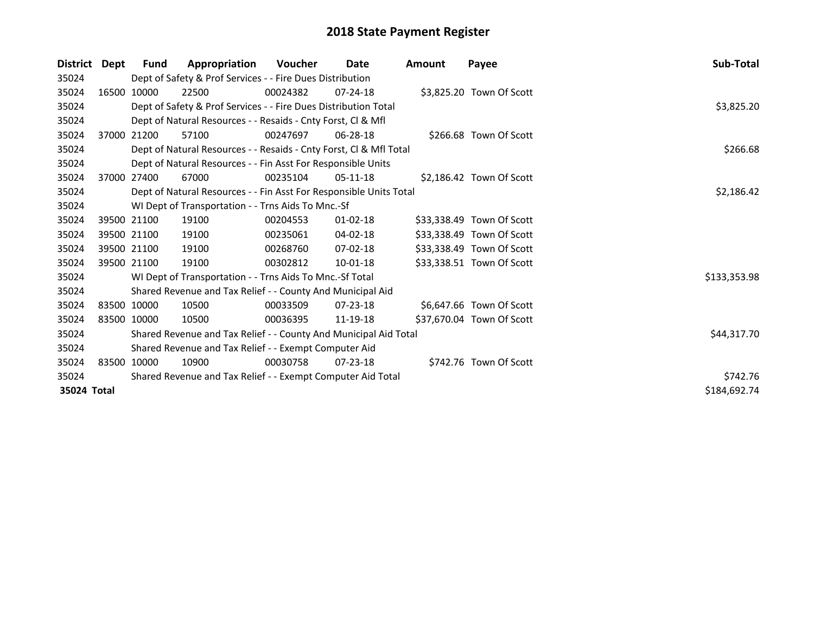| <b>District</b> | Dept        | <b>Fund</b>                                           | Appropriation                                                      | Voucher  | Date           | Amount | Payee                     | Sub-Total    |
|-----------------|-------------|-------------------------------------------------------|--------------------------------------------------------------------|----------|----------------|--------|---------------------------|--------------|
| 35024           |             |                                                       | Dept of Safety & Prof Services - - Fire Dues Distribution          |          |                |        |                           |              |
| 35024           |             | 16500 10000                                           | 22500                                                              | 00024382 | $07 - 24 - 18$ |        | \$3,825.20 Town Of Scott  |              |
| 35024           |             |                                                       | Dept of Safety & Prof Services - - Fire Dues Distribution Total    |          |                |        |                           | \$3,825.20   |
| 35024           |             |                                                       | Dept of Natural Resources - - Resaids - Cnty Forst, Cl & Mfl       |          |                |        |                           |              |
| 35024           |             | 37000 21200                                           | 57100                                                              | 00247697 | 06-28-18       |        | \$266.68 Town Of Scott    |              |
| 35024           |             |                                                       | Dept of Natural Resources - - Resaids - Cnty Forst, CI & Mfl Total |          |                |        |                           | \$266.68     |
| 35024           |             |                                                       | Dept of Natural Resources - - Fin Asst For Responsible Units       |          |                |        |                           |              |
| 35024           |             | 37000 27400                                           | 67000                                                              | 00235104 | $05-11-18$     |        | \$2,186.42 Town Of Scott  |              |
| 35024           |             |                                                       | Dept of Natural Resources - - Fin Asst For Responsible Units Total |          |                |        |                           | \$2,186.42   |
| 35024           |             |                                                       | WI Dept of Transportation - - Trns Aids To Mnc.-Sf                 |          |                |        |                           |              |
| 35024           |             | 39500 21100                                           | 19100                                                              | 00204553 | $01 - 02 - 18$ |        | \$33,338.49 Town Of Scott |              |
| 35024           |             | 39500 21100                                           | 19100                                                              | 00235061 | 04-02-18       |        | \$33,338.49 Town Of Scott |              |
| 35024           |             | 39500 21100                                           | 19100                                                              | 00268760 | $07-02-18$     |        | \$33,338.49 Town Of Scott |              |
| 35024           | 39500 21100 |                                                       | 19100                                                              | 00302812 | $10 - 01 - 18$ |        | \$33,338.51 Town Of Scott |              |
| 35024           |             |                                                       | WI Dept of Transportation - - Trns Aids To Mnc.-Sf Total           |          |                |        |                           | \$133,353.98 |
| 35024           |             |                                                       | Shared Revenue and Tax Relief - - County And Municipal Aid         |          |                |        |                           |              |
| 35024           | 83500 10000 |                                                       | 10500                                                              | 00033509 | $07 - 23 - 18$ |        | \$6,647.66 Town Of Scott  |              |
| 35024           | 83500 10000 |                                                       | 10500                                                              | 00036395 | 11-19-18       |        | \$37,670.04 Town Of Scott |              |
| 35024           |             |                                                       | Shared Revenue and Tax Relief - - County And Municipal Aid Total   |          |                |        |                           | \$44,317.70  |
| 35024           |             | Shared Revenue and Tax Relief - - Exempt Computer Aid |                                                                    |          |                |        |                           |              |
| 35024           | 83500 10000 |                                                       | 10900                                                              | 00030758 | $07 - 23 - 18$ |        | \$742.76 Town Of Scott    |              |
| 35024           |             |                                                       | Shared Revenue and Tax Relief - - Exempt Computer Aid Total        |          |                |        |                           | \$742.76     |
| 35024 Total     |             |                                                       |                                                                    |          |                |        |                           | \$184,692.74 |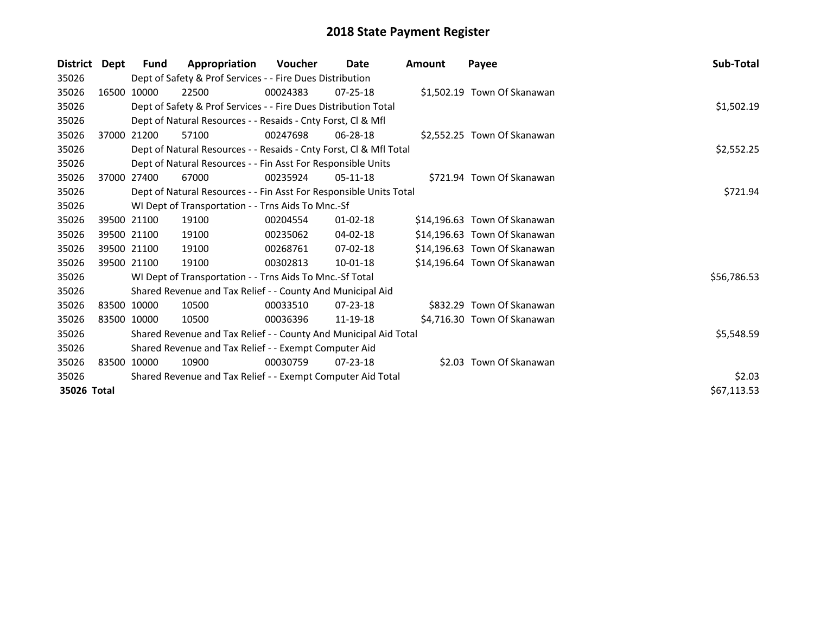| <b>District</b> | Dept        | Fund                                                  | Appropriation                                                      | <b>Voucher</b> | Date           | <b>Amount</b> | Payee                        | Sub-Total   |  |
|-----------------|-------------|-------------------------------------------------------|--------------------------------------------------------------------|----------------|----------------|---------------|------------------------------|-------------|--|
| 35026           |             |                                                       | Dept of Safety & Prof Services - - Fire Dues Distribution          |                |                |               |                              |             |  |
| 35026           |             | 16500 10000                                           | 22500                                                              | 00024383       | $07 - 25 - 18$ |               | \$1,502.19 Town Of Skanawan  |             |  |
| 35026           |             |                                                       | Dept of Safety & Prof Services - - Fire Dues Distribution Total    |                |                |               |                              | \$1,502.19  |  |
| 35026           |             |                                                       | Dept of Natural Resources - - Resaids - Cnty Forst, CI & Mfl       |                |                |               |                              |             |  |
| 35026           |             | 37000 21200                                           | 57100                                                              | 00247698       | 06-28-18       |               | \$2,552.25 Town Of Skanawan  |             |  |
| 35026           |             |                                                       | Dept of Natural Resources - - Resaids - Cnty Forst, Cl & Mfl Total |                |                |               |                              | \$2,552.25  |  |
| 35026           |             |                                                       | Dept of Natural Resources - - Fin Asst For Responsible Units       |                |                |               |                              |             |  |
| 35026           |             | 37000 27400                                           | 67000                                                              | 00235924       | $05-11-18$     |               | \$721.94 Town Of Skanawan    |             |  |
| 35026           |             |                                                       | Dept of Natural Resources - - Fin Asst For Responsible Units Total |                |                |               |                              | \$721.94    |  |
| 35026           |             |                                                       | WI Dept of Transportation - - Trns Aids To Mnc.-Sf                 |                |                |               |                              |             |  |
| 35026           |             | 39500 21100                                           | 19100                                                              | 00204554       | $01 - 02 - 18$ |               | \$14,196.63 Town Of Skanawan |             |  |
| 35026           |             | 39500 21100                                           | 19100                                                              | 00235062       | 04-02-18       |               | \$14,196.63 Town Of Skanawan |             |  |
| 35026           |             | 39500 21100                                           | 19100                                                              | 00268761       | 07-02-18       |               | \$14,196.63 Town Of Skanawan |             |  |
| 35026           |             | 39500 21100                                           | 19100                                                              | 00302813       | 10-01-18       |               | \$14,196.64 Town Of Skanawan |             |  |
| 35026           |             |                                                       | WI Dept of Transportation - - Trns Aids To Mnc.-Sf Total           |                |                |               |                              | \$56,786.53 |  |
| 35026           |             |                                                       | Shared Revenue and Tax Relief - - County And Municipal Aid         |                |                |               |                              |             |  |
| 35026           | 83500 10000 |                                                       | 10500                                                              | 00033510       | $07 - 23 - 18$ |               | \$832.29 Town Of Skanawan    |             |  |
| 35026           | 83500 10000 |                                                       | 10500                                                              | 00036396       | 11-19-18       |               | \$4,716.30 Town Of Skanawan  |             |  |
| 35026           |             |                                                       | Shared Revenue and Tax Relief - - County And Municipal Aid Total   |                |                |               |                              | \$5,548.59  |  |
| 35026           |             | Shared Revenue and Tax Relief - - Exempt Computer Aid |                                                                    |                |                |               |                              |             |  |
| 35026           | 83500 10000 |                                                       | 10900                                                              | 00030759       | $07 - 23 - 18$ |               | \$2.03 Town Of Skanawan      |             |  |
| 35026           |             |                                                       | Shared Revenue and Tax Relief - - Exempt Computer Aid Total        |                |                |               |                              | \$2.03      |  |
| 35026 Total     |             |                                                       |                                                                    |                |                |               |                              | \$67,113.53 |  |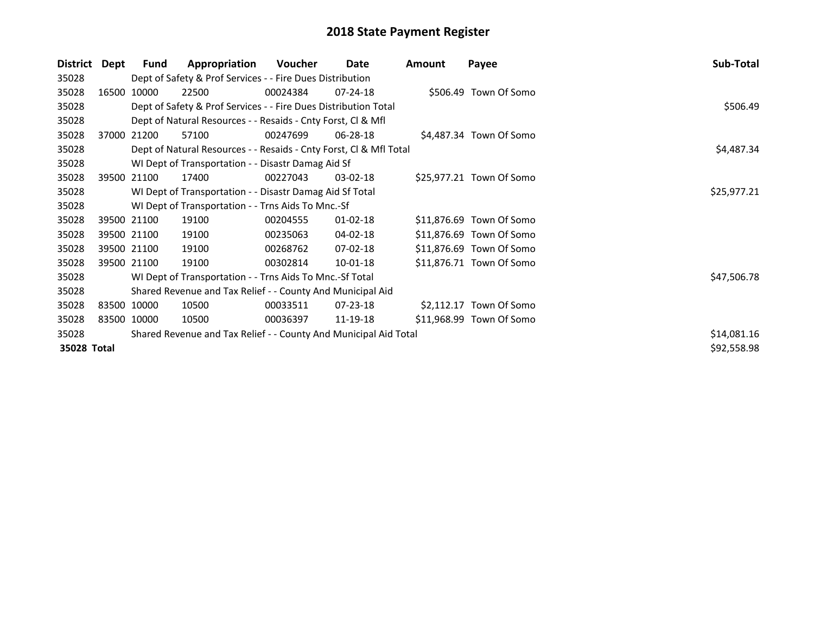| <b>District</b> | Dept | Fund        | Appropriation                                                      | Voucher     | Date           | Amount | Payee                    | Sub-Total   |  |  |  |
|-----------------|------|-------------|--------------------------------------------------------------------|-------------|----------------|--------|--------------------------|-------------|--|--|--|
| 35028           |      |             | Dept of Safety & Prof Services - - Fire Dues Distribution          |             |                |        |                          |             |  |  |  |
| 35028           |      | 16500 10000 | 22500                                                              | 00024384    | $07 - 24 - 18$ |        | \$506.49 Town Of Somo    |             |  |  |  |
| 35028           |      |             | Dept of Safety & Prof Services - - Fire Dues Distribution Total    |             |                |        |                          | \$506.49    |  |  |  |
| 35028           |      |             | Dept of Natural Resources - - Resaids - Cnty Forst, CI & Mfl       |             |                |        |                          |             |  |  |  |
| 35028           |      | 37000 21200 | 57100                                                              | 00247699    | 06-28-18       |        | \$4,487.34 Town Of Somo  |             |  |  |  |
| 35028           |      |             | Dept of Natural Resources - - Resaids - Cnty Forst, Cl & Mfl Total |             |                |        |                          | \$4,487.34  |  |  |  |
| 35028           |      |             | WI Dept of Transportation - - Disastr Damag Aid Sf                 |             |                |        |                          |             |  |  |  |
| 35028           |      | 39500 21100 | 17400                                                              | 00227043    | $03-02-18$     |        | \$25,977.21 Town Of Somo |             |  |  |  |
| 35028           |      |             | WI Dept of Transportation - - Disastr Damag Aid Sf Total           | \$25,977.21 |                |        |                          |             |  |  |  |
| 35028           |      |             | WI Dept of Transportation - - Trns Aids To Mnc.-Sf                 |             |                |        |                          |             |  |  |  |
| 35028           |      | 39500 21100 | 19100                                                              | 00204555    | $01 - 02 - 18$ |        | \$11,876.69 Town Of Somo |             |  |  |  |
| 35028           |      | 39500 21100 | 19100                                                              | 00235063    | 04-02-18       |        | \$11,876.69 Town Of Somo |             |  |  |  |
| 35028           |      | 39500 21100 | 19100                                                              | 00268762    | $07 - 02 - 18$ |        | \$11,876.69 Town Of Somo |             |  |  |  |
| 35028           |      | 39500 21100 | 19100                                                              | 00302814    | 10-01-18       |        | \$11,876.71 Town Of Somo |             |  |  |  |
| 35028           |      |             | WI Dept of Transportation - - Trns Aids To Mnc.-Sf Total           |             |                |        |                          | \$47,506.78 |  |  |  |
| 35028           |      |             | Shared Revenue and Tax Relief - - County And Municipal Aid         |             |                |        |                          |             |  |  |  |
| 35028           |      | 83500 10000 | 10500                                                              | 00033511    | 07-23-18       |        | \$2,112.17 Town Of Somo  |             |  |  |  |
| 35028           |      | 83500 10000 | 10500                                                              | 00036397    | 11-19-18       |        | \$11,968.99 Town Of Somo |             |  |  |  |
| 35028           |      |             | Shared Revenue and Tax Relief - - County And Municipal Aid Total   |             |                |        |                          | \$14,081.16 |  |  |  |
| 35028 Total     |      |             |                                                                    |             |                |        |                          | \$92,558.98 |  |  |  |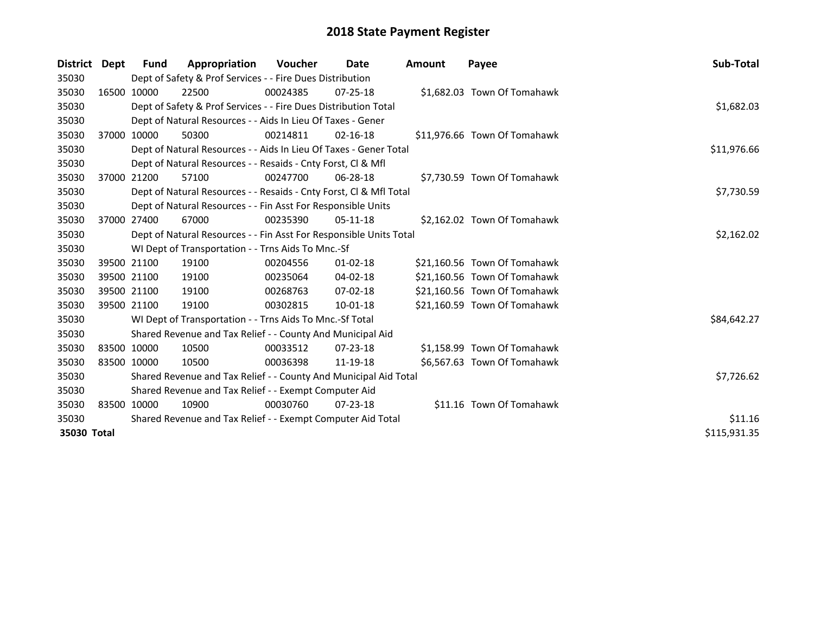| District Dept |             | <b>Fund</b> | Appropriation                                                      | Voucher  | Date           | <b>Amount</b> | Payee                        | Sub-Total    |
|---------------|-------------|-------------|--------------------------------------------------------------------|----------|----------------|---------------|------------------------------|--------------|
| 35030         |             |             | Dept of Safety & Prof Services - - Fire Dues Distribution          |          |                |               |                              |              |
| 35030         | 16500 10000 |             | 22500                                                              | 00024385 | $07 - 25 - 18$ |               | \$1,682.03 Town Of Tomahawk  |              |
| 35030         |             |             | Dept of Safety & Prof Services - - Fire Dues Distribution Total    |          |                |               |                              | \$1,682.03   |
| 35030         |             |             | Dept of Natural Resources - - Aids In Lieu Of Taxes - Gener        |          |                |               |                              |              |
| 35030         |             | 37000 10000 | 50300                                                              | 00214811 | $02 - 16 - 18$ |               | \$11,976.66 Town Of Tomahawk |              |
| 35030         |             |             | Dept of Natural Resources - - Aids In Lieu Of Taxes - Gener Total  |          |                |               |                              | \$11,976.66  |
| 35030         |             |             | Dept of Natural Resources - - Resaids - Cnty Forst, CI & Mfl       |          |                |               |                              |              |
| 35030         |             | 37000 21200 | 57100                                                              | 00247700 | $06 - 28 - 18$ |               | \$7,730.59 Town Of Tomahawk  |              |
| 35030         |             |             | Dept of Natural Resources - - Resaids - Cnty Forst, Cl & Mfl Total |          |                |               |                              | \$7,730.59   |
| 35030         |             |             | Dept of Natural Resources - - Fin Asst For Responsible Units       |          |                |               |                              |              |
| 35030         |             | 37000 27400 | 67000                                                              | 00235390 | $05-11-18$     |               | \$2,162.02 Town Of Tomahawk  |              |
| 35030         |             |             | Dept of Natural Resources - - Fin Asst For Responsible Units Total |          |                |               |                              | \$2,162.02   |
| 35030         |             |             | WI Dept of Transportation - - Trns Aids To Mnc.-Sf                 |          |                |               |                              |              |
| 35030         |             | 39500 21100 | 19100                                                              | 00204556 | $01 - 02 - 18$ |               | \$21,160.56 Town Of Tomahawk |              |
| 35030         |             | 39500 21100 | 19100                                                              | 00235064 | $04 - 02 - 18$ |               | \$21,160.56 Town Of Tomahawk |              |
| 35030         |             | 39500 21100 | 19100                                                              | 00268763 | $07 - 02 - 18$ |               | \$21,160.56 Town Of Tomahawk |              |
| 35030         | 39500 21100 |             | 19100                                                              | 00302815 | 10-01-18       |               | \$21,160.59 Town Of Tomahawk |              |
| 35030         |             |             | WI Dept of Transportation - - Trns Aids To Mnc.-Sf Total           |          |                |               |                              | \$84,642.27  |
| 35030         |             |             | Shared Revenue and Tax Relief - - County And Municipal Aid         |          |                |               |                              |              |
| 35030         | 83500 10000 |             | 10500                                                              | 00033512 | $07 - 23 - 18$ |               | \$1,158.99 Town Of Tomahawk  |              |
| 35030         | 83500 10000 |             | 10500                                                              | 00036398 | 11-19-18       |               | \$6,567.63 Town Of Tomahawk  |              |
| 35030         |             |             | Shared Revenue and Tax Relief - - County And Municipal Aid Total   |          |                |               |                              | \$7,726.62   |
| 35030         |             |             | Shared Revenue and Tax Relief - - Exempt Computer Aid              |          |                |               |                              |              |
| 35030         |             | 83500 10000 | 10900                                                              | 00030760 | $07 - 23 - 18$ |               | \$11.16 Town Of Tomahawk     |              |
| 35030         |             |             | Shared Revenue and Tax Relief - - Exempt Computer Aid Total        | \$11.16  |                |               |                              |              |
| 35030 Total   |             |             |                                                                    |          |                |               |                              | \$115,931.35 |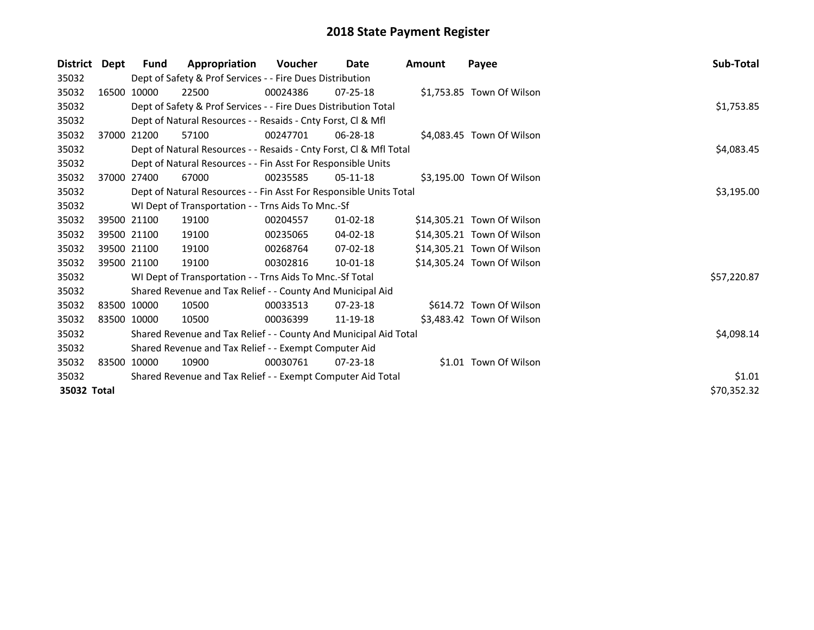| <b>District</b> | Dept | Fund        | Appropriation                                                      | Voucher  | Date           | <b>Amount</b> | Payee                      | Sub-Total   |
|-----------------|------|-------------|--------------------------------------------------------------------|----------|----------------|---------------|----------------------------|-------------|
| 35032           |      |             | Dept of Safety & Prof Services - - Fire Dues Distribution          |          |                |               |                            |             |
| 35032           |      | 16500 10000 | 22500                                                              | 00024386 | $07 - 25 - 18$ |               | \$1,753.85 Town Of Wilson  |             |
| 35032           |      |             | Dept of Safety & Prof Services - - Fire Dues Distribution Total    |          |                |               |                            | \$1,753.85  |
| 35032           |      |             | Dept of Natural Resources - - Resaids - Cnty Forst, CI & Mfl       |          |                |               |                            |             |
| 35032           |      | 37000 21200 | 57100                                                              | 00247701 | 06-28-18       |               | \$4,083.45 Town Of Wilson  |             |
| 35032           |      |             | Dept of Natural Resources - - Resaids - Cnty Forst, CI & Mfl Total |          |                |               |                            | \$4,083.45  |
| 35032           |      |             | Dept of Natural Resources - - Fin Asst For Responsible Units       |          |                |               |                            |             |
| 35032           |      | 37000 27400 | 67000                                                              | 00235585 | $05-11-18$     |               | \$3,195.00 Town Of Wilson  |             |
| 35032           |      |             | Dept of Natural Resources - - Fin Asst For Responsible Units Total |          |                |               |                            | \$3,195.00  |
| 35032           |      |             | WI Dept of Transportation - - Trns Aids To Mnc.-Sf                 |          |                |               |                            |             |
| 35032           |      | 39500 21100 | 19100                                                              | 00204557 | $01 - 02 - 18$ |               | \$14,305.21 Town Of Wilson |             |
| 35032           |      | 39500 21100 | 19100                                                              | 00235065 | 04-02-18       |               | \$14,305.21 Town Of Wilson |             |
| 35032           |      | 39500 21100 | 19100                                                              | 00268764 | $07 - 02 - 18$ |               | \$14,305.21 Town Of Wilson |             |
| 35032           |      | 39500 21100 | 19100                                                              | 00302816 | 10-01-18       |               | \$14,305.24 Town Of Wilson |             |
| 35032           |      |             | WI Dept of Transportation - - Trns Aids To Mnc.-Sf Total           |          |                |               |                            | \$57,220.87 |
| 35032           |      |             | Shared Revenue and Tax Relief - - County And Municipal Aid         |          |                |               |                            |             |
| 35032           |      | 83500 10000 | 10500                                                              | 00033513 | $07 - 23 - 18$ |               | \$614.72 Town Of Wilson    |             |
| 35032           |      | 83500 10000 | 10500                                                              | 00036399 | 11-19-18       |               | \$3,483.42 Town Of Wilson  |             |
| 35032           |      |             | Shared Revenue and Tax Relief - - County And Municipal Aid Total   |          |                |               |                            | \$4,098.14  |
| 35032           |      |             | Shared Revenue and Tax Relief - - Exempt Computer Aid              |          |                |               |                            |             |
| 35032           |      | 83500 10000 | 10900                                                              | 00030761 | $07 - 23 - 18$ |               | \$1.01 Town Of Wilson      |             |
| 35032           |      |             | Shared Revenue and Tax Relief - - Exempt Computer Aid Total        |          |                |               |                            | \$1.01      |
| 35032 Total     |      |             |                                                                    |          |                |               |                            | \$70,352.32 |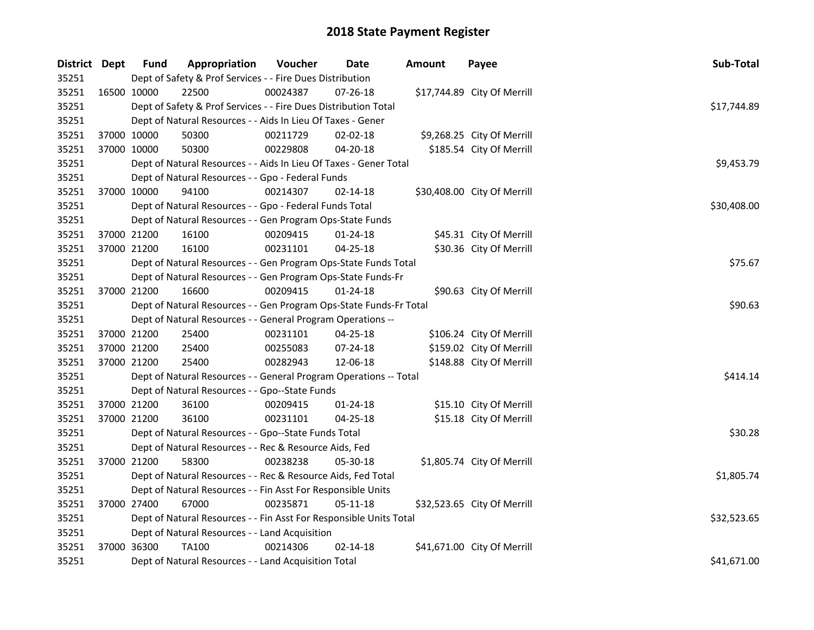| District Dept |             | <b>Fund</b> | Appropriation                                                      | Voucher  | Date           | Amount | Payee                       | Sub-Total   |
|---------------|-------------|-------------|--------------------------------------------------------------------|----------|----------------|--------|-----------------------------|-------------|
| 35251         |             |             | Dept of Safety & Prof Services - - Fire Dues Distribution          |          |                |        |                             |             |
| 35251         | 16500 10000 |             | 22500                                                              | 00024387 | 07-26-18       |        | \$17,744.89 City Of Merrill |             |
| 35251         |             |             | Dept of Safety & Prof Services - - Fire Dues Distribution Total    |          |                |        |                             | \$17,744.89 |
| 35251         |             |             | Dept of Natural Resources - - Aids In Lieu Of Taxes - Gener        |          |                |        |                             |             |
| 35251         |             | 37000 10000 | 50300                                                              | 00211729 | $02 - 02 - 18$ |        | \$9,268.25 City Of Merrill  |             |
| 35251         | 37000 10000 |             | 50300                                                              | 00229808 | $04 - 20 - 18$ |        | \$185.54 City Of Merrill    |             |
| 35251         |             |             | Dept of Natural Resources - - Aids In Lieu Of Taxes - Gener Total  |          |                |        |                             | \$9,453.79  |
| 35251         |             |             | Dept of Natural Resources - - Gpo - Federal Funds                  |          |                |        |                             |             |
| 35251         |             | 37000 10000 | 94100                                                              | 00214307 | 02-14-18       |        | \$30,408.00 City Of Merrill |             |
| 35251         |             |             | Dept of Natural Resources - - Gpo - Federal Funds Total            |          |                |        |                             | \$30,408.00 |
| 35251         |             |             | Dept of Natural Resources - - Gen Program Ops-State Funds          |          |                |        |                             |             |
| 35251         |             | 37000 21200 | 16100                                                              | 00209415 | $01 - 24 - 18$ |        | \$45.31 City Of Merrill     |             |
| 35251         |             | 37000 21200 | 16100                                                              | 00231101 | 04-25-18       |        | \$30.36 City Of Merrill     |             |
| 35251         |             |             | Dept of Natural Resources - - Gen Program Ops-State Funds Total    |          |                |        |                             | \$75.67     |
| 35251         |             |             | Dept of Natural Resources - - Gen Program Ops-State Funds-Fr       |          |                |        |                             |             |
| 35251         |             | 37000 21200 | 16600                                                              | 00209415 | $01 - 24 - 18$ |        | \$90.63 City Of Merrill     |             |
| 35251         |             |             | Dept of Natural Resources - - Gen Program Ops-State Funds-Fr Total |          |                |        |                             | \$90.63     |
| 35251         |             |             | Dept of Natural Resources - - General Program Operations --        |          |                |        |                             |             |
| 35251         |             | 37000 21200 | 25400                                                              | 00231101 | 04-25-18       |        | \$106.24 City Of Merrill    |             |
| 35251         | 37000 21200 |             | 25400                                                              | 00255083 | 07-24-18       |        | \$159.02 City Of Merrill    |             |
| 35251         | 37000 21200 |             | 25400                                                              | 00282943 | 12-06-18       |        | \$148.88 City Of Merrill    |             |
| 35251         |             |             | Dept of Natural Resources - - General Program Operations -- Total  |          |                |        |                             | \$414.14    |
| 35251         |             |             | Dept of Natural Resources - - Gpo--State Funds                     |          |                |        |                             |             |
| 35251         | 37000 21200 |             | 36100                                                              | 00209415 | $01 - 24 - 18$ |        | \$15.10 City Of Merrill     |             |
| 35251         |             | 37000 21200 | 36100                                                              | 00231101 | 04-25-18       |        | \$15.18 City Of Merrill     |             |
| 35251         |             |             | Dept of Natural Resources - - Gpo--State Funds Total               |          |                |        |                             | \$30.28     |
| 35251         |             |             | Dept of Natural Resources - - Rec & Resource Aids, Fed             |          |                |        |                             |             |
| 35251         |             | 37000 21200 | 58300                                                              | 00238238 | 05-30-18       |        | \$1,805.74 City Of Merrill  |             |
| 35251         |             |             | Dept of Natural Resources - - Rec & Resource Aids, Fed Total       |          |                |        |                             | \$1,805.74  |
| 35251         |             |             | Dept of Natural Resources - - Fin Asst For Responsible Units       |          |                |        |                             |             |
| 35251         |             | 37000 27400 | 67000                                                              | 00235871 | $05-11-18$     |        | \$32,523.65 City Of Merrill |             |
| 35251         |             |             | Dept of Natural Resources - - Fin Asst For Responsible Units Total |          |                |        |                             | \$32,523.65 |
| 35251         |             |             | Dept of Natural Resources - - Land Acquisition                     |          |                |        |                             |             |
| 35251         |             | 37000 36300 | <b>TA100</b>                                                       | 00214306 | $02 - 14 - 18$ |        | \$41,671.00 City Of Merrill |             |
| 35251         |             |             | Dept of Natural Resources - - Land Acquisition Total               |          |                |        |                             | \$41,671.00 |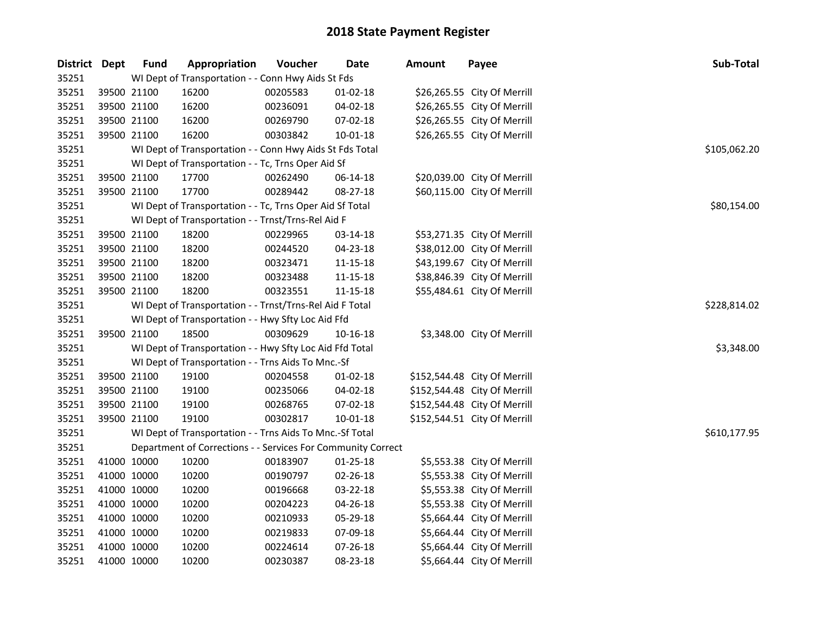| District Dept |             | <b>Fund</b> | Appropriation                                                | Voucher  | <b>Date</b>    | <b>Amount</b> | Payee                        | Sub-Total    |  |  |  |
|---------------|-------------|-------------|--------------------------------------------------------------|----------|----------------|---------------|------------------------------|--------------|--|--|--|
| 35251         |             |             | WI Dept of Transportation - - Conn Hwy Aids St Fds           |          |                |               |                              |              |  |  |  |
| 35251         |             | 39500 21100 | 16200                                                        | 00205583 | $01-02-18$     |               | \$26,265.55 City Of Merrill  |              |  |  |  |
| 35251         |             | 39500 21100 | 16200                                                        | 00236091 | 04-02-18       |               | \$26,265.55 City Of Merrill  |              |  |  |  |
| 35251         |             | 39500 21100 | 16200                                                        | 00269790 | 07-02-18       |               | \$26,265.55 City Of Merrill  |              |  |  |  |
| 35251         |             | 39500 21100 | 16200                                                        | 00303842 | 10-01-18       |               | \$26,265.55 City Of Merrill  |              |  |  |  |
| 35251         |             |             | WI Dept of Transportation - - Conn Hwy Aids St Fds Total     |          |                |               |                              | \$105,062.20 |  |  |  |
| 35251         |             |             | WI Dept of Transportation - - Tc, Trns Oper Aid Sf           |          |                |               |                              |              |  |  |  |
| 35251         |             | 39500 21100 | 17700                                                        | 00262490 | 06-14-18       |               | \$20,039.00 City Of Merrill  |              |  |  |  |
| 35251         |             | 39500 21100 | 17700                                                        | 00289442 | 08-27-18       |               | \$60,115.00 City Of Merrill  |              |  |  |  |
| 35251         |             |             | WI Dept of Transportation - - Tc, Trns Oper Aid Sf Total     |          |                |               |                              | \$80,154.00  |  |  |  |
| 35251         |             |             | WI Dept of Transportation - - Trnst/Trns-Rel Aid F           |          |                |               |                              |              |  |  |  |
| 35251         |             | 39500 21100 | 18200                                                        | 00229965 | 03-14-18       |               | \$53,271.35 City Of Merrill  |              |  |  |  |
| 35251         |             | 39500 21100 | 18200                                                        | 00244520 | 04-23-18       |               | \$38,012.00 City Of Merrill  |              |  |  |  |
| 35251         |             | 39500 21100 | 18200                                                        | 00323471 | 11-15-18       |               | \$43,199.67 City Of Merrill  |              |  |  |  |
| 35251         |             | 39500 21100 | 18200                                                        | 00323488 | 11-15-18       |               | \$38,846.39 City Of Merrill  |              |  |  |  |
| 35251         |             | 39500 21100 | 18200                                                        | 00323551 | 11-15-18       |               | \$55,484.61 City Of Merrill  |              |  |  |  |
| 35251         |             |             | WI Dept of Transportation - - Trnst/Trns-Rel Aid F Total     |          |                |               |                              | \$228,814.02 |  |  |  |
| 35251         |             |             | WI Dept of Transportation - - Hwy Sfty Loc Aid Ffd           |          |                |               |                              |              |  |  |  |
| 35251         |             | 39500 21100 | 18500                                                        | 00309629 | 10-16-18       |               | \$3,348.00 City Of Merrill   |              |  |  |  |
| 35251         |             |             | WI Dept of Transportation - - Hwy Sfty Loc Aid Ffd Total     |          |                |               |                              | \$3,348.00   |  |  |  |
| 35251         |             |             | WI Dept of Transportation - - Trns Aids To Mnc.-Sf           |          |                |               |                              |              |  |  |  |
| 35251         |             | 39500 21100 | 19100                                                        | 00204558 | $01 - 02 - 18$ |               | \$152,544.48 City Of Merrill |              |  |  |  |
| 35251         |             | 39500 21100 | 19100                                                        | 00235066 | 04-02-18       |               | \$152,544.48 City Of Merrill |              |  |  |  |
| 35251         |             | 39500 21100 | 19100                                                        | 00268765 | 07-02-18       |               | \$152,544.48 City Of Merrill |              |  |  |  |
| 35251         |             | 39500 21100 | 19100                                                        | 00302817 | 10-01-18       |               | \$152,544.51 City Of Merrill |              |  |  |  |
| 35251         |             |             | WI Dept of Transportation - - Trns Aids To Mnc.-Sf Total     |          |                |               |                              | \$610,177.95 |  |  |  |
| 35251         |             |             | Department of Corrections - - Services For Community Correct |          |                |               |                              |              |  |  |  |
| 35251         |             | 41000 10000 | 10200                                                        | 00183907 | $01 - 25 - 18$ |               | \$5,553.38 City Of Merrill   |              |  |  |  |
| 35251         |             | 41000 10000 | 10200                                                        | 00190797 | 02-26-18       |               | \$5,553.38 City Of Merrill   |              |  |  |  |
| 35251         |             | 41000 10000 | 10200                                                        | 00196668 | 03-22-18       |               | \$5,553.38 City Of Merrill   |              |  |  |  |
| 35251         |             | 41000 10000 | 10200                                                        | 00204223 | 04-26-18       |               | \$5,553.38 City Of Merrill   |              |  |  |  |
| 35251         |             | 41000 10000 | 10200                                                        | 00210933 | 05-29-18       |               | \$5,664.44 City Of Merrill   |              |  |  |  |
| 35251         |             | 41000 10000 | 10200                                                        | 00219833 | 07-09-18       |               | \$5,664.44 City Of Merrill   |              |  |  |  |
| 35251         |             | 41000 10000 | 10200                                                        | 00224614 | 07-26-18       |               | \$5,664.44 City Of Merrill   |              |  |  |  |
| 35251         | 41000 10000 |             | 10200                                                        | 00230387 | 08-23-18       |               | \$5,664.44 City Of Merrill   |              |  |  |  |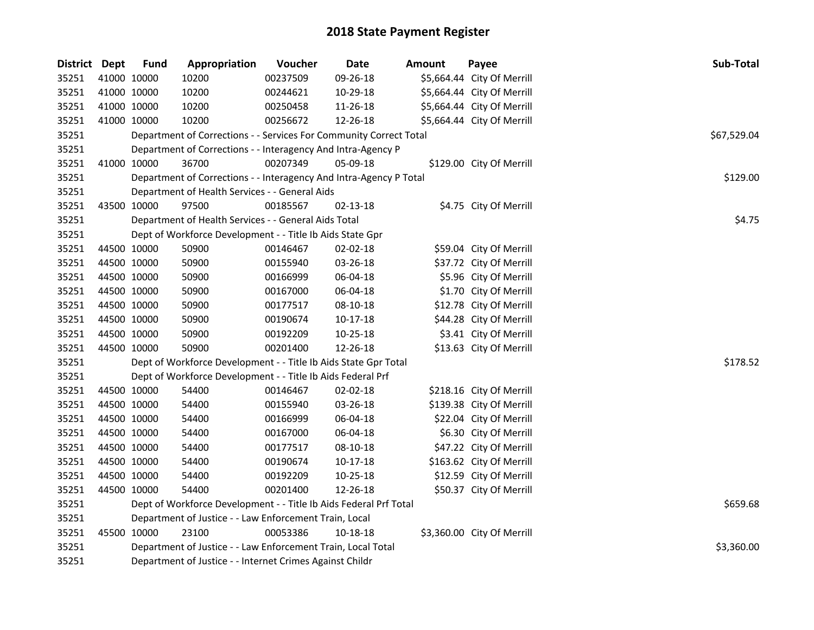| District Dept |             | <b>Fund</b> | Appropriation                                                                                                            | Voucher  | <b>Date</b>    | Amount | Payee                      | Sub-Total   |  |  |  |  |
|---------------|-------------|-------------|--------------------------------------------------------------------------------------------------------------------------|----------|----------------|--------|----------------------------|-------------|--|--|--|--|
| 35251         |             | 41000 10000 | 10200                                                                                                                    | 00237509 | 09-26-18       |        | \$5,664.44 City Of Merrill |             |  |  |  |  |
| 35251         | 41000 10000 |             | 10200                                                                                                                    | 00244621 | 10-29-18       |        | \$5,664.44 City Of Merrill |             |  |  |  |  |
| 35251         |             | 41000 10000 | 10200                                                                                                                    | 00250458 | 11-26-18       |        | \$5,664.44 City Of Merrill |             |  |  |  |  |
| 35251         |             | 41000 10000 | 10200                                                                                                                    | 00256672 | 12-26-18       |        | \$5,664.44 City Of Merrill |             |  |  |  |  |
| 35251         |             |             | Department of Corrections - - Services For Community Correct Total                                                       |          |                |        |                            | \$67,529.04 |  |  |  |  |
| 35251         |             |             | Department of Corrections - - Interagency And Intra-Agency P                                                             |          |                |        |                            |             |  |  |  |  |
| 35251         |             | 41000 10000 | 36700                                                                                                                    | 00207349 | 05-09-18       |        | \$129.00 City Of Merrill   |             |  |  |  |  |
| 35251         |             |             | Department of Corrections - - Interagency And Intra-Agency P Total                                                       |          |                |        |                            | \$129.00    |  |  |  |  |
| 35251         |             |             | Department of Health Services - - General Aids                                                                           |          |                |        |                            |             |  |  |  |  |
| 35251         |             | 43500 10000 | 97500                                                                                                                    | 00185567 | 02-13-18       |        | \$4.75 City Of Merrill     |             |  |  |  |  |
| 35251         |             |             | Department of Health Services - - General Aids Total                                                                     |          |                |        |                            | \$4.75      |  |  |  |  |
| 35251         |             |             | Dept of Workforce Development - - Title Ib Aids State Gpr                                                                |          |                |        |                            |             |  |  |  |  |
| 35251         |             | 44500 10000 | 50900                                                                                                                    | 00146467 | 02-02-18       |        | \$59.04 City Of Merrill    |             |  |  |  |  |
| 35251         |             | 44500 10000 | 50900                                                                                                                    | 00155940 | 03-26-18       |        | \$37.72 City Of Merrill    |             |  |  |  |  |
| 35251         |             | 44500 10000 | 50900                                                                                                                    | 00166999 | 06-04-18       |        | \$5.96 City Of Merrill     |             |  |  |  |  |
| 35251         |             | 44500 10000 | 50900                                                                                                                    | 00167000 | 06-04-18       |        | \$1.70 City Of Merrill     |             |  |  |  |  |
| 35251         |             | 44500 10000 | 50900                                                                                                                    | 00177517 | 08-10-18       |        | \$12.78 City Of Merrill    |             |  |  |  |  |
| 35251         |             | 44500 10000 | 50900                                                                                                                    | 00190674 | $10-17-18$     |        | \$44.28 City Of Merrill    |             |  |  |  |  |
| 35251         |             | 44500 10000 | 50900                                                                                                                    | 00192209 | 10-25-18       |        | \$3.41 City Of Merrill     |             |  |  |  |  |
| 35251         |             | 44500 10000 | 50900                                                                                                                    | 00201400 | 12-26-18       |        | \$13.63 City Of Merrill    |             |  |  |  |  |
| 35251         |             |             | Dept of Workforce Development - - Title Ib Aids State Gpr Total                                                          |          |                |        |                            | \$178.52    |  |  |  |  |
| 35251         |             |             | Dept of Workforce Development - - Title Ib Aids Federal Prf                                                              |          |                |        |                            |             |  |  |  |  |
| 35251         | 44500 10000 |             | 54400                                                                                                                    | 00146467 | $02 - 02 - 18$ |        | \$218.16 City Of Merrill   |             |  |  |  |  |
| 35251         | 44500 10000 |             | 54400                                                                                                                    | 00155940 | 03-26-18       |        | \$139.38 City Of Merrill   |             |  |  |  |  |
| 35251         |             | 44500 10000 | 54400                                                                                                                    | 00166999 | 06-04-18       |        | \$22.04 City Of Merrill    |             |  |  |  |  |
| 35251         |             | 44500 10000 | 54400                                                                                                                    | 00167000 | 06-04-18       |        | \$6.30 City Of Merrill     |             |  |  |  |  |
| 35251         |             | 44500 10000 | 54400                                                                                                                    | 00177517 | 08-10-18       |        | \$47.22 City Of Merrill    |             |  |  |  |  |
| 35251         |             | 44500 10000 | 54400                                                                                                                    | 00190674 | 10-17-18       |        | \$163.62 City Of Merrill   |             |  |  |  |  |
| 35251         |             | 44500 10000 | 54400                                                                                                                    | 00192209 | 10-25-18       |        | \$12.59 City Of Merrill    |             |  |  |  |  |
| 35251         |             | 44500 10000 | 54400                                                                                                                    | 00201400 | 12-26-18       |        | \$50.37 City Of Merrill    |             |  |  |  |  |
| 35251         |             |             | Dept of Workforce Development - - Title Ib Aids Federal Prf Total                                                        | \$659.68 |                |        |                            |             |  |  |  |  |
| 35251         |             |             | Department of Justice - - Law Enforcement Train, Local                                                                   |          |                |        |                            |             |  |  |  |  |
| 35251         |             | 45500 10000 | 23100                                                                                                                    | 00053386 | 10-18-18       |        | \$3,360.00 City Of Merrill |             |  |  |  |  |
| 35251         |             |             |                                                                                                                          |          |                |        |                            | \$3,360.00  |  |  |  |  |
| 35251         |             |             | Department of Justice - - Law Enforcement Train, Local Total<br>Department of Justice - - Internet Crimes Against Childr |          |                |        |                            |             |  |  |  |  |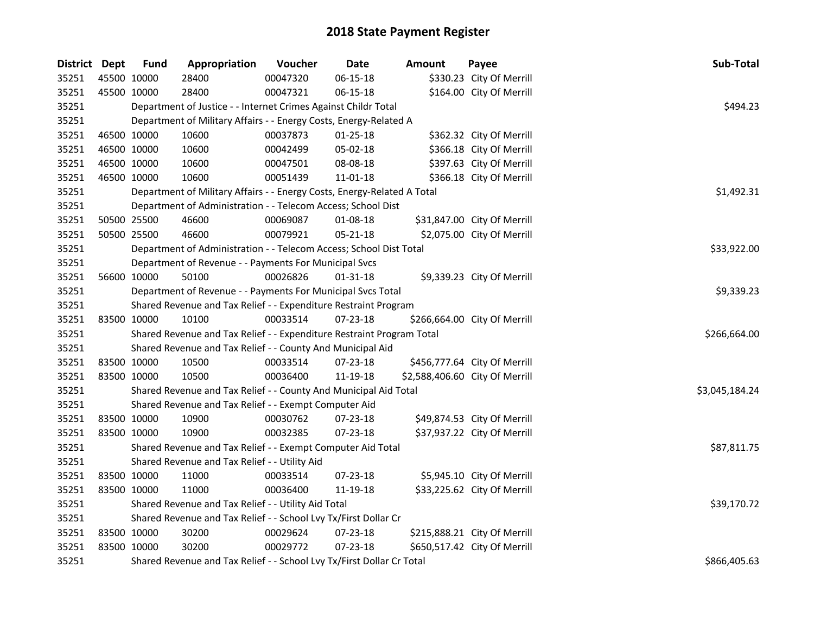| <b>District Dept</b> | <b>Fund</b> | Appropriation                                                           | Voucher  | <b>Date</b>    | Amount | Payee                          | Sub-Total      |
|----------------------|-------------|-------------------------------------------------------------------------|----------|----------------|--------|--------------------------------|----------------|
| 35251                | 45500 10000 | 28400                                                                   | 00047320 | 06-15-18       |        | \$330.23 City Of Merrill       |                |
| 35251                | 45500 10000 | 28400                                                                   | 00047321 | 06-15-18       |        | \$164.00 City Of Merrill       |                |
| 35251                |             | Department of Justice - - Internet Crimes Against Childr Total          |          |                |        |                                | \$494.23       |
| 35251                |             | Department of Military Affairs - - Energy Costs, Energy-Related A       |          |                |        |                                |                |
| 35251                | 46500 10000 | 10600                                                                   | 00037873 | 01-25-18       |        | \$362.32 City Of Merrill       |                |
| 35251                | 46500 10000 | 10600                                                                   | 00042499 | 05-02-18       |        | \$366.18 City Of Merrill       |                |
| 35251                | 46500 10000 | 10600                                                                   | 00047501 | 08-08-18       |        | \$397.63 City Of Merrill       |                |
| 35251                | 46500 10000 | 10600                                                                   | 00051439 | 11-01-18       |        | \$366.18 City Of Merrill       |                |
| 35251                |             | Department of Military Affairs - - Energy Costs, Energy-Related A Total |          |                |        |                                | \$1,492.31     |
| 35251                |             | Department of Administration - - Telecom Access; School Dist            |          |                |        |                                |                |
| 35251                | 50500 25500 | 46600                                                                   | 00069087 | 01-08-18       |        | \$31,847.00 City Of Merrill    |                |
| 35251                | 50500 25500 | 46600                                                                   | 00079921 | 05-21-18       |        | \$2,075.00 City Of Merrill     |                |
| 35251                |             | Department of Administration - - Telecom Access; School Dist Total      |          |                |        |                                | \$33,922.00    |
| 35251                |             | Department of Revenue - - Payments For Municipal Svcs                   |          |                |        |                                |                |
| 35251                | 56600 10000 | 50100                                                                   | 00026826 | 01-31-18       |        | \$9,339.23 City Of Merrill     |                |
| 35251                |             | Department of Revenue - - Payments For Municipal Svcs Total             |          |                |        |                                | \$9,339.23     |
| 35251                |             | Shared Revenue and Tax Relief - - Expenditure Restraint Program         |          |                |        |                                |                |
| 35251                | 83500 10000 | 10100                                                                   | 00033514 | 07-23-18       |        | \$266,664.00 City Of Merrill   |                |
| 35251                |             | Shared Revenue and Tax Relief - - Expenditure Restraint Program Total   |          |                |        |                                | \$266,664.00   |
| 35251                |             | Shared Revenue and Tax Relief - - County And Municipal Aid              |          |                |        |                                |                |
| 35251                | 83500 10000 | 10500                                                                   | 00033514 | 07-23-18       |        | \$456,777.64 City Of Merrill   |                |
| 35251                | 83500 10000 | 10500                                                                   | 00036400 | 11-19-18       |        | \$2,588,406.60 City Of Merrill |                |
| 35251                |             | Shared Revenue and Tax Relief - - County And Municipal Aid Total        |          |                |        |                                | \$3,045,184.24 |
| 35251                |             | Shared Revenue and Tax Relief - - Exempt Computer Aid                   |          |                |        |                                |                |
| 35251                | 83500 10000 | 10900                                                                   | 00030762 | 07-23-18       |        | \$49,874.53 City Of Merrill    |                |
| 35251                | 83500 10000 | 10900                                                                   | 00032385 | 07-23-18       |        | \$37,937.22 City Of Merrill    |                |
| 35251                |             | Shared Revenue and Tax Relief - - Exempt Computer Aid Total             |          |                |        |                                | \$87,811.75    |
| 35251                |             | Shared Revenue and Tax Relief - - Utility Aid                           |          |                |        |                                |                |
| 35251                | 83500 10000 | 11000                                                                   | 00033514 | 07-23-18       |        | \$5,945.10 City Of Merrill     |                |
| 35251                | 83500 10000 | 11000                                                                   | 00036400 | 11-19-18       |        | \$33,225.62 City Of Merrill    |                |
| 35251                |             | Shared Revenue and Tax Relief - - Utility Aid Total                     |          |                |        |                                | \$39,170.72    |
| 35251                |             | Shared Revenue and Tax Relief - - School Lvy Tx/First Dollar Cr         |          |                |        |                                |                |
| 35251                | 83500 10000 | 30200                                                                   | 00029624 | $07 - 23 - 18$ |        | \$215,888.21 City Of Merrill   |                |
| 35251                | 83500 10000 | 30200                                                                   | 00029772 | $07 - 23 - 18$ |        | \$650,517.42 City Of Merrill   |                |
| 35251                |             | Shared Revenue and Tax Relief - - School Lvy Tx/First Dollar Cr Total   |          |                |        |                                | \$866,405.63   |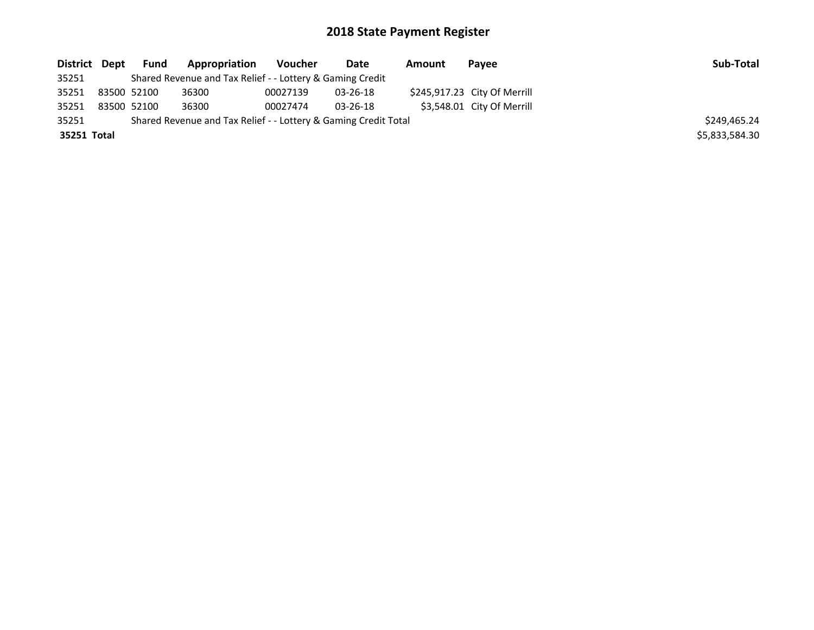| District Dept | <b>Fund</b> | <b>Appropriation</b>                                            | Voucher  | Date           | Amount | Payee                        | Sub-Total      |
|---------------|-------------|-----------------------------------------------------------------|----------|----------------|--------|------------------------------|----------------|
| 35251         |             | Shared Revenue and Tax Relief - - Lottery & Gaming Credit       |          |                |        |                              |                |
| 35251         | 83500 52100 | 36300                                                           | 00027139 | 03-26-18       |        | \$245,917.23 City Of Merrill |                |
| 35251         | 83500 52100 | 36300                                                           | 00027474 | $03 - 26 - 18$ |        | \$3,548.01 City Of Merrill   |                |
| 35251         |             | Shared Revenue and Tax Relief - - Lottery & Gaming Credit Total |          |                |        |                              | \$249.465.24   |
| 35251 Total   |             |                                                                 |          |                |        |                              | \$5,833,584.30 |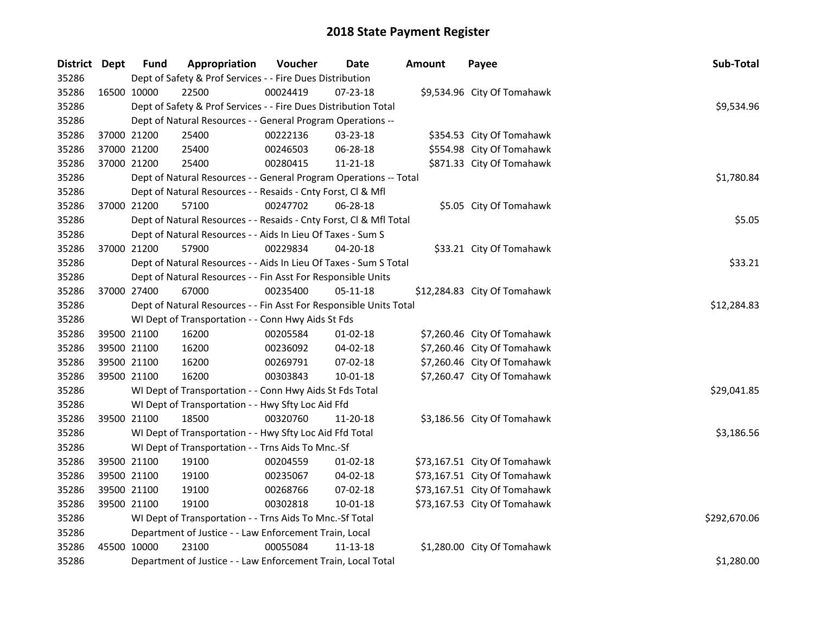| District Dept |             | <b>Fund</b> | Appropriation                                                      | Voucher  | <b>Date</b>    | <b>Amount</b> | Payee                        | Sub-Total    |
|---------------|-------------|-------------|--------------------------------------------------------------------|----------|----------------|---------------|------------------------------|--------------|
| 35286         |             |             | Dept of Safety & Prof Services - - Fire Dues Distribution          |          |                |               |                              |              |
| 35286         | 16500 10000 |             | 22500                                                              | 00024419 | 07-23-18       |               | \$9,534.96 City Of Tomahawk  |              |
| 35286         |             |             | Dept of Safety & Prof Services - - Fire Dues Distribution Total    |          |                |               |                              | \$9,534.96   |
| 35286         |             |             | Dept of Natural Resources - - General Program Operations --        |          |                |               |                              |              |
| 35286         | 37000 21200 |             | 25400                                                              | 00222136 | 03-23-18       |               | \$354.53 City Of Tomahawk    |              |
| 35286         | 37000 21200 |             | 25400                                                              | 00246503 | 06-28-18       |               | \$554.98 City Of Tomahawk    |              |
| 35286         | 37000 21200 |             | 25400                                                              | 00280415 | 11-21-18       |               | \$871.33 City Of Tomahawk    |              |
| 35286         |             |             | Dept of Natural Resources - - General Program Operations -- Total  |          |                | \$1,780.84    |                              |              |
| 35286         |             |             | Dept of Natural Resources - - Resaids - Cnty Forst, Cl & Mfl       |          |                |               |                              |              |
| 35286         |             | 37000 21200 | 57100                                                              | 00247702 | 06-28-18       |               | \$5.05 City Of Tomahawk      |              |
| 35286         |             |             | Dept of Natural Resources - - Resaids - Cnty Forst, Cl & Mfl Total |          |                |               |                              | \$5.05       |
| 35286         |             |             | Dept of Natural Resources - - Aids In Lieu Of Taxes - Sum S        |          |                |               |                              |              |
| 35286         | 37000 21200 |             | 57900                                                              | 00229834 | 04-20-18       |               | \$33.21 City Of Tomahawk     |              |
| 35286         |             |             | Dept of Natural Resources - - Aids In Lieu Of Taxes - Sum S Total  |          |                |               |                              | \$33.21      |
| 35286         |             |             | Dept of Natural Resources - - Fin Asst For Responsible Units       |          |                |               |                              |              |
| 35286         | 37000 27400 |             | 67000                                                              | 00235400 | 05-11-18       |               | \$12,284.83 City Of Tomahawk |              |
| 35286         |             |             | Dept of Natural Resources - - Fin Asst For Responsible Units Total |          |                |               |                              | \$12,284.83  |
| 35286         |             |             | WI Dept of Transportation - - Conn Hwy Aids St Fds                 |          |                |               |                              |              |
| 35286         |             | 39500 21100 | 16200                                                              | 00205584 | $01-02-18$     |               | \$7,260.46 City Of Tomahawk  |              |
| 35286         |             | 39500 21100 | 16200                                                              | 00236092 | 04-02-18       |               | \$7,260.46 City Of Tomahawk  |              |
| 35286         | 39500 21100 |             | 16200                                                              | 00269791 | 07-02-18       |               | \$7,260.46 City Of Tomahawk  |              |
| 35286         | 39500 21100 |             | 16200                                                              | 00303843 | $10 - 01 - 18$ |               | \$7,260.47 City Of Tomahawk  |              |
| 35286         |             |             | WI Dept of Transportation - - Conn Hwy Aids St Fds Total           |          |                |               |                              | \$29,041.85  |
| 35286         |             |             | WI Dept of Transportation - - Hwy Sfty Loc Aid Ffd                 |          |                |               |                              |              |
| 35286         | 39500 21100 |             | 18500                                                              | 00320760 | 11-20-18       |               | \$3,186.56 City Of Tomahawk  |              |
| 35286         |             |             | WI Dept of Transportation - - Hwy Sfty Loc Aid Ffd Total           |          |                |               |                              | \$3,186.56   |
| 35286         |             |             | WI Dept of Transportation - - Trns Aids To Mnc.-Sf                 |          |                |               |                              |              |
| 35286         | 39500 21100 |             | 19100                                                              | 00204559 | 01-02-18       |               | \$73,167.51 City Of Tomahawk |              |
| 35286         |             | 39500 21100 | 19100                                                              | 00235067 | 04-02-18       |               | \$73,167.51 City Of Tomahawk |              |
| 35286         | 39500 21100 |             | 19100                                                              | 00268766 | 07-02-18       |               | \$73,167.51 City Of Tomahawk |              |
| 35286         | 39500 21100 |             | 19100                                                              | 00302818 | 10-01-18       |               | \$73,167.53 City Of Tomahawk |              |
| 35286         |             |             | WI Dept of Transportation - - Trns Aids To Mnc.-Sf Total           |          |                |               |                              | \$292,670.06 |
| 35286         |             |             | Department of Justice - - Law Enforcement Train, Local             |          |                |               |                              |              |
| 35286         | 45500 10000 |             | 23100                                                              | 00055084 | $11 - 13 - 18$ |               | \$1,280.00 City Of Tomahawk  |              |
| 35286         |             |             | Department of Justice - - Law Enforcement Train, Local Total       |          |                |               |                              | \$1,280.00   |